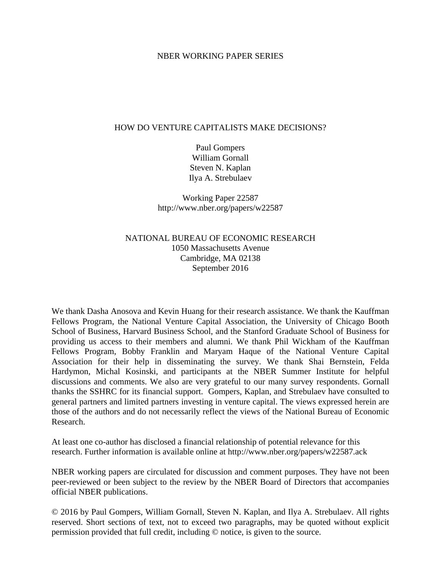# NBER WORKING PAPER SERIES

# HOW DO VENTURE CAPITALISTS MAKE DECISIONS?

Paul Gompers William Gornall Steven N. Kaplan Ilya A. Strebulaev

Working Paper 22587 http://www.nber.org/papers/w22587

# NATIONAL BUREAU OF ECONOMIC RESEARCH 1050 Massachusetts Avenue Cambridge, MA 02138 September 2016

We thank Dasha Anosova and Kevin Huang for their research assistance. We thank the Kauffman Fellows Program, the National Venture Capital Association, the University of Chicago Booth School of Business, Harvard Business School, and the Stanford Graduate School of Business for providing us access to their members and alumni. We thank Phil Wickham of the Kauffman Fellows Program, Bobby Franklin and Maryam Haque of the National Venture Capital Association for their help in disseminating the survey. We thank Shai Bernstein, Felda Hardymon, Michal Kosinski, and participants at the NBER Summer Institute for helpful discussions and comments. We also are very grateful to our many survey respondents. Gornall thanks the SSHRC for its financial support. Gompers, Kaplan, and Strebulaev have consulted to general partners and limited partners investing in venture capital. The views expressed herein are those of the authors and do not necessarily reflect the views of the National Bureau of Economic Research.

At least one co-author has disclosed a financial relationship of potential relevance for this research. Further information is available online at http://www.nber.org/papers/w22587.ack

NBER working papers are circulated for discussion and comment purposes. They have not been peer-reviewed or been subject to the review by the NBER Board of Directors that accompanies official NBER publications.

© 2016 by Paul Gompers, William Gornall, Steven N. Kaplan, and Ilya A. Strebulaev. All rights reserved. Short sections of text, not to exceed two paragraphs, may be quoted without explicit permission provided that full credit, including © notice, is given to the source.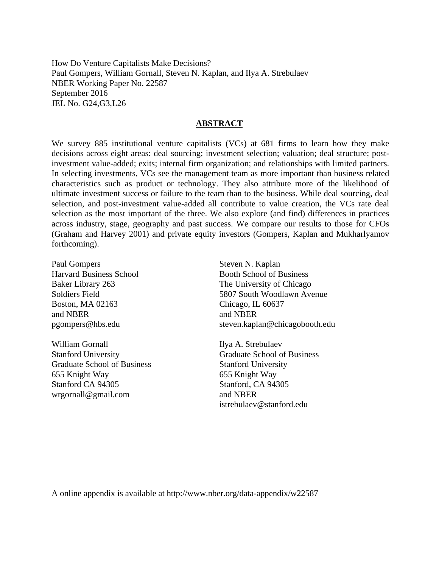How Do Venture Capitalists Make Decisions? Paul Gompers, William Gornall, Steven N. Kaplan, and Ilya A. Strebulaev NBER Working Paper No. 22587 September 2016 JEL No. G24,G3,L26

## **ABSTRACT**

We survey 885 institutional venture capitalists (VCs) at 681 firms to learn how they make decisions across eight areas: deal sourcing; investment selection; valuation; deal structure; postinvestment value-added; exits; internal firm organization; and relationships with limited partners. In selecting investments, VCs see the management team as more important than business related characteristics such as product or technology. They also attribute more of the likelihood of ultimate investment success or failure to the team than to the business. While deal sourcing, deal selection, and post-investment value-added all contribute to value creation, the VCs rate deal selection as the most important of the three. We also explore (and find) differences in practices across industry, stage, geography and past success. We compare our results to those for CFOs (Graham and Harvey 2001) and private equity investors (Gompers, Kaplan and Mukharlyamov forthcoming).

Paul Gompers Harvard Business School Baker Library 263 Soldiers Field Boston, MA 02163 and NBER pgompers@hbs.edu

William Gornall Stanford University Graduate School of Business 655 Knight Way Stanford CA 94305 wrgornall@gmail.com

Steven N. Kaplan Booth School of Business The University of Chicago 5807 South Woodlawn Avenue Chicago, IL 60637 and NBER steven.kaplan@chicagobooth.edu

Ilya A. Strebulaev Graduate School of Business Stanford University 655 Knight Way Stanford, CA 94305 and NBER istrebulaev@stanford.edu

A online appendix is available at http://www.nber.org/data-appendix/w22587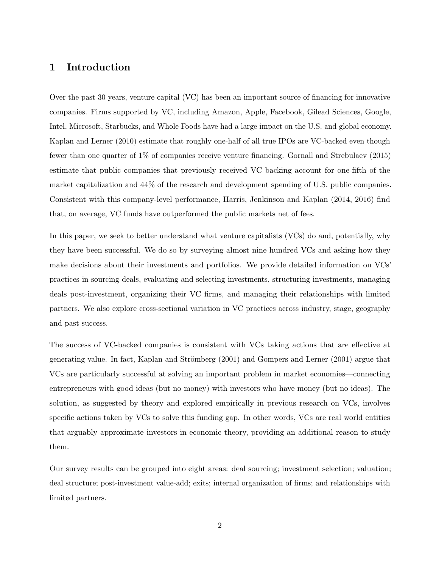# 1 Introduction

Over the past 30 years, venture capital (VC) has been an important source of financing for innovative companies. Firms supported by VC, including Amazon, Apple, Facebook, Gilead Sciences, Google, Intel, Microsoft, Starbucks, and Whole Foods have had a large impact on the U.S. and global economy. Kaplan and Lerner (2010) estimate that roughly one-half of all true IPOs are VC-backed even though fewer than one quarter of 1% of companies receive venture financing. Gornall and Strebulaev (2015) estimate that public companies that previously received VC backing account for one-fifth of the market capitalization and 44% of the research and development spending of U.S. public companies. Consistent with this company-level performance, Harris, Jenkinson and Kaplan (2014, 2016) find that, on average, VC funds have outperformed the public markets net of fees.

In this paper, we seek to better understand what venture capitalists (VCs) do and, potentially, why they have been successful. We do so by surveying almost nine hundred VCs and asking how they make decisions about their investments and portfolios. We provide detailed information on VCs' practices in sourcing deals, evaluating and selecting investments, structuring investments, managing deals post-investment, organizing their VC firms, and managing their relationships with limited partners. We also explore cross-sectional variation in VC practices across industry, stage, geography and past success.

The success of VC-backed companies is consistent with VCs taking actions that are effective at generating value. In fact, Kaplan and Strömberg (2001) and Gompers and Lerner (2001) argue that VCs are particularly successful at solving an important problem in market economies—connecting entrepreneurs with good ideas (but no money) with investors who have money (but no ideas). The solution, as suggested by theory and explored empirically in previous research on VCs, involves specific actions taken by VCs to solve this funding gap. In other words, VCs are real world entities that arguably approximate investors in economic theory, providing an additional reason to study them.

Our survey results can be grouped into eight areas: deal sourcing; investment selection; valuation; deal structure; post-investment value-add; exits; internal organization of firms; and relationships with limited partners.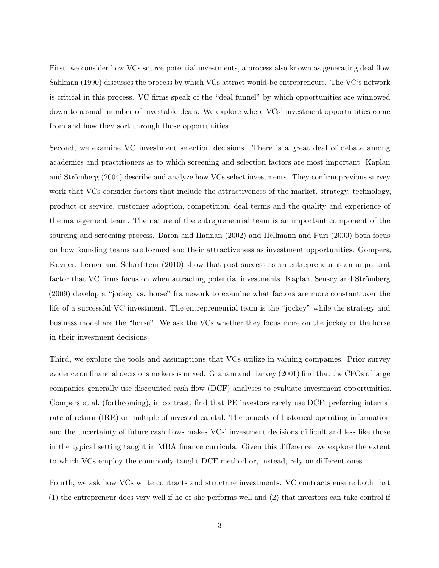First, we consider how VCs source potential investments, a process also known as generating deal flow. Sahlman (1990) discusses the process by which VCs attract would-be entrepreneurs. The VC's network is critical in this process. VC firms speak of the "deal funnel" by which opportunities are winnowed down to a small number of investable deals. We explore where VCs' investment opportunities come from and how they sort through those opportunities.

Second, we examine VC investment selection decisions. There is a great deal of debate among academics and practitioners as to which screening and selection factors are most important. Kaplan and Strömberg (2004) describe and analyze how VCs select investments. They confirm previous survey work that VCs consider factors that include the attractiveness of the market, strategy, technology, product or service, customer adoption, competition, deal terms and the quality and experience of the management team. The nature of the entrepreneurial team is an important component of the sourcing and screening process. Baron and Hannan (2002) and Hellmann and Puri (2000) both focus on how founding teams are formed and their attractiveness as investment opportunities. Gompers, Kovner, Lerner and Scharfstein (2010) show that past success as an entrepreneur is an important factor that VC firms focus on when attracting potential investments. Kaplan, Sensoy and Strömberg (2009) develop a "jockey vs. horse" framework to examine what factors are more constant over the life of a successful VC investment. The entrepreneurial team is the "jockey" while the strategy and business model are the "horse". We ask the VCs whether they focus more on the jockey or the horse in their investment decisions.

Third, we explore the tools and assumptions that VCs utilize in valuing companies. Prior survey evidence on financial decisions makers is mixed. Graham and Harvey (2001) find that the CFOs of large companies generally use discounted cash flow (DCF) analyses to evaluate investment opportunities. Gompers et al. (forthcoming), in contrast, find that PE investors rarely use DCF, preferring internal rate of return (IRR) or multiple of invested capital. The paucity of historical operating information and the uncertainty of future cash flows makes VCs' investment decisions difficult and less like those in the typical setting taught in MBA finance curricula. Given this difference, we explore the extent to which VCs employ the commonly-taught DCF method or, instead, rely on different ones.

Fourth, we ask how VCs write contracts and structure investments. VC contracts ensure both that (1) the entrepreneur does very well if he or she performs well and (2) that investors can take control if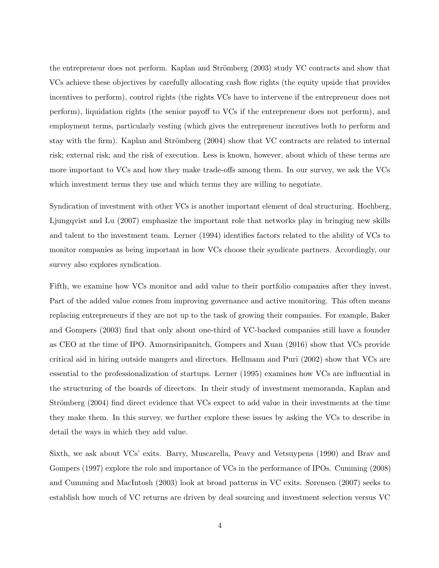the entrepreneur does not perform. Kaplan and Strömberg (2003) study VC contracts and show that VCs achieve these objectives by carefully allocating cash flow rights (the equity upside that provides incentives to perform), control rights (the rights VCs have to intervene if the entrepreneur does not perform), liquidation rights (the senior payoff to VCs if the entrepreneur does not perform), and employment terms, particularly vesting (which gives the entrepreneur incentives both to perform and stay with the firm). Kaplan and Strömberg (2004) show that VC contracts are related to internal risk; external risk; and the risk of execution. Less is known, however, about which of these terms are more important to VCs and how they make trade-offs among them. In our survey, we ask the VCs which investment terms they use and which terms they are willing to negotiate.

Syndication of investment with other VCs is another important element of deal structuring. Hochberg, Ljungqvist and Lu (2007) emphasize the important role that networks play in bringing new skills and talent to the investment team. Lerner (1994) identifies factors related to the ability of VCs to monitor companies as being important in how VCs choose their syndicate partners. Accordingly, our survey also explores syndication.

Fifth, we examine how VCs monitor and add value to their portfolio companies after they invest. Part of the added value comes from improving governance and active monitoring. This often means replacing entrepreneurs if they are not up to the task of growing their companies. For example, Baker and Gompers (2003) find that only about one-third of VC-backed companies still have a founder as CEO at the time of IPO. Amornsiripanitch, Gompers and Xuan (2016) show that VCs provide critical aid in hiring outside mangers and directors. Hellmann and Puri (2002) show that VCs are essential to the professionalization of startups. Lerner (1995) examines how VCs are influential in the structuring of the boards of directors. In their study of investment memoranda, Kaplan and Strömberg (2004) find direct evidence that VCs expect to add value in their investments at the time they make them. In this survey, we further explore these issues by asking the VCs to describe in detail the ways in which they add value.

Sixth, we ask about VCs' exits. Barry, Muscarella, Peavy and Vetsuypens (1990) and Brav and Gompers (1997) explore the role and importance of VCs in the performance of IPOs. Cumming (2008) and Cumming and MacIntosh (2003) look at broad patterns in VC exits. Sørensen (2007) seeks to establish how much of VC returns are driven by deal sourcing and investment selection versus VC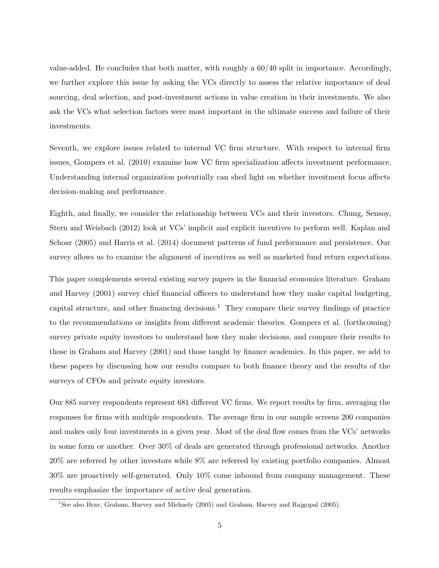value-added. He concludes that both matter, with roughly a 60/40 split in importance. Accordingly, we further explore this issue by asking the VCs directly to assess the relative importance of deal sourcing, deal selection, and post-investment actions in value creation in their investments. We also ask the VCs what selection factors were most important in the ultimate success and failure of their investments.

Seventh, we explore issues related to internal VC firm structure. With respect to internal firm issues, Gompers et al. (2010) examine how VC firm specialization affects investment performance. Understanding internal organization potentially can shed light on whether investment focus affects decision-making and performance.

Eighth, and finally, we consider the relationship between VCs and their investors. Chung, Sensoy, Stern and Weisbach (2012) look at VCs' implicit and explicit incentives to perform well. Kaplan and Schoar (2005) and Harris et al. (2014) document patterns of fund performance and persistence. Our survey allows us to examine the alignment of incentives as well as marketed fund return expectations.

This paper complements several existing survey papers in the financial economics literature. Graham and Harvey (2001) survey chief financial officers to understand how they make capital budgeting, capital structure, and other financing decisions.<sup>1</sup> They compare their survey findings of practice to the recommendations or insights from different academic theories. Gompers et al. (forthcoming) survey private equity investors to understand how they make decisions, and compare their results to those in Graham and Harvey (2001) and those taught by finance academics. In this paper, we add to these papers by discussing how our results compare to both finance theory and the results of the surveys of CFOs and private equity investors.

Our 885 survey respondents represent 681 different VC firms. We report results by firm, averaging the responses for firms with multiple respondents. The average firm in our sample screens 200 companies and makes only four investments in a given year. Most of the deal flow comes from the VCs' networks in some form or another. Over 30% of deals are generated through professional networks. Another 20% are referred by other investors while 8% are referred by existing portfolio companies. Almost 30% are proactively self-generated. Only 10% come inbound from company management. These results emphasize the importance of active deal generation.

<sup>1</sup>See also Brav, Graham, Harvey and Michaely (2005) and Graham, Harvey and Rajgopal (2005).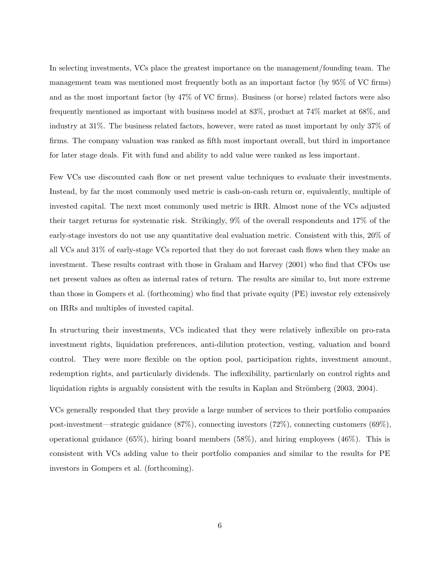In selecting investments, VCs place the greatest importance on the management/founding team. The management team was mentioned most frequently both as an important factor (by 95% of VC firms) and as the most important factor (by 47% of VC firms). Business (or horse) related factors were also frequently mentioned as important with business model at 83%, product at 74% market at 68%, and industry at 31%. The business related factors, however, were rated as most important by only 37% of firms. The company valuation was ranked as fifth most important overall, but third in importance for later stage deals. Fit with fund and ability to add value were ranked as less important.

Few VCs use discounted cash flow or net present value techniques to evaluate their investments. Instead, by far the most commonly used metric is cash-on-cash return or, equivalently, multiple of invested capital. The next most commonly used metric is IRR. Almost none of the VCs adjusted their target returns for systematic risk. Strikingly, 9% of the overall respondents and 17% of the early-stage investors do not use any quantitative deal evaluation metric. Consistent with this, 20% of all VCs and 31% of early-stage VCs reported that they do not forecast cash flows when they make an investment. These results contrast with those in Graham and Harvey (2001) who find that CFOs use net present values as often as internal rates of return. The results are similar to, but more extreme than those in Gompers et al. (forthcoming) who find that private equity (PE) investor rely extensively on IRRs and multiples of invested capital.

In structuring their investments, VCs indicated that they were relatively inflexible on pro-rata investment rights, liquidation preferences, anti-dilution protection, vesting, valuation and board control. They were more flexible on the option pool, participation rights, investment amount, redemption rights, and particularly dividends. The inflexibility, particularly on control rights and liquidation rights is arguably consistent with the results in Kaplan and Strömberg (2003, 2004).

VCs generally responded that they provide a large number of services to their portfolio companies post-investment—strategic guidance (87%), connecting investors (72%), connecting customers (69%), operational guidance  $(65\%)$ , hiring board members  $(58\%)$ , and hiring employees  $(46\%)$ . This is consistent with VCs adding value to their portfolio companies and similar to the results for PE investors in Gompers et al. (forthcoming).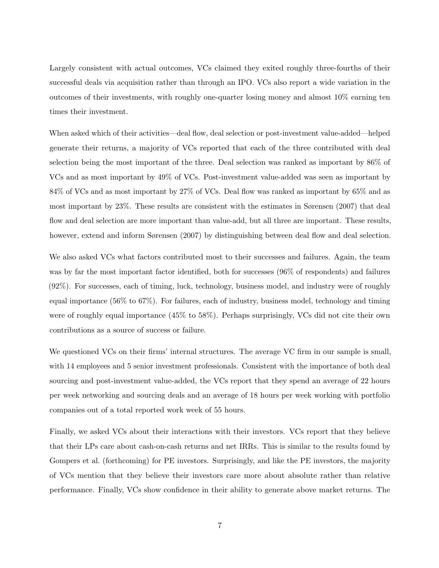Largely consistent with actual outcomes, VCs claimed they exited roughly three-fourths of their successful deals via acquisition rather than through an IPO. VCs also report a wide variation in the outcomes of their investments, with roughly one-quarter losing money and almost 10% earning ten times their investment.

When asked which of their activities—deal flow, deal selection or post-investment value-added—helped generate their returns, a majority of VCs reported that each of the three contributed with deal selection being the most important of the three. Deal selection was ranked as important by 86% of VCs and as most important by 49% of VCs. Post-investment value-added was seen as important by 84% of VCs and as most important by 27% of VCs. Deal flow was ranked as important by 65% and as most important by 23%. These results are consistent with the estimates in Sørensen (2007) that deal flow and deal selection are more important than value-add, but all three are important. These results, however, extend and inform Sørensen (2007) by distinguishing between deal flow and deal selection.

We also asked VCs what factors contributed most to their successes and failures. Again, the team was by far the most important factor identified, both for successes (96% of respondents) and failures (92%). For successes, each of timing, luck, technology, business model, and industry were of roughly equal importance (56% to 67%). For failures, each of industry, business model, technology and timing were of roughly equal importance (45% to 58%). Perhaps surprisingly, VCs did not cite their own contributions as a source of success or failure.

We questioned VCs on their firms' internal structures. The average VC firm in our sample is small, with 14 employees and 5 senior investment professionals. Consistent with the importance of both deal sourcing and post-investment value-added, the VCs report that they spend an average of 22 hours per week networking and sourcing deals and an average of 18 hours per week working with portfolio companies out of a total reported work week of 55 hours.

Finally, we asked VCs about their interactions with their investors. VCs report that they believe that their LPs care about cash-on-cash returns and net IRRs. This is similar to the results found by Gompers et al. (forthcoming) for PE investors. Surprisingly, and like the PE investors, the majority of VCs mention that they believe their investors care more about absolute rather than relative performance. Finally, VCs show confidence in their ability to generate above market returns. The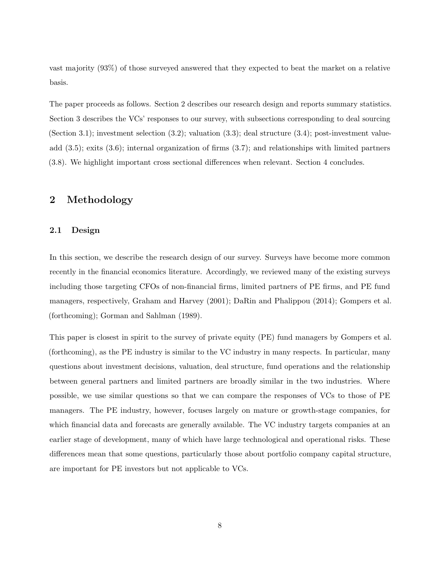vast majority (93%) of those surveyed answered that they expected to beat the market on a relative basis.

The paper proceeds as follows. Section 2 describes our research design and reports summary statistics. Section 3 describes the VCs' responses to our survey, with subsections corresponding to deal sourcing (Section 3.1); investment selection (3.2); valuation (3.3); deal structure (3.4); post-investment valueadd (3.5); exits (3.6); internal organization of firms (3.7); and relationships with limited partners (3.8). We highlight important cross sectional differences when relevant. Section 4 concludes.

# 2 Methodology

### 2.1 Design

In this section, we describe the research design of our survey. Surveys have become more common recently in the financial economics literature. Accordingly, we reviewed many of the existing surveys including those targeting CFOs of non-financial firms, limited partners of PE firms, and PE fund managers, respectively, Graham and Harvey (2001); DaRin and Phalippou (2014); Gompers et al. (forthcoming); Gorman and Sahlman (1989).

This paper is closest in spirit to the survey of private equity (PE) fund managers by Gompers et al. (forthcoming), as the PE industry is similar to the VC industry in many respects. In particular, many questions about investment decisions, valuation, deal structure, fund operations and the relationship between general partners and limited partners are broadly similar in the two industries. Where possible, we use similar questions so that we can compare the responses of VCs to those of PE managers. The PE industry, however, focuses largely on mature or growth-stage companies, for which financial data and forecasts are generally available. The VC industry targets companies at an earlier stage of development, many of which have large technological and operational risks. These differences mean that some questions, particularly those about portfolio company capital structure, are important for PE investors but not applicable to VCs.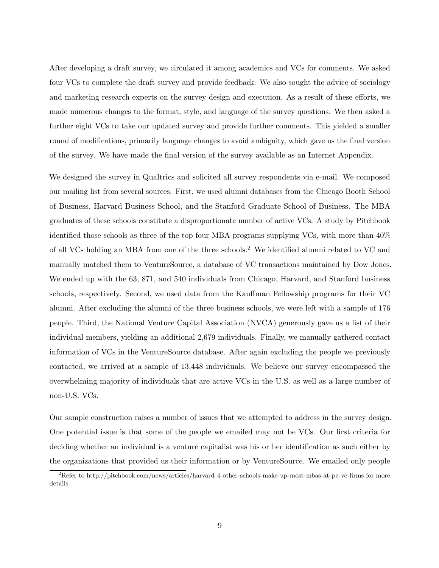After developing a draft survey, we circulated it among academics and VCs for comments. We asked four VCs to complete the draft survey and provide feedback. We also sought the advice of sociology and marketing research experts on the survey design and execution. As a result of these efforts, we made numerous changes to the format, style, and language of the survey questions. We then asked a further eight VCs to take our updated survey and provide further comments. This yielded a smaller round of modifications, primarily language changes to avoid ambiguity, which gave us the final version of the survey. We have made the final version of the survey available as an Internet Appendix.

We designed the survey in Qualtrics and solicited all survey respondents via e-mail. We composed our mailing list from several sources. First, we used alumni databases from the Chicago Booth School of Business, Harvard Business School, and the Stanford Graduate School of Business. The MBA graduates of these schools constitute a disproportionate number of active VCs. A study by Pitchbook identified those schools as three of the top four MBA programs supplying VCs, with more than 40% of all VCs holding an MBA from one of the three schools.<sup>2</sup> We identified alumni related to VC and manually matched them to VentureSource, a database of VC transactions maintained by Dow Jones. We ended up with the 63, 871, and 540 individuals from Chicago, Harvard, and Stanford business schools, respectively. Second, we used data from the Kauffman Fellowship programs for their VC alumni. After excluding the alumni of the three business schools, we were left with a sample of 176 people. Third, the National Venture Capital Association (NVCA) generously gave us a list of their individual members, yielding an additional 2,679 individuals. Finally, we manually gathered contact information of VCs in the VentureSource database. After again excluding the people we previously contacted, we arrived at a sample of 13,448 individuals. We believe our survey encompassed the overwhelming majority of individuals that are active VCs in the U.S. as well as a large number of non-U.S. VCs.

Our sample construction raises a number of issues that we attempted to address in the survey design. One potential issue is that some of the people we emailed may not be VCs. Our first criteria for deciding whether an individual is a venture capitalist was his or her identification as such either by the organizations that provided us their information or by VentureSource. We emailed only people

<sup>2</sup>Refer to http://pitchbook.com/news/articles/harvard-4-other-schools-make-up-most-mbas-at-pe-vc-firms for more details.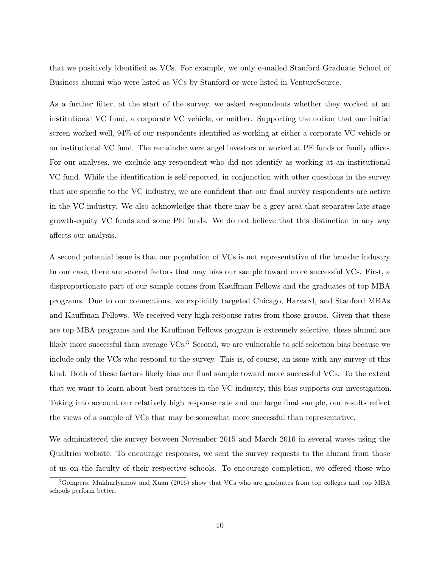that we positively identified as VCs. For example, we only e-mailed Stanford Graduate School of Business alumni who were listed as VCs by Stanford or were listed in VentureSource.

As a further filter, at the start of the survey, we asked respondents whether they worked at an institutional VC fund, a corporate VC vehicle, or neither. Supporting the notion that our initial screen worked well, 94% of our respondents identified as working at either a corporate VC vehicle or an institutional VC fund. The remainder were angel investors or worked at PE funds or family offices. For our analyses, we exclude any respondent who did not identify as working at an institutional VC fund. While the identification is self-reported, in conjunction with other questions in the survey that are specific to the VC industry, we are confident that our final survey respondents are active in the VC industry. We also acknowledge that there may be a grey area that separates late-stage growth-equity VC funds and some PE funds. We do not believe that this distinction in any way affects our analysis.

A second potential issue is that our population of VCs is not representative of the broader industry. In our case, there are several factors that may bias our sample toward more successful VCs. First, a disproportionate part of our sample comes from Kauffman Fellows and the graduates of top MBA programs. Due to our connections, we explicitly targeted Chicago, Harvard, and Stanford MBAs and Kauffman Fellows. We received very high response rates from those groups. Given that these are top MBA programs and the Kauffman Fellows program is extremely selective, these alumni are likely more successful than average  $VCs$ <sup>3</sup> Second, we are vulnerable to self-selection bias because we include only the VCs who respond to the survey. This is, of course, an issue with any survey of this kind. Both of these factors likely bias our final sample toward more successful VCs. To the extent that we want to learn about best practices in the VC industry, this bias supports our investigation. Taking into account our relatively high response rate and our large final sample, our results reflect the views of a sample of VCs that may be somewhat more successful than representative.

We administered the survey between November 2015 and March 2016 in several waves using the Qualtrics website. To encourage responses, we sent the survey requests to the alumni from those of us on the faculty of their respective schools. To encourage completion, we offered those who

<sup>3</sup>Gompers, Mukharlyamov and Xuan (2016) show that VCs who are graduates from top colleges and top MBA schools perform better.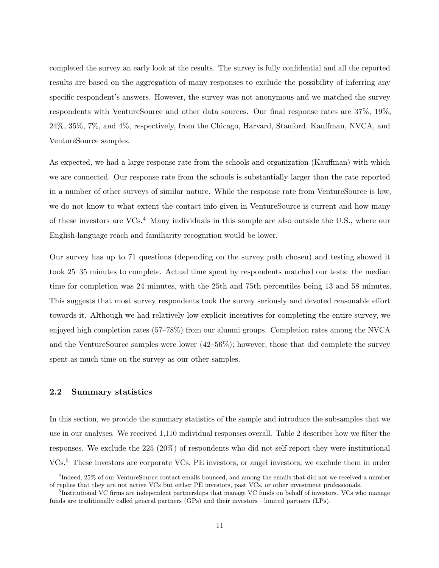completed the survey an early look at the results. The survey is fully confidential and all the reported results are based on the aggregation of many responses to exclude the possibility of inferring any specific respondent's answers. However, the survey was not anonymous and we matched the survey respondents with VentureSource and other data sources. Our final response rates are 37%, 19%, 24%, 35%, 7%, and 4%, respectively, from the Chicago, Harvard, Stanford, Kauffman, NVCA, and VentureSource samples.

As expected, we had a large response rate from the schools and organization (Kauffman) with which we are connected. Our response rate from the schools is substantially larger than the rate reported in a number of other surveys of similar nature. While the response rate from VentureSource is low, we do not know to what extent the contact info given in VentureSource is current and how many of these investors are VCs.<sup>4</sup> Many individuals in this sample are also outside the U.S., where our English-language reach and familiarity recognition would be lower.

Our survey has up to 71 questions (depending on the survey path chosen) and testing showed it took 25–35 minutes to complete. Actual time spent by respondents matched our tests: the median time for completion was 24 minutes, with the 25th and 75th percentiles being 13 and 58 minutes. This suggests that most survey respondents took the survey seriously and devoted reasonable effort towards it. Although we had relatively low explicit incentives for completing the entire survey, we enjoyed high completion rates (57–78%) from our alumni groups. Completion rates among the NVCA and the VentureSource samples were lower (42–56%); however, those that did complete the survey spent as much time on the survey as our other samples.

## 2.2 Summary statistics

In this section, we provide the summary statistics of the sample and introduce the subsamples that we use in our analyses. We received 1,110 individual responses overall. Table 2 describes how we filter the responses. We exclude the 225 (20%) of respondents who did not self-report they were institutional VCs.<sup>5</sup> These investors are corporate VCs, PE investors, or angel investors; we exclude them in order

<sup>&</sup>lt;sup>4</sup>Indeed, 25% of our VentureSource contact emails bounced, and among the emails that did not we received a number of replies that they are not active VCs but either PE investors, past VCs, or other investment professionals.

<sup>&</sup>lt;sup>5</sup>Institutional VC firms are independent partnerships that manage VC funds on behalf of investors. VCs who manage funds are traditionally called general partners (GPs) and their investors—limited partners (LPs).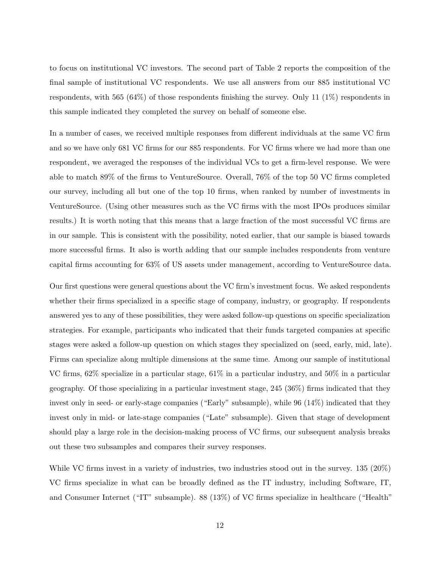to focus on institutional VC investors. The second part of Table 2 reports the composition of the final sample of institutional VC respondents. We use all answers from our 885 institutional VC respondents, with 565 (64%) of those respondents finishing the survey. Only 11 (1%) respondents in this sample indicated they completed the survey on behalf of someone else.

In a number of cases, we received multiple responses from different individuals at the same VC firm and so we have only 681 VC firms for our 885 respondents. For VC firms where we had more than one respondent, we averaged the responses of the individual VCs to get a firm-level response. We were able to match 89% of the firms to VentureSource. Overall, 76% of the top 50 VC firms completed our survey, including all but one of the top 10 firms, when ranked by number of investments in VentureSource. (Using other measures such as the VC firms with the most IPOs produces similar results.) It is worth noting that this means that a large fraction of the most successful VC firms are in our sample. This is consistent with the possibility, noted earlier, that our sample is biased towards more successful firms. It also is worth adding that our sample includes respondents from venture capital firms accounting for 63% of US assets under management, according to VentureSource data.

Our first questions were general questions about the VC firm's investment focus. We asked respondents whether their firms specialized in a specific stage of company, industry, or geography. If respondents answered yes to any of these possibilities, they were asked follow-up questions on specific specialization strategies. For example, participants who indicated that their funds targeted companies at specific stages were asked a follow-up question on which stages they specialized on (seed, early, mid, late). Firms can specialize along multiple dimensions at the same time. Among our sample of institutional VC firms, 62% specialize in a particular stage, 61% in a particular industry, and 50% in a particular geography. Of those specializing in a particular investment stage, 245 (36%) firms indicated that they invest only in seed- or early-stage companies ("Early" subsample), while 96 (14%) indicated that they invest only in mid- or late-stage companies ("Late" subsample). Given that stage of development should play a large role in the decision-making process of VC firms, our subsequent analysis breaks out these two subsamples and compares their survey responses.

While VC firms invest in a variety of industries, two industries stood out in the survey. 135 (20%) VC firms specialize in what can be broadly defined as the IT industry, including Software, IT, and Consumer Internet ("IT" subsample). 88 (13%) of VC firms specialize in healthcare ("Health"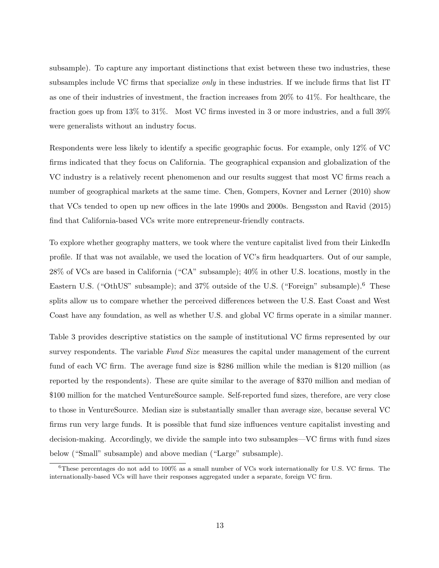subsample). To capture any important distinctions that exist between these two industries, these subsamples include VC firms that specialize *only* in these industries. If we include firms that list IT as one of their industries of investment, the fraction increases from  $20\%$  to  $41\%$ . For healthcare, the fraction goes up from 13% to 31%. Most VC firms invested in 3 or more industries, and a full 39% were generalists without an industry focus.

Respondents were less likely to identify a specific geographic focus. For example, only 12% of VC firms indicated that they focus on California. The geographical expansion and globalization of the VC industry is a relatively recent phenomenon and our results suggest that most VC firms reach a number of geographical markets at the same time. Chen, Gompers, Kovner and Lerner (2010) show that VCs tended to open up new offices in the late 1990s and 2000s. Bengsston and Ravid (2015) find that California-based VCs write more entrepreneur-friendly contracts.

To explore whether geography matters, we took where the venture capitalist lived from their LinkedIn profile. If that was not available, we used the location of VC's firm headquarters. Out of our sample, 28% of VCs are based in California ("CA" subsample); 40% in other U.S. locations, mostly in the Eastern U.S. ("OthUS" subsample); and 37% outside of the U.S. ("Foreign" subsample).<sup>6</sup> These splits allow us to compare whether the perceived differences between the U.S. East Coast and West Coast have any foundation, as well as whether U.S. and global VC firms operate in a similar manner.

Table 3 provides descriptive statistics on the sample of institutional VC firms represented by our survey respondents. The variable Fund Size measures the capital under management of the current fund of each VC firm. The average fund size is \$286 million while the median is \$120 million (as reported by the respondents). These are quite similar to the average of \$370 million and median of \$100 million for the matched VentureSource sample. Self-reported fund sizes, therefore, are very close to those in VentureSource. Median size is substantially smaller than average size, because several VC firms run very large funds. It is possible that fund size influences venture capitalist investing and decision-making. Accordingly, we divide the sample into two subsamples—VC firms with fund sizes below ("Small" subsample) and above median ("Large" subsample).

 $6$ These percentages do not add to 100% as a small number of VCs work internationally for U.S. VC firms. The internationally-based VCs will have their responses aggregated under a separate, foreign VC firm.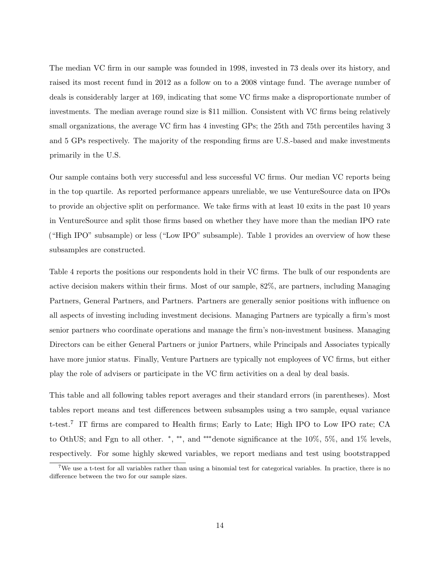The median VC firm in our sample was founded in 1998, invested in 73 deals over its history, and raised its most recent fund in 2012 as a follow on to a 2008 vintage fund. The average number of deals is considerably larger at 169, indicating that some VC firms make a disproportionate number of investments. The median average round size is \$11 million. Consistent with VC firms being relatively small organizations, the average VC firm has 4 investing GPs; the 25th and 75th percentiles having 3 and 5 GPs respectively. The majority of the responding firms are U.S.-based and make investments primarily in the U.S.

Our sample contains both very successful and less successful VC firms. Our median VC reports being in the top quartile. As reported performance appears unreliable, we use VentureSource data on IPOs to provide an objective split on performance. We take firms with at least 10 exits in the past 10 years in VentureSource and split those firms based on whether they have more than the median IPO rate ("High IPO" subsample) or less ("Low IPO" subsample). Table 1 provides an overview of how these subsamples are constructed.

Table 4 reports the positions our respondents hold in their VC firms. The bulk of our respondents are active decision makers within their firms. Most of our sample, 82%, are partners, including Managing Partners, General Partners, and Partners. Partners are generally senior positions with influence on all aspects of investing including investment decisions. Managing Partners are typically a firm's most senior partners who coordinate operations and manage the firm's non-investment business. Managing Directors can be either General Partners or junior Partners, while Principals and Associates typically have more junior status. Finally, Venture Partners are typically not employees of VC firms, but either play the role of advisers or participate in the VC firm activities on a deal by deal basis.

This table and all following tables report averages and their standard errors (in parentheses). Most tables report means and test differences between subsamples using a two sample, equal variance t-test.<sup>7</sup> IT firms are compared to Health firms; Early to Late; High IPO to Low IPO rate; CA to OthUS; and Fgn to all other. \*, \*\*, and \*\*\* denote significance at the 10%, 5%, and 1% levels, respectively. For some highly skewed variables, we report medians and test using bootstrapped

<sup>&</sup>lt;sup>7</sup>We use a t-test for all variables rather than using a binomial test for categorical variables. In practice, there is no difference between the two for our sample sizes.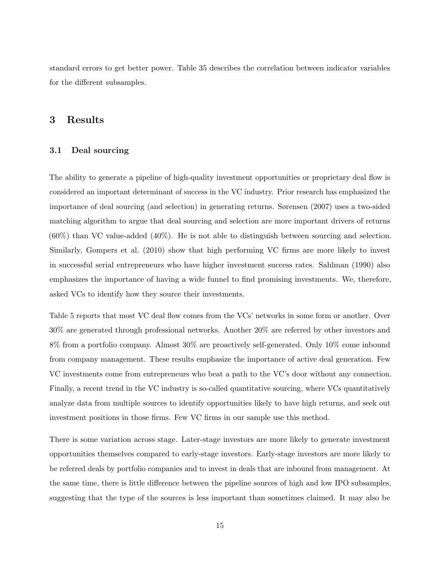standard errors to get better power. Table 35 describes the correlation between indicator variables for the different subsamples.

# 3 Results

## 3.1 Deal sourcing

The ability to generate a pipeline of high-quality investment opportunities or proprietary deal flow is considered an important determinant of success in the VC industry. Prior research has emphasized the importance of deal sourcing (and selection) in generating returns. Sørensen (2007) uses a two-sided matching algorithm to argue that deal sourcing and selection are more important drivers of returns (60%) than VC value-added (40%). He is not able to distinguish between sourcing and selection. Similarly, Gompers et al. (2010) show that high performing VC firms are more likely to invest in successful serial entrepreneurs who have higher investment success rates. Sahlman (1990) also emphasizes the importance of having a wide funnel to find promising investments. We, therefore, asked VCs to identify how they source their investments.

Table 5 reports that most VC deal flow comes from the VCs' networks in some form or another. Over 30% are generated through professional networks. Another 20% are referred by other investors and 8% from a portfolio company. Almost 30% are proactively self-generated. Only 10% come inbound from company management. These results emphasize the importance of active deal generation. Few VC investments come from entrepreneurs who beat a path to the VC's door without any connection. Finally, a recent trend in the VC industry is so-called quantitative sourcing, where VCs quantitatively analyze data from multiple sources to identify opportunities likely to have high returns, and seek out investment positions in those firms. Few VC firms in our sample use this method.

There is some variation across stage. Later-stage investors are more likely to generate investment opportunities themselves compared to early-stage investors. Early-stage investors are more likely to be referred deals by portfolio companies and to invest in deals that are inbound from management. At the same time, there is little difference between the pipeline sources of high and low IPO subsamples, suggesting that the type of the sources is less important than sometimes claimed. It may also be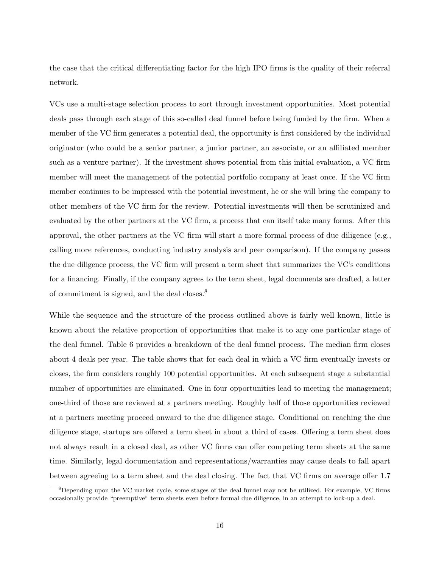the case that the critical differentiating factor for the high IPO firms is the quality of their referral network.

VCs use a multi-stage selection process to sort through investment opportunities. Most potential deals pass through each stage of this so-called deal funnel before being funded by the firm. When a member of the VC firm generates a potential deal, the opportunity is first considered by the individual originator (who could be a senior partner, a junior partner, an associate, or an affiliated member such as a venture partner). If the investment shows potential from this initial evaluation, a VC firm member will meet the management of the potential portfolio company at least once. If the VC firm member continues to be impressed with the potential investment, he or she will bring the company to other members of the VC firm for the review. Potential investments will then be scrutinized and evaluated by the other partners at the VC firm, a process that can itself take many forms. After this approval, the other partners at the VC firm will start a more formal process of due diligence (e.g., calling more references, conducting industry analysis and peer comparison). If the company passes the due diligence process, the VC firm will present a term sheet that summarizes the VC's conditions for a financing. Finally, if the company agrees to the term sheet, legal documents are drafted, a letter of commitment is signed, and the deal closes.<sup>8</sup>

While the sequence and the structure of the process outlined above is fairly well known, little is known about the relative proportion of opportunities that make it to any one particular stage of the deal funnel. Table 6 provides a breakdown of the deal funnel process. The median firm closes about 4 deals per year. The table shows that for each deal in which a VC firm eventually invests or closes, the firm considers roughly 100 potential opportunities. At each subsequent stage a substantial number of opportunities are eliminated. One in four opportunities lead to meeting the management; one-third of those are reviewed at a partners meeting. Roughly half of those opportunities reviewed at a partners meeting proceed onward to the due diligence stage. Conditional on reaching the due diligence stage, startups are offered a term sheet in about a third of cases. Offering a term sheet does not always result in a closed deal, as other VC firms can offer competing term sheets at the same time. Similarly, legal documentation and representations/warranties may cause deals to fall apart between agreeing to a term sheet and the deal closing. The fact that VC firms on average offer 1.7

<sup>&</sup>lt;sup>8</sup>Depending upon the VC market cycle, some stages of the deal funnel may not be utilized. For example, VC firms occasionally provide "preemptive" term sheets even before formal due diligence, in an attempt to lock-up a deal.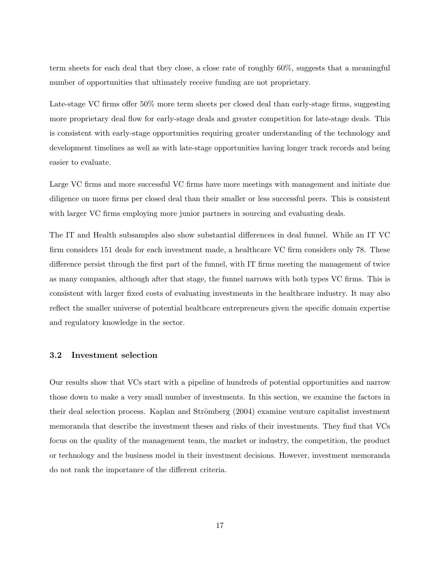term sheets for each deal that they close, a close rate of roughly 60%, suggests that a meaningful number of opportunities that ultimately receive funding are not proprietary.

Late-stage VC firms offer 50% more term sheets per closed deal than early-stage firms, suggesting more proprietary deal flow for early-stage deals and greater competition for late-stage deals. This is consistent with early-stage opportunities requiring greater understanding of the technology and development timelines as well as with late-stage opportunities having longer track records and being easier to evaluate.

Large VC firms and more successful VC firms have more meetings with management and initiate due diligence on more firms per closed deal than their smaller or less successful peers. This is consistent with larger VC firms employing more junior partners in sourcing and evaluating deals.

The IT and Health subsamples also show substantial differences in deal funnel. While an IT VC firm considers 151 deals for each investment made, a healthcare VC firm considers only 78. These difference persist through the first part of the funnel, with IT firms meeting the management of twice as many companies, although after that stage, the funnel narrows with both types VC firms. This is consistent with larger fixed costs of evaluating investments in the healthcare industry. It may also reflect the smaller universe of potential healthcare entrepreneurs given the specific domain expertise and regulatory knowledge in the sector.

## 3.2 Investment selection

Our results show that VCs start with a pipeline of hundreds of potential opportunities and narrow those down to make a very small number of investments. In this section, we examine the factors in their deal selection process. Kaplan and Strömberg (2004) examine venture capitalist investment memoranda that describe the investment theses and risks of their investments. They find that VCs focus on the quality of the management team, the market or industry, the competition, the product or technology and the business model in their investment decisions. However, investment memoranda do not rank the importance of the different criteria.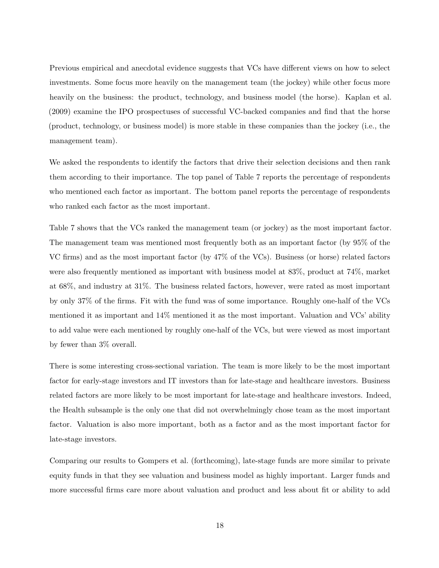Previous empirical and anecdotal evidence suggests that VCs have different views on how to select investments. Some focus more heavily on the management team (the jockey) while other focus more heavily on the business: the product, technology, and business model (the horse). Kaplan et al. (2009) examine the IPO prospectuses of successful VC-backed companies and find that the horse (product, technology, or business model) is more stable in these companies than the jockey (i.e., the management team).

We asked the respondents to identify the factors that drive their selection decisions and then rank them according to their importance. The top panel of Table 7 reports the percentage of respondents who mentioned each factor as important. The bottom panel reports the percentage of respondents who ranked each factor as the most important.

Table 7 shows that the VCs ranked the management team (or jockey) as the most important factor. The management team was mentioned most frequently both as an important factor (by 95% of the VC firms) and as the most important factor (by 47% of the VCs). Business (or horse) related factors were also frequently mentioned as important with business model at 83%, product at 74%, market at 68%, and industry at 31%. The business related factors, however, were rated as most important by only 37% of the firms. Fit with the fund was of some importance. Roughly one-half of the VCs mentioned it as important and 14% mentioned it as the most important. Valuation and VCs' ability to add value were each mentioned by roughly one-half of the VCs, but were viewed as most important by fewer than 3% overall.

There is some interesting cross-sectional variation. The team is more likely to be the most important factor for early-stage investors and IT investors than for late-stage and healthcare investors. Business related factors are more likely to be most important for late-stage and healthcare investors. Indeed, the Health subsample is the only one that did not overwhelmingly chose team as the most important factor. Valuation is also more important, both as a factor and as the most important factor for late-stage investors.

Comparing our results to Gompers et al. (forthcoming), late-stage funds are more similar to private equity funds in that they see valuation and business model as highly important. Larger funds and more successful firms care more about valuation and product and less about fit or ability to add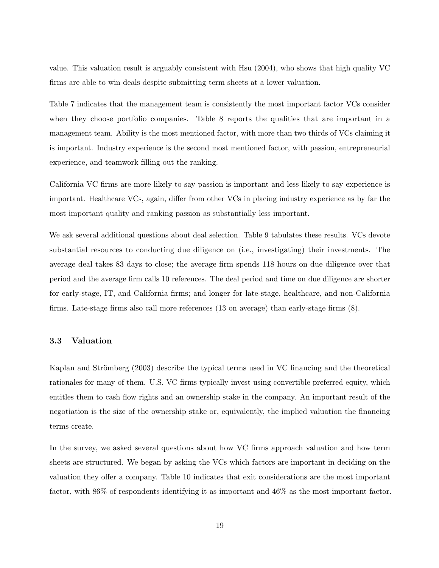value. This valuation result is arguably consistent with Hsu (2004), who shows that high quality VC firms are able to win deals despite submitting term sheets at a lower valuation.

Table 7 indicates that the management team is consistently the most important factor VCs consider when they choose portfolio companies. Table 8 reports the qualities that are important in a management team. Ability is the most mentioned factor, with more than two thirds of VCs claiming it is important. Industry experience is the second most mentioned factor, with passion, entrepreneurial experience, and teamwork filling out the ranking.

California VC firms are more likely to say passion is important and less likely to say experience is important. Healthcare VCs, again, differ from other VCs in placing industry experience as by far the most important quality and ranking passion as substantially less important.

We ask several additional questions about deal selection. Table 9 tabulates these results. VCs devote substantial resources to conducting due diligence on (i.e., investigating) their investments. The average deal takes 83 days to close; the average firm spends 118 hours on due diligence over that period and the average firm calls 10 references. The deal period and time on due diligence are shorter for early-stage, IT, and California firms; and longer for late-stage, healthcare, and non-California firms. Late-stage firms also call more references (13 on average) than early-stage firms (8).

### 3.3 Valuation

Kaplan and Strömberg (2003) describe the typical terms used in VC financing and the theoretical rationales for many of them. U.S. VC firms typically invest using convertible preferred equity, which entitles them to cash flow rights and an ownership stake in the company. An important result of the negotiation is the size of the ownership stake or, equivalently, the implied valuation the financing terms create.

In the survey, we asked several questions about how VC firms approach valuation and how term sheets are structured. We began by asking the VCs which factors are important in deciding on the valuation they offer a company. Table 10 indicates that exit considerations are the most important factor, with 86% of respondents identifying it as important and 46% as the most important factor.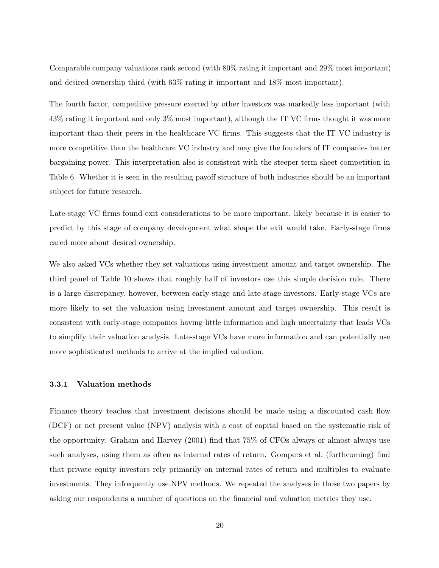Comparable company valuations rank second (with 80% rating it important and 29% most important) and desired ownership third (with 63% rating it important and 18% most important).

The fourth factor, competitive pressure exerted by other investors was markedly less important (with 43% rating it important and only 3% most important), although the IT VC firms thought it was more important than their peers in the healthcare VC firms. This suggests that the IT VC industry is more competitive than the healthcare VC industry and may give the founders of IT companies better bargaining power. This interpretation also is consistent with the steeper term sheet competition in Table 6. Whether it is seen in the resulting payoff structure of both industries should be an important subject for future research.

Late-stage VC firms found exit considerations to be more important, likely because it is easier to predict by this stage of company development what shape the exit would take. Early-stage firms cared more about desired ownership.

We also asked VCs whether they set valuations using investment amount and target ownership. The third panel of Table 10 shows that roughly half of investors use this simple decision rule. There is a large discrepancy, however, between early-stage and late-stage investors. Early-stage VCs are more likely to set the valuation using investment amount and target ownership. This result is consistent with early-stage companies having little information and high uncertainty that leads VCs to simplify their valuation analysis. Late-stage VCs have more information and can potentially use more sophisticated methods to arrive at the implied valuation.

### 3.3.1 Valuation methods

Finance theory teaches that investment decisions should be made using a discounted cash flow (DCF) or net present value (NPV) analysis with a cost of capital based on the systematic risk of the opportunity. Graham and Harvey (2001) find that 75% of CFOs always or almost always use such analyses, using them as often as internal rates of return. Gompers et al. (forthcoming) find that private equity investors rely primarily on internal rates of return and multiples to evaluate investments. They infrequently use NPV methods. We repeated the analyses in those two papers by asking our respondents a number of questions on the financial and valuation metrics they use.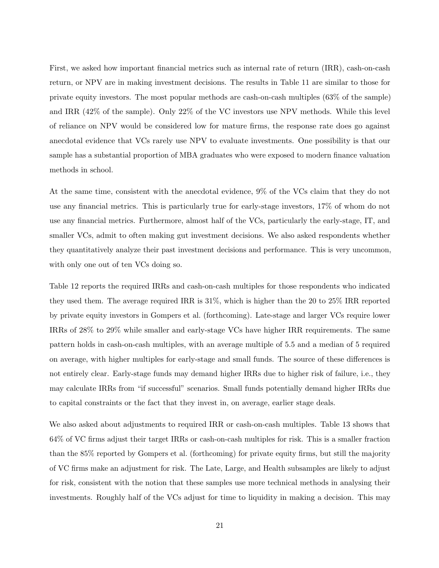First, we asked how important financial metrics such as internal rate of return (IRR), cash-on-cash return, or NPV are in making investment decisions. The results in Table 11 are similar to those for private equity investors. The most popular methods are cash-on-cash multiples (63% of the sample) and IRR (42% of the sample). Only 22% of the VC investors use NPV methods. While this level of reliance on NPV would be considered low for mature firms, the response rate does go against anecdotal evidence that VCs rarely use NPV to evaluate investments. One possibility is that our sample has a substantial proportion of MBA graduates who were exposed to modern finance valuation methods in school.

At the same time, consistent with the anecdotal evidence, 9% of the VCs claim that they do not use any financial metrics. This is particularly true for early-stage investors, 17% of whom do not use any financial metrics. Furthermore, almost half of the VCs, particularly the early-stage, IT, and smaller VCs, admit to often making gut investment decisions. We also asked respondents whether they quantitatively analyze their past investment decisions and performance. This is very uncommon, with only one out of ten VCs doing so.

Table 12 reports the required IRRs and cash-on-cash multiples for those respondents who indicated they used them. The average required IRR is 31%, which is higher than the 20 to 25% IRR reported by private equity investors in Gompers et al. (forthcoming). Late-stage and larger VCs require lower IRRs of 28% to 29% while smaller and early-stage VCs have higher IRR requirements. The same pattern holds in cash-on-cash multiples, with an average multiple of 5.5 and a median of 5 required on average, with higher multiples for early-stage and small funds. The source of these differences is not entirely clear. Early-stage funds may demand higher IRRs due to higher risk of failure, i.e., they may calculate IRRs from "if successful" scenarios. Small funds potentially demand higher IRRs due to capital constraints or the fact that they invest in, on average, earlier stage deals.

We also asked about adjustments to required IRR or cash-on-cash multiples. Table 13 shows that 64% of VC firms adjust their target IRRs or cash-on-cash multiples for risk. This is a smaller fraction than the 85% reported by Gompers et al. (forthcoming) for private equity firms, but still the majority of VC firms make an adjustment for risk. The Late, Large, and Health subsamples are likely to adjust for risk, consistent with the notion that these samples use more technical methods in analysing their investments. Roughly half of the VCs adjust for time to liquidity in making a decision. This may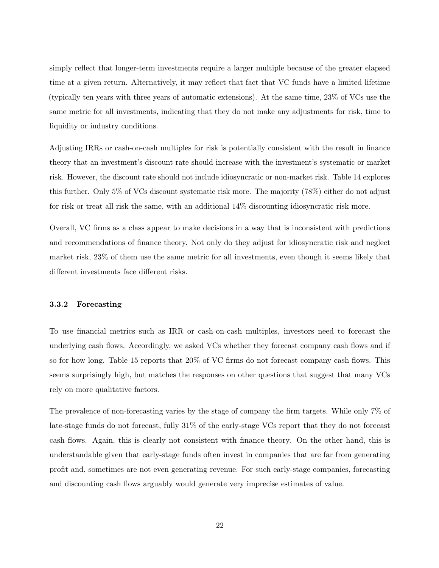simply reflect that longer-term investments require a larger multiple because of the greater elapsed time at a given return. Alternatively, it may reflect that fact that VC funds have a limited lifetime (typically ten years with three years of automatic extensions). At the same time, 23% of VCs use the same metric for all investments, indicating that they do not make any adjustments for risk, time to liquidity or industry conditions.

Adjusting IRRs or cash-on-cash multiples for risk is potentially consistent with the result in finance theory that an investment's discount rate should increase with the investment's systematic or market risk. However, the discount rate should not include idiosyncratic or non-market risk. Table 14 explores this further. Only 5% of VCs discount systematic risk more. The majority (78%) either do not adjust for risk or treat all risk the same, with an additional 14% discounting idiosyncratic risk more.

Overall, VC firms as a class appear to make decisions in a way that is inconsistent with predictions and recommendations of finance theory. Not only do they adjust for idiosyncratic risk and neglect market risk, 23% of them use the same metric for all investments, even though it seems likely that different investments face different risks.

#### 3.3.2 Forecasting

To use financial metrics such as IRR or cash-on-cash multiples, investors need to forecast the underlying cash flows. Accordingly, we asked VCs whether they forecast company cash flows and if so for how long. Table 15 reports that 20% of VC firms do not forecast company cash flows. This seems surprisingly high, but matches the responses on other questions that suggest that many VCs rely on more qualitative factors.

The prevalence of non-forecasting varies by the stage of company the firm targets. While only 7% of late-stage funds do not forecast, fully 31% of the early-stage VCs report that they do not forecast cash flows. Again, this is clearly not consistent with finance theory. On the other hand, this is understandable given that early-stage funds often invest in companies that are far from generating profit and, sometimes are not even generating revenue. For such early-stage companies, forecasting and discounting cash flows arguably would generate very imprecise estimates of value.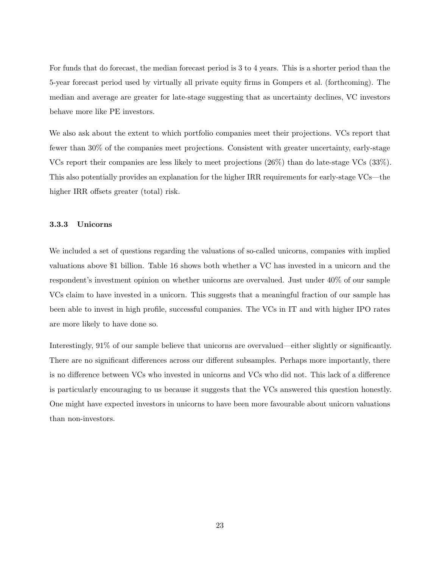For funds that do forecast, the median forecast period is 3 to 4 years. This is a shorter period than the 5-year forecast period used by virtually all private equity firms in Gompers et al. (forthcoming). The median and average are greater for late-stage suggesting that as uncertainty declines, VC investors behave more like PE investors.

We also ask about the extent to which portfolio companies meet their projections. VCs report that fewer than 30% of the companies meet projections. Consistent with greater uncertainty, early-stage VCs report their companies are less likely to meet projections (26%) than do late-stage VCs (33%). This also potentially provides an explanation for the higher IRR requirements for early-stage VCs—the higher IRR offsets greater (total) risk.

## 3.3.3 Unicorns

We included a set of questions regarding the valuations of so-called unicorns, companies with implied valuations above \$1 billion. Table 16 shows both whether a VC has invested in a unicorn and the respondent's investment opinion on whether unicorns are overvalued. Just under 40% of our sample VCs claim to have invested in a unicorn. This suggests that a meaningful fraction of our sample has been able to invest in high profile, successful companies. The VCs in IT and with higher IPO rates are more likely to have done so.

Interestingly, 91% of our sample believe that unicorns are overvalued—either slightly or significantly. There are no significant differences across our different subsamples. Perhaps more importantly, there is no difference between VCs who invested in unicorns and VCs who did not. This lack of a difference is particularly encouraging to us because it suggests that the VCs answered this question honestly. One might have expected investors in unicorns to have been more favourable about unicorn valuations than non-investors.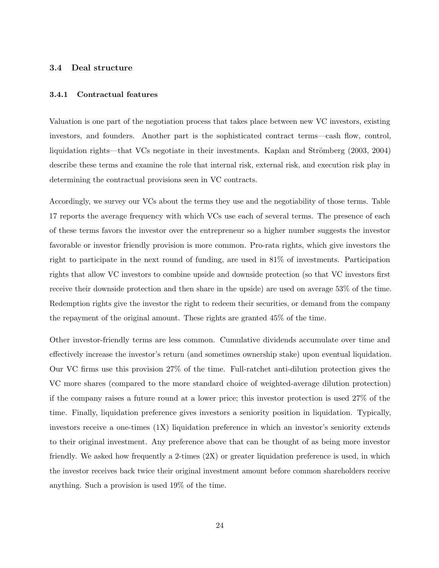### 3.4 Deal structure

#### 3.4.1 Contractual features

Valuation is one part of the negotiation process that takes place between new VC investors, existing investors, and founders. Another part is the sophisticated contract terms—cash flow, control, liquidation rights—that VCs negotiate in their investments. Kaplan and Strömberg (2003, 2004) describe these terms and examine the role that internal risk, external risk, and execution risk play in determining the contractual provisions seen in VC contracts.

Accordingly, we survey our VCs about the terms they use and the negotiability of those terms. Table 17 reports the average frequency with which VCs use each of several terms. The presence of each of these terms favors the investor over the entrepreneur so a higher number suggests the investor favorable or investor friendly provision is more common. Pro-rata rights, which give investors the right to participate in the next round of funding, are used in 81% of investments. Participation rights that allow VC investors to combine upside and downside protection (so that VC investors first receive their downside protection and then share in the upside) are used on average 53% of the time. Redemption rights give the investor the right to redeem their securities, or demand from the company the repayment of the original amount. These rights are granted 45% of the time.

Other investor-friendly terms are less common. Cumulative dividends accumulate over time and effectively increase the investor's return (and sometimes ownership stake) upon eventual liquidation. Our VC firms use this provision 27% of the time. Full-ratchet anti-dilution protection gives the VC more shares (compared to the more standard choice of weighted-average dilution protection) if the company raises a future round at a lower price; this investor protection is used 27% of the time. Finally, liquidation preference gives investors a seniority position in liquidation. Typically, investors receive a one-times (1X) liquidation preference in which an investor's seniority extends to their original investment. Any preference above that can be thought of as being more investor friendly. We asked how frequently a 2-times  $(2X)$  or greater liquidation preference is used, in which the investor receives back twice their original investment amount before common shareholders receive anything. Such a provision is used 19% of the time.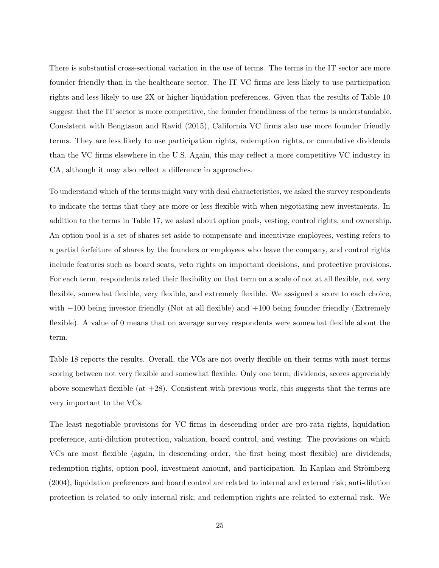There is substantial cross-sectional variation in the use of terms. The terms in the IT sector are more founder friendly than in the healthcare sector. The IT VC firms are less likely to use participation rights and less likely to use 2X or higher liquidation preferences. Given that the results of Table 10 suggest that the IT sector is more competitive, the founder friendliness of the terms is understandable. Consistent with Bengtsson and Ravid (2015), California VC firms also use more founder friendly terms. They are less likely to use participation rights, redemption rights, or cumulative dividends than the VC firms elsewhere in the U.S. Again, this may reflect a more competitive VC industry in CA, although it may also reflect a difference in approaches.

To understand which of the terms might vary with deal characteristics, we asked the survey respondents to indicate the terms that they are more or less flexible with when negotiating new investments. In addition to the terms in Table 17, we asked about option pools, vesting, control rights, and ownership. An option pool is a set of shares set aside to compensate and incentivize employees, vesting refers to a partial forfeiture of shares by the founders or employees who leave the company, and control rights include features such as board seats, veto rights on important decisions, and protective provisions. For each term, respondents rated their flexibility on that term on a scale of not at all flexible, not very flexible, somewhat flexible, very flexible, and extremely flexible. We assigned a score to each choice, with −100 being investor friendly (Not at all flexible) and +100 being founder friendly (Extremely flexible). A value of 0 means that on average survey respondents were somewhat flexible about the term.

Table 18 reports the results. Overall, the VCs are not overly flexible on their terms with most terms scoring between not very flexible and somewhat flexible. Only one term, dividends, scores appreciably above somewhat flexible  $(at +28)$ . Consistent with previous work, this suggests that the terms are very important to the VCs.

The least negotiable provisions for VC firms in descending order are pro-rata rights, liquidation preference, anti-dilution protection, valuation, board control, and vesting. The provisions on which VCs are most flexible (again, in descending order, the first being most flexible) are dividends, redemption rights, option pool, investment amount, and participation. In Kaplan and Strömberg (2004), liquidation preferences and board control are related to internal and external risk; anti-dilution protection is related to only internal risk; and redemption rights are related to external risk. We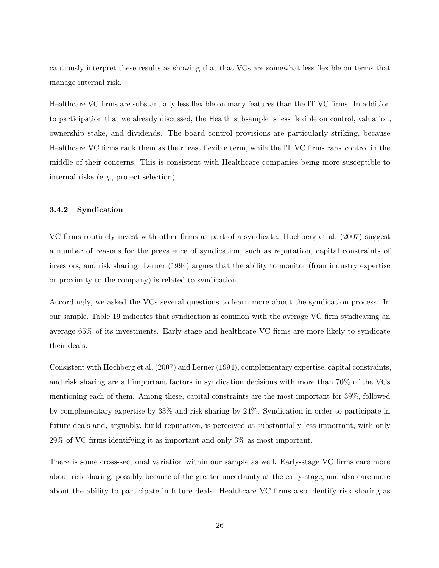cautiously interpret these results as showing that that VCs are somewhat less flexible on terms that manage internal risk.

Healthcare VC firms are substantially less flexible on many features than the IT VC firms. In addition to participation that we already discussed, the Health subsample is less flexible on control, valuation, ownership stake, and dividends. The board control provisions are particularly striking, because Healthcare VC firms rank them as their least flexible term, while the IT VC firms rank control in the middle of their concerns. This is consistent with Healthcare companies being more susceptible to internal risks (e.g., project selection).

#### 3.4.2 Syndication

VC firms routinely invest with other firms as part of a syndicate. Hochberg et al. (2007) suggest a number of reasons for the prevalence of syndication, such as reputation, capital constraints of investors, and risk sharing. Lerner (1994) argues that the ability to monitor (from industry expertise or proximity to the company) is related to syndication.

Accordingly, we asked the VCs several questions to learn more about the syndication process. In our sample, Table 19 indicates that syndication is common with the average VC firm syndicating an average 65% of its investments. Early-stage and healthcare VC firms are more likely to syndicate their deals.

Consistent with Hochberg et al. (2007) and Lerner (1994), complementary expertise, capital constraints, and risk sharing are all important factors in syndication decisions with more than 70% of the VCs mentioning each of them. Among these, capital constraints are the most important for 39%, followed by complementary expertise by 33% and risk sharing by 24%. Syndication in order to participate in future deals and, arguably, build reputation, is perceived as substantially less important, with only 29% of VC firms identifying it as important and only 3% as most important.

There is some cross-sectional variation within our sample as well. Early-stage VC firms care more about risk sharing, possibly because of the greater uncertainty at the early-stage, and also care more about the ability to participate in future deals. Healthcare VC firms also identify risk sharing as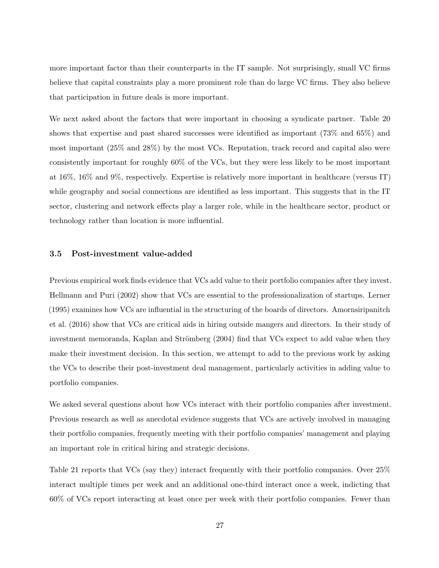more important factor than their counterparts in the IT sample. Not surprisingly, small VC firms believe that capital constraints play a more prominent role than do large VC firms. They also believe that participation in future deals is more important.

We next asked about the factors that were important in choosing a syndicate partner. Table 20 shows that expertise and past shared successes were identified as important (73% and 65%) and most important (25% and 28%) by the most VCs. Reputation, track record and capital also were consistently important for roughly 60% of the VCs, but they were less likely to be most important at 16%, 16% and 9%, respectively. Expertise is relatively more important in healthcare (versus IT) while geography and social connections are identified as less important. This suggests that in the IT sector, clustering and network effects play a larger role, while in the healthcare sector, product or technology rather than location is more influential.

### 3.5 Post-investment value-added

Previous empirical work finds evidence that VCs add value to their portfolio companies after they invest. Hellmann and Puri (2002) show that VCs are essential to the professionalization of startups. Lerner (1995) examines how VCs are influential in the structuring of the boards of directors. Amornsiripanitch et al. (2016) show that VCs are critical aids in hiring outside mangers and directors. In their study of investment memoranda, Kaplan and Strömberg (2004) find that VCs expect to add value when they make their investment decision. In this section, we attempt to add to the previous work by asking the VCs to describe their post-investment deal management, particularly activities in adding value to portfolio companies.

We asked several questions about how VCs interact with their portfolio companies after investment. Previous research as well as anecdotal evidence suggests that VCs are actively involved in managing their portfolio companies, frequently meeting with their portfolio companies' management and playing an important role in critical hiring and strategic decisions.

Table 21 reports that VCs (say they) interact frequently with their portfolio companies. Over 25% interact multiple times per week and an additional one-third interact once a week, indicting that 60% of VCs report interacting at least once per week with their portfolio companies. Fewer than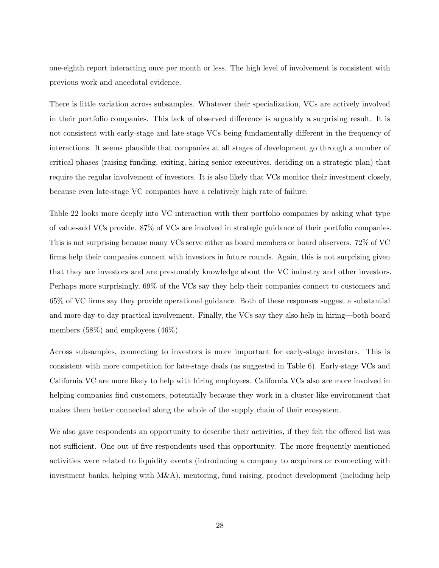one-eighth report interacting once per month or less. The high level of involvement is consistent with previous work and anecdotal evidence.

There is little variation across subsamples. Whatever their specialization, VCs are actively involved in their portfolio companies. This lack of observed difference is arguably a surprising result. It is not consistent with early-stage and late-stage VCs being fundamentally different in the frequency of interactions. It seems plausible that companies at all stages of development go through a number of critical phases (raising funding, exiting, hiring senior executives, deciding on a strategic plan) that require the regular involvement of investors. It is also likely that VCs monitor their investment closely, because even late-stage VC companies have a relatively high rate of failure.

Table 22 looks more deeply into VC interaction with their portfolio companies by asking what type of value-add VCs provide. 87% of VCs are involved in strategic guidance of their portfolio companies. This is not surprising because many VCs serve either as board members or board observers. 72% of VC firms help their companies connect with investors in future rounds. Again, this is not surprising given that they are investors and are presumably knowledge about the VC industry and other investors. Perhaps more surprisingly, 69% of the VCs say they help their companies connect to customers and 65% of VC firms say they provide operational guidance. Both of these responses suggest a substantial and more day-to-day practical involvement. Finally, the VCs say they also help in hiring—both board members (58%) and employees (46%).

Across subsamples, connecting to investors is more important for early-stage investors. This is consistent with more competition for late-stage deals (as suggested in Table 6). Early-stage VCs and California VC are more likely to help with hiring employees. California VCs also are more involved in helping companies find customers, potentially because they work in a cluster-like environment that makes them better connected along the whole of the supply chain of their ecosystem.

We also gave respondents an opportunity to describe their activities, if they felt the offered list was not sufficient. One out of five respondents used this opportunity. The more frequently mentioned activities were related to liquidity events (introducing a company to acquirers or connecting with investment banks, helping with M&A), mentoring, fund raising, product development (including help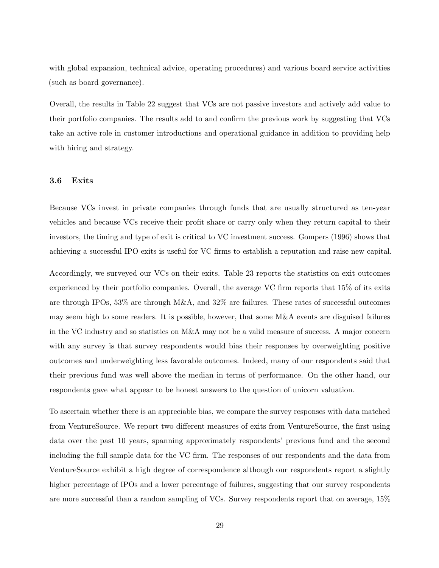with global expansion, technical advice, operating procedures) and various board service activities (such as board governance).

Overall, the results in Table 22 suggest that VCs are not passive investors and actively add value to their portfolio companies. The results add to and confirm the previous work by suggesting that VCs take an active role in customer introductions and operational guidance in addition to providing help with hiring and strategy.

### 3.6 Exits

Because VCs invest in private companies through funds that are usually structured as ten-year vehicles and because VCs receive their profit share or carry only when they return capital to their investors, the timing and type of exit is critical to VC investment success. Gompers (1996) shows that achieving a successful IPO exits is useful for VC firms to establish a reputation and raise new capital.

Accordingly, we surveyed our VCs on their exits. Table 23 reports the statistics on exit outcomes experienced by their portfolio companies. Overall, the average VC firm reports that 15% of its exits are through IPOs, 53% are through M&A, and 32% are failures. These rates of successful outcomes may seem high to some readers. It is possible, however, that some M&A events are disguised failures in the VC industry and so statistics on M&A may not be a valid measure of success. A major concern with any survey is that survey respondents would bias their responses by overweighting positive outcomes and underweighting less favorable outcomes. Indeed, many of our respondents said that their previous fund was well above the median in terms of performance. On the other hand, our respondents gave what appear to be honest answers to the question of unicorn valuation.

To ascertain whether there is an appreciable bias, we compare the survey responses with data matched from VentureSource. We report two different measures of exits from VentureSource, the first using data over the past 10 years, spanning approximately respondents' previous fund and the second including the full sample data for the VC firm. The responses of our respondents and the data from VentureSource exhibit a high degree of correspondence although our respondents report a slightly higher percentage of IPOs and a lower percentage of failures, suggesting that our survey respondents are more successful than a random sampling of VCs. Survey respondents report that on average, 15%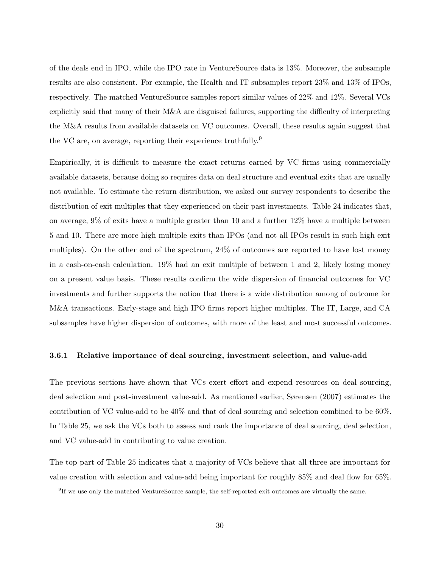of the deals end in IPO, while the IPO rate in VentureSource data is 13%. Moreover, the subsample results are also consistent. For example, the Health and IT subsamples report 23% and 13% of IPOs, respectively. The matched VentureSource samples report similar values of 22% and 12%. Several VCs explicitly said that many of their M&A are disguised failures, supporting the difficulty of interpreting the M&A results from available datasets on VC outcomes. Overall, these results again suggest that the VC are, on average, reporting their experience truthfully.<sup>9</sup>

Empirically, it is difficult to measure the exact returns earned by VC firms using commercially available datasets, because doing so requires data on deal structure and eventual exits that are usually not available. To estimate the return distribution, we asked our survey respondents to describe the distribution of exit multiples that they experienced on their past investments. Table 24 indicates that, on average, 9% of exits have a multiple greater than 10 and a further 12% have a multiple between 5 and 10. There are more high multiple exits than IPOs (and not all IPOs result in such high exit multiples). On the other end of the spectrum, 24% of outcomes are reported to have lost money in a cash-on-cash calculation. 19% had an exit multiple of between 1 and 2, likely losing money on a present value basis. These results confirm the wide dispersion of financial outcomes for VC investments and further supports the notion that there is a wide distribution among of outcome for M&A transactions. Early-stage and high IPO firms report higher multiples. The IT, Large, and CA subsamples have higher dispersion of outcomes, with more of the least and most successful outcomes.

#### 3.6.1 Relative importance of deal sourcing, investment selection, and value-add

The previous sections have shown that VCs exert effort and expend resources on deal sourcing, deal selection and post-investment value-add. As mentioned earlier, Sørensen (2007) estimates the contribution of VC value-add to be 40% and that of deal sourcing and selection combined to be 60%. In Table 25, we ask the VCs both to assess and rank the importance of deal sourcing, deal selection, and VC value-add in contributing to value creation.

The top part of Table 25 indicates that a majority of VCs believe that all three are important for value creation with selection and value-add being important for roughly 85% and deal flow for 65%.

<sup>&</sup>lt;sup>9</sup>If we use only the matched VentureSource sample, the self-reported exit outcomes are virtually the same.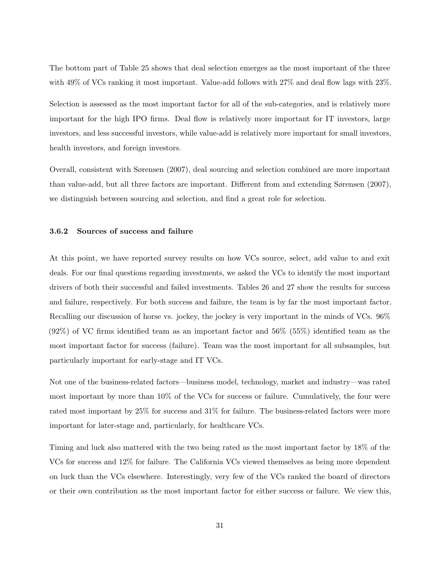The bottom part of Table 25 shows that deal selection emerges as the most important of the three with 49% of VCs ranking it most important. Value-add follows with 27% and deal flow lags with 23%.

Selection is assessed as the most important factor for all of the sub-categories, and is relatively more important for the high IPO firms. Deal flow is relatively more important for IT investors, large investors, and less successful investors, while value-add is relatively more important for small investors, health investors, and foreign investors.

Overall, consistent with Sørensen (2007), deal sourcing and selection combined are more important than value-add, but all three factors are important. Different from and extending Sørensen (2007), we distinguish between sourcing and selection, and find a great role for selection.

#### 3.6.2 Sources of success and failure

At this point, we have reported survey results on how VCs source, select, add value to and exit deals. For our final questions regarding investments, we asked the VCs to identify the most important drivers of both their successful and failed investments. Tables 26 and 27 show the results for success and failure, respectively. For both success and failure, the team is by far the most important factor. Recalling our discussion of horse vs. jockey, the jockey is very important in the minds of VCs. 96%  $(92\%)$  of VC firms identified team as an important factor and  $56\%$  (55%) identified team as the most important factor for success (failure). Team was the most important for all subsamples, but particularly important for early-stage and IT VCs.

Not one of the business-related factors—business model, technology, market and industry—was rated most important by more than 10% of the VCs for success or failure. Cumulatively, the four were rated most important by 25% for success and 31% for failure. The business-related factors were more important for later-stage and, particularly, for healthcare VCs.

Timing and luck also mattered with the two being rated as the most important factor by 18% of the VCs for success and 12% for failure. The California VCs viewed themselves as being more dependent on luck than the VCs elsewhere. Interestingly, very few of the VCs ranked the board of directors or their own contribution as the most important factor for either success or failure. We view this,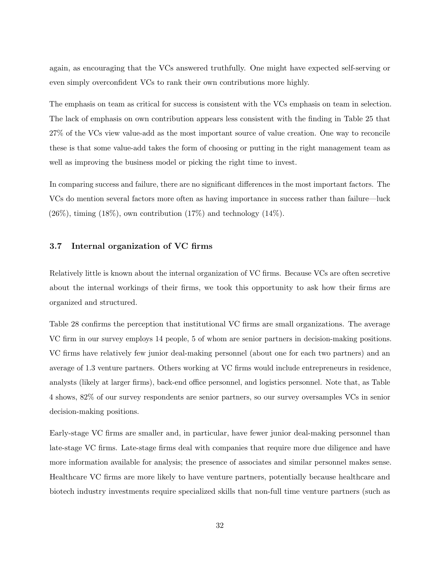again, as encouraging that the VCs answered truthfully. One might have expected self-serving or even simply overconfident VCs to rank their own contributions more highly.

The emphasis on team as critical for success is consistent with the VCs emphasis on team in selection. The lack of emphasis on own contribution appears less consistent with the finding in Table 25 that 27% of the VCs view value-add as the most important source of value creation. One way to reconcile these is that some value-add takes the form of choosing or putting in the right management team as well as improving the business model or picking the right time to invest.

In comparing success and failure, there are no significant differences in the most important factors. The VCs do mention several factors more often as having importance in success rather than failure—luck  $(26\%)$ , timing  $(18\%)$ , own contribution  $(17\%)$  and technology  $(14\%)$ .

## 3.7 Internal organization of VC firms

Relatively little is known about the internal organization of VC firms. Because VCs are often secretive about the internal workings of their firms, we took this opportunity to ask how their firms are organized and structured.

Table 28 confirms the perception that institutional VC firms are small organizations. The average VC firm in our survey employs 14 people, 5 of whom are senior partners in decision-making positions. VC firms have relatively few junior deal-making personnel (about one for each two partners) and an average of 1.3 venture partners. Others working at VC firms would include entrepreneurs in residence, analysts (likely at larger firms), back-end office personnel, and logistics personnel. Note that, as Table 4 shows, 82% of our survey respondents are senior partners, so our survey oversamples VCs in senior decision-making positions.

Early-stage VC firms are smaller and, in particular, have fewer junior deal-making personnel than late-stage VC firms. Late-stage firms deal with companies that require more due diligence and have more information available for analysis; the presence of associates and similar personnel makes sense. Healthcare VC firms are more likely to have venture partners, potentially because healthcare and biotech industry investments require specialized skills that non-full time venture partners (such as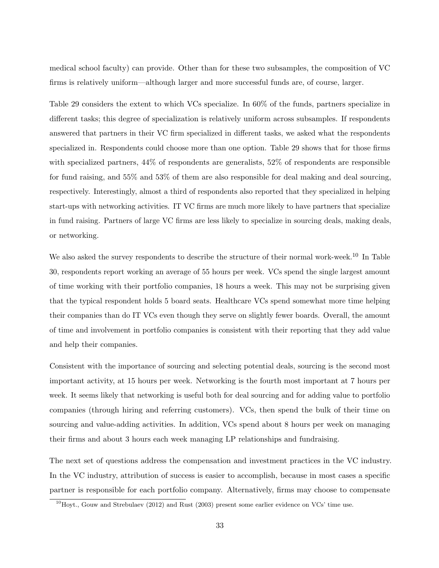medical school faculty) can provide. Other than for these two subsamples, the composition of VC firms is relatively uniform—although larger and more successful funds are, of course, larger.

Table 29 considers the extent to which VCs specialize. In 60% of the funds, partners specialize in different tasks; this degree of specialization is relatively uniform across subsamples. If respondents answered that partners in their VC firm specialized in different tasks, we asked what the respondents specialized in. Respondents could choose more than one option. Table 29 shows that for those firms with specialized partners, 44% of respondents are generalists, 52% of respondents are responsible for fund raising, and 55% and 53% of them are also responsible for deal making and deal sourcing, respectively. Interestingly, almost a third of respondents also reported that they specialized in helping start-ups with networking activities. IT VC firms are much more likely to have partners that specialize in fund raising. Partners of large VC firms are less likely to specialize in sourcing deals, making deals, or networking.

We also asked the survey respondents to describe the structure of their normal work-week.<sup>10</sup> In Table 30, respondents report working an average of 55 hours per week. VCs spend the single largest amount of time working with their portfolio companies, 18 hours a week. This may not be surprising given that the typical respondent holds 5 board seats. Healthcare VCs spend somewhat more time helping their companies than do IT VCs even though they serve on slightly fewer boards. Overall, the amount of time and involvement in portfolio companies is consistent with their reporting that they add value and help their companies.

Consistent with the importance of sourcing and selecting potential deals, sourcing is the second most important activity, at 15 hours per week. Networking is the fourth most important at 7 hours per week. It seems likely that networking is useful both for deal sourcing and for adding value to portfolio companies (through hiring and referring customers). VCs, then spend the bulk of their time on sourcing and value-adding activities. In addition, VCs spend about 8 hours per week on managing their firms and about 3 hours each week managing LP relationships and fundraising.

The next set of questions address the compensation and investment practices in the VC industry. In the VC industry, attribution of success is easier to accomplish, because in most cases a specific partner is responsible for each portfolio company. Alternatively, firms may choose to compensate

 $10$ Hoyt., Gouw and Strebulaev (2012) and Rust (2003) present some earlier evidence on VCs' time use.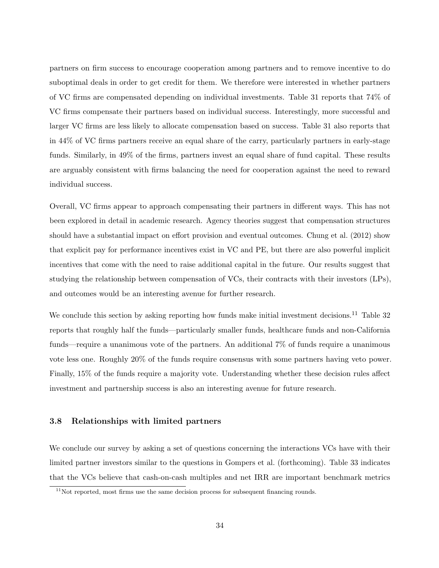partners on firm success to encourage cooperation among partners and to remove incentive to do suboptimal deals in order to get credit for them. We therefore were interested in whether partners of VC firms are compensated depending on individual investments. Table 31 reports that 74% of VC firms compensate their partners based on individual success. Interestingly, more successful and larger VC firms are less likely to allocate compensation based on success. Table 31 also reports that in 44% of VC firms partners receive an equal share of the carry, particularly partners in early-stage funds. Similarly, in 49% of the firms, partners invest an equal share of fund capital. These results are arguably consistent with firms balancing the need for cooperation against the need to reward individual success.

Overall, VC firms appear to approach compensating their partners in different ways. This has not been explored in detail in academic research. Agency theories suggest that compensation structures should have a substantial impact on effort provision and eventual outcomes. Chung et al. (2012) show that explicit pay for performance incentives exist in VC and PE, but there are also powerful implicit incentives that come with the need to raise additional capital in the future. Our results suggest that studying the relationship between compensation of VCs, their contracts with their investors (LPs), and outcomes would be an interesting avenue for further research.

We conclude this section by asking reporting how funds make initial investment decisions.<sup>11</sup> Table 32 reports that roughly half the funds—particularly smaller funds, healthcare funds and non-California funds—require a unanimous vote of the partners. An additional 7% of funds require a unanimous vote less one. Roughly 20% of the funds require consensus with some partners having veto power. Finally, 15% of the funds require a majority vote. Understanding whether these decision rules affect investment and partnership success is also an interesting avenue for future research.

## 3.8 Relationships with limited partners

We conclude our survey by asking a set of questions concerning the interactions VCs have with their limited partner investors similar to the questions in Gompers et al. (forthcoming). Table 33 indicates that the VCs believe that cash-on-cash multiples and net IRR are important benchmark metrics

 $11$ Not reported, most firms use the same decision process for subsequent financing rounds.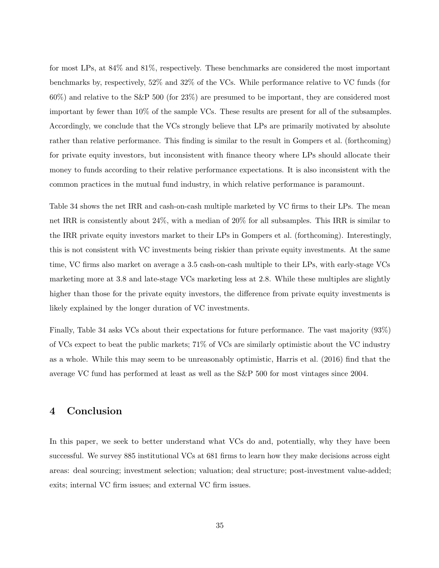for most LPs, at 84% and 81%, respectively. These benchmarks are considered the most important benchmarks by, respectively, 52% and 32% of the VCs. While performance relative to VC funds (for 60%) and relative to the S&P 500 (for 23%) are presumed to be important, they are considered most important by fewer than 10% of the sample VCs. These results are present for all of the subsamples. Accordingly, we conclude that the VCs strongly believe that LPs are primarily motivated by absolute rather than relative performance. This finding is similar to the result in Gompers et al. (forthcoming) for private equity investors, but inconsistent with finance theory where LPs should allocate their money to funds according to their relative performance expectations. It is also inconsistent with the common practices in the mutual fund industry, in which relative performance is paramount.

Table 34 shows the net IRR and cash-on-cash multiple marketed by VC firms to their LPs. The mean net IRR is consistently about 24%, with a median of 20% for all subsamples. This IRR is similar to the IRR private equity investors market to their LPs in Gompers et al. (forthcoming). Interestingly, this is not consistent with VC investments being riskier than private equity investments. At the same time, VC firms also market on average a 3.5 cash-on-cash multiple to their LPs, with early-stage VCs marketing more at 3.8 and late-stage VCs marketing less at 2.8. While these multiples are slightly higher than those for the private equity investors, the difference from private equity investments is likely explained by the longer duration of VC investments.

Finally, Table 34 asks VCs about their expectations for future performance. The vast majority (93%) of VCs expect to beat the public markets; 71% of VCs are similarly optimistic about the VC industry as a whole. While this may seem to be unreasonably optimistic, Harris et al. (2016) find that the average VC fund has performed at least as well as the S&P 500 for most vintages since 2004.

# 4 Conclusion

In this paper, we seek to better understand what VCs do and, potentially, why they have been successful. We survey 885 institutional VCs at 681 firms to learn how they make decisions across eight areas: deal sourcing; investment selection; valuation; deal structure; post-investment value-added; exits; internal VC firm issues; and external VC firm issues.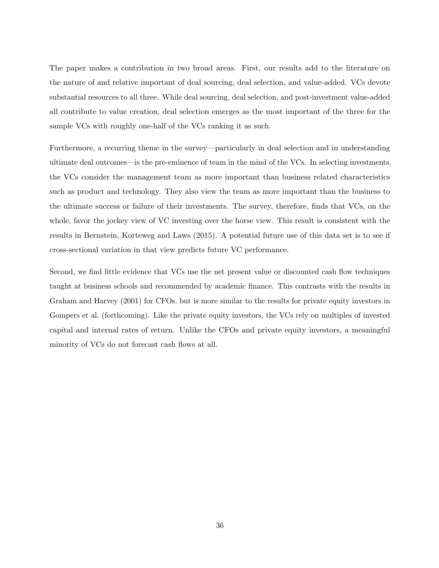The paper makes a contribution in two broad areas. First, our results add to the literature on the nature of and relative important of deal sourcing, deal selection, and value-added. VCs devote substantial resources to all three. While deal sourcing, deal selection, and post-investment value-added all contribute to value creation, deal selection emerges as the most important of the three for the sample VCs with roughly one-half of the VCs ranking it as such.

Furthermore, a recurring theme in the survey—particularly in deal selection and in understanding ultimate deal outcomes—is the pre-eminence of team in the mind of the VCs. In selecting investments, the VCs consider the management team as more important than business related characteristics such as product and technology. They also view the team as more important than the business to the ultimate success or failure of their investments. The survey, therefore, finds that VCs, on the whole, favor the jockey view of VC investing over the horse view. This result is consistent with the results in Bernstein, Korteweg and Laws (2015). A potential future use of this data set is to see if cross-sectional variation in that view predicts future VC performance.

Second, we find little evidence that VCs use the net present value or discounted cash flow techniques taught at business schools and recommended by academic finance. This contrasts with the results in Graham and Harvey (2001) for CFOs, but is more similar to the results for private equity investors in Gompers et al. (forthcoming). Like the private equity investors, the VCs rely on multiples of invested capital and internal rates of return. Unlike the CFOs and private equity investors, a meaningful minority of VCs do not forecast cash flows at all.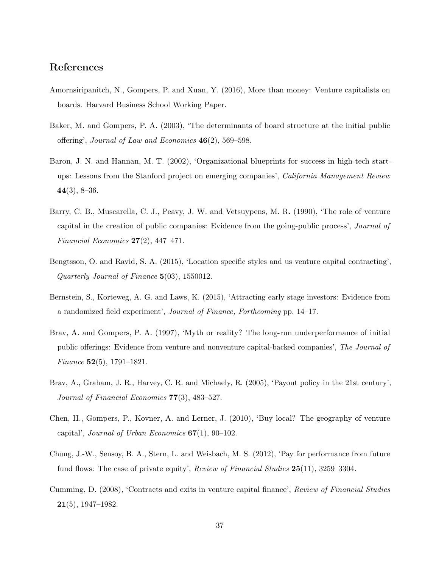# References

- Amornsiripanitch, N., Gompers, P. and Xuan, Y. (2016), More than money: Venture capitalists on boards. Harvard Business School Working Paper.
- Baker, M. and Gompers, P. A. (2003), 'The determinants of board structure at the initial public offering', Journal of Law and Economics  $46(2)$ , 569–598.
- Baron, J. N. and Hannan, M. T. (2002), 'Organizational blueprints for success in high-tech startups: Lessons from the Stanford project on emerging companies', California Management Review  $44(3), 8-36.$
- Barry, C. B., Muscarella, C. J., Peavy, J. W. and Vetsuypens, M. R. (1990), 'The role of venture capital in the creation of public companies: Evidence from the going-public process', Journal of Financial Economics  $27(2)$ , 447-471.
- Bengtsson, O. and Ravid, S. A. (2015), 'Location specific styles and us venture capital contracting', Quarterly Journal of Finance 5(03), 1550012.
- Bernstein, S., Korteweg, A. G. and Laws, K. (2015), 'Attracting early stage investors: Evidence from a randomized field experiment', Journal of Finance, Forthcoming pp. 14–17.
- Brav, A. and Gompers, P. A. (1997), 'Myth or reality? The long-run underperformance of initial public offerings: Evidence from venture and nonventure capital-backed companies', The Journal of *Finance* 52(5), 1791–1821.
- Brav, A., Graham, J. R., Harvey, C. R. and Michaely, R. (2005), 'Payout policy in the 21st century', Journal of Financial Economics 77(3), 483–527.
- Chen, H., Gompers, P., Kovner, A. and Lerner, J. (2010), 'Buy local? The geography of venture capital', Journal of Urban Economics  $67(1)$ , 90-102.
- Chung, J.-W., Sensoy, B. A., Stern, L. and Weisbach, M. S. (2012), 'Pay for performance from future fund flows: The case of private equity', Review of Financial Studies 25(11), 3259-3304.
- Cumming, D. (2008), 'Contracts and exits in venture capital finance', Review of Financial Studies 21(5), 1947–1982.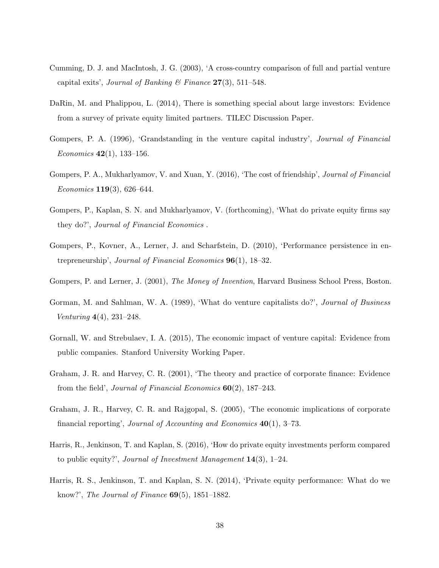- Cumming, D. J. and MacIntosh, J. G. (2003), 'A cross-country comparison of full and partial venture capital exits', Journal of Banking & Finance  $27(3)$ , 511–548.
- DaRin, M. and Phalippou, L. (2014), There is something special about large investors: Evidence from a survey of private equity limited partners. TILEC Discussion Paper.
- Gompers, P. A. (1996), 'Grandstanding in the venture capital industry', *Journal of Financial* Economics  $42(1)$ , 133-156.
- Gompers, P. A., Mukharlyamov, V. and Xuan, Y. (2016), 'The cost of friendship', *Journal of Financial* Economics 119(3), 626–644.
- Gompers, P., Kaplan, S. N. and Mukharlyamov, V. (forthcoming), 'What do private equity firms say they do?', Journal of Financial Economics .
- Gompers, P., Kovner, A., Lerner, J. and Scharfstein, D. (2010), 'Performance persistence in entrepreneurship', Journal of Financial Economics 96(1), 18–32.
- Gompers, P. and Lerner, J. (2001), *The Money of Invention*, Harvard Business School Press, Boston.
- Gorman, M. and Sahlman, W. A. (1989), 'What do venture capitalists do?', *Journal of Business Venturing*  $4(4)$ ,  $231-248$ .
- Gornall, W. and Strebulaev, I. A. (2015), The economic impact of venture capital: Evidence from public companies. Stanford University Working Paper.
- Graham, J. R. and Harvey, C. R. (2001), 'The theory and practice of corporate finance: Evidence from the field', *Journal of Financial Economics*  $60(2)$ , 187–243.
- Graham, J. R., Harvey, C. R. and Rajgopal, S. (2005), 'The economic implications of corporate financial reporting', Journal of Accounting and Economics  $40(1)$ , 3–73.
- Harris, R., Jenkinson, T. and Kaplan, S. (2016), 'How do private equity investments perform compared to public equity?', *Journal of Investment Management*  $14(3)$ , 1–24.
- Harris, R. S., Jenkinson, T. and Kaplan, S. N. (2014), 'Private equity performance: What do we know?', The Journal of Finance  $69(5)$ , 1851–1882.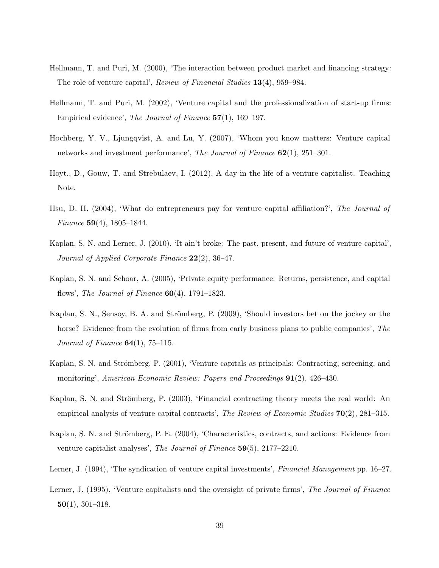- Hellmann, T. and Puri, M. (2000), 'The interaction between product market and financing strategy: The role of venture capital', Review of Financial Studies 13(4), 959–984.
- Hellmann, T. and Puri, M. (2002), 'Venture capital and the professionalization of start-up firms: Empirical evidence', The Journal of Finance 57(1), 169–197.
- Hochberg, Y. V., Ljungqvist, A. and Lu, Y. (2007), 'Whom you know matters: Venture capital networks and investment performance', The Journal of Finance 62(1), 251–301.
- Hoyt., D., Gouw, T. and Strebulaev, I. (2012), A day in the life of a venture capitalist. Teaching Note.
- Hsu, D. H. (2004), 'What do entrepreneurs pay for venture capital affiliation?', The Journal of Finance 59(4), 1805–1844.
- Kaplan, S. N. and Lerner, J. (2010), 'It ain't broke: The past, present, and future of venture capital', Journal of Applied Corporate Finance  $22(2)$ , 36-47.
- Kaplan, S. N. and Schoar, A. (2005), 'Private equity performance: Returns, persistence, and capital flows', The Journal of Finance  $60(4)$ , 1791–1823.
- Kaplan, S. N., Sensoy, B. A. and Strömberg, P. (2009), 'Should investors bet on the jockey or the horse? Evidence from the evolution of firms from early business plans to public companies', The Journal of Finance  $64(1)$ , 75-115.
- Kaplan, S. N. and Strömberg, P. (2001), 'Venture capitals as principals: Contracting, screening, and monitoring', American Economic Review: Papers and Proceedings  $91(2)$ , 426–430.
- Kaplan, S. N. and Strömberg, P. (2003), 'Financial contracting theory meets the real world: An empirical analysis of venture capital contracts', The Review of Economic Studies  $70(2)$ , 281–315.
- Kaplan, S. N. and Strömberg, P. E. (2004), 'Characteristics, contracts, and actions: Evidence from venture capitalist analyses', The Journal of Finance 59(5), 2177–2210.
- Lerner, J. (1994), 'The syndication of venture capital investments', Financial Management pp. 16–27.
- Lerner, J. (1995), 'Venture capitalists and the oversight of private firms', The Journal of Finance 50(1), 301–318.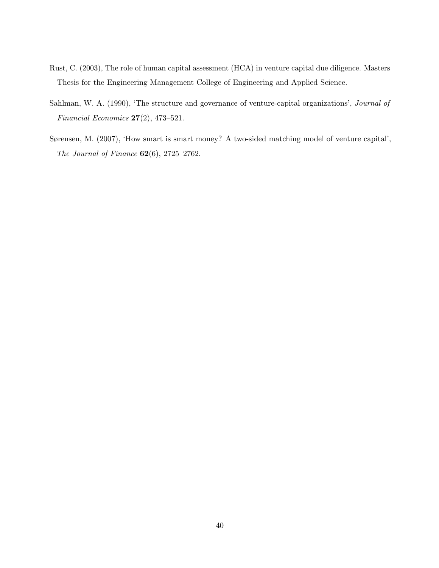- Rust, C. (2003), The role of human capital assessment (HCA) in venture capital due diligence. Masters Thesis for the Engineering Management College of Engineering and Applied Science.
- Sahlman, W. A. (1990), 'The structure and governance of venture-capital organizations', Journal of Financial Economics  $27(2)$ , 473-521.
- Sørensen, M. (2007), 'How smart is smart money? A two-sided matching model of venture capital', The Journal of Finance  $62(6)$ , 2725–2762.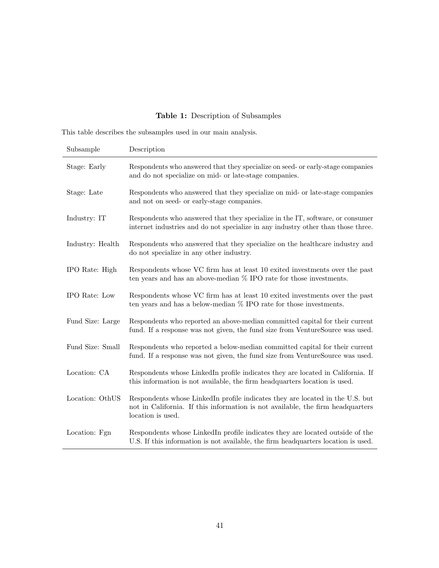# Table 1: Description of Subsamples

This table describes the subsamples used in our main analysis.

| Subsample        | Description                                                                                                                                                                          |
|------------------|--------------------------------------------------------------------------------------------------------------------------------------------------------------------------------------|
| Stage: Early     | Respondents who answered that they specialize on seed- or early-stage companies<br>and do not specialize on mid- or late-stage companies.                                            |
| Stage: Late      | Respondents who answered that they specialize on mid- or late-stage companies<br>and not on seed- or early-stage companies.                                                          |
| Industry: IT     | Respondents who answered that they specialize in the IT, software, or consumer<br>internet industries and do not specialize in any industry other than those three.                  |
| Industry: Health | Respondents who answered that they specialize on the healthcare industry and<br>do not specialize in any other industry.                                                             |
| IPO Rate: High   | Respondents whose VC firm has at least 10 exited investments over the past<br>ten years and has an above-median $\%$ IPO rate for those investments.                                 |
| IPO Rate: Low    | Respondents whose VC firm has at least 10 exited investments over the past<br>ten years and has a below-median $\%$ IPO rate for those investments.                                  |
| Fund Size: Large | Respondents who reported an above-median committed capital for their current<br>fund. If a response was not given, the fund size from VentureSource was used.                        |
| Fund Size: Small | Respondents who reported a below-median committed capital for their current<br>fund. If a response was not given, the fund size from VentureSource was used.                         |
| Location: CA     | Respondents whose LinkedIn profile indicates they are located in California. If<br>this information is not available, the firm headquarters location is used.                        |
| Location: OthUS  | Respondents whose LinkedIn profile indicates they are located in the U.S. but<br>not in California. If this information is not available, the firm headquarters<br>location is used. |
| Location: Fgn    | Respondents whose LinkedIn profile indicates they are located outside of the<br>U.S. If this information is not available, the firm headquarters location is used.                   |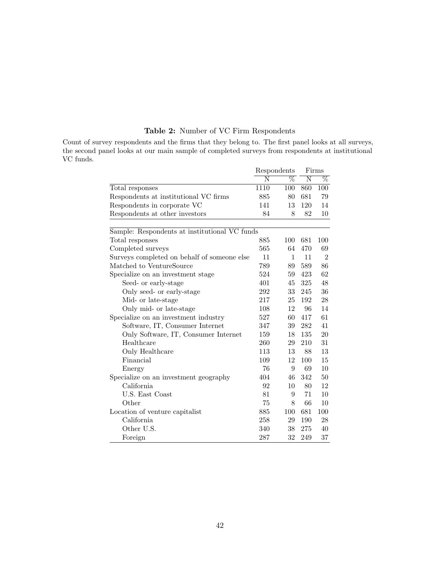|  |  |  |  | Table 2: Number of VC Firm Respondents |
|--|--|--|--|----------------------------------------|
|--|--|--|--|----------------------------------------|

Count of survey respondents and the firms that they belong to. The first panel looks at all surveys, the second panel looks at our main sample of completed surveys from respondents at institutional VC funds.

|                                               | Respondents |      |     | Firms          |
|-----------------------------------------------|-------------|------|-----|----------------|
|                                               | N           | $\%$ | N   | $\%$           |
| Total responses                               | 1110        | 100  | 860 | 100            |
| Respondents at institutional VC firms         | 885         | 80   | 681 | 79             |
| Respondents in corporate VC                   | 141         | 13   | 120 | 14             |
| Respondents at other investors                | 84          | 8    | 82  | 10             |
| Sample: Respondents at institutional VC funds |             |      |     |                |
| Total responses                               | 885         | 100  | 681 | 100            |
| Completed surveys                             | 565         | 64   | 470 | 69             |
| Surveys completed on behalf of someone else   | 11          | 1    | 11  | $\overline{2}$ |
| Matched to VentureSource                      | 789         | 89   | 589 | 86             |
| Specialize on an investment stage             | 524         | 59   | 423 | 62             |
| Seed- or early-stage                          | 401         | 45   | 325 | 48             |
| Only seed- or early-stage                     | 292         | 33   | 245 | 36             |
| Mid- or late-stage                            | 217         | 25   | 192 | $28\,$         |
| Only mid- or late-stage                       | 108         | 12   | 96  | 14             |
| Specialize on an investment industry          | 527         | 60   | 417 | 61             |
| Software, IT, Consumer Internet               | 347         | 39   | 282 | 41             |
| Only Software, IT, Consumer Internet          | 159         | 18   | 135 | 20             |
| Healthcare                                    | 260         | 29   | 210 | 31             |
| Only Healthcare                               | 113         | 13   | 88  | 13             |
| Financial                                     | 109         | 12   | 100 | 15             |
| Energy                                        | 76          | 9    | 69  | 10             |
| Specialize on an investment geography         | 404         | 46   | 342 | 50             |
| California                                    | 92          | 10   | 80  | 12             |
| U.S. East Coast                               | 81          | 9    | 71  | 10             |
| Other                                         | 75          | 8    | 66  | 10             |
| Location of venture capitalist                | 885         | 100  | 681 | 100            |
| California                                    | 258         | 29   | 190 | 28             |
| Other U.S.                                    | 340         | 38   | 275 | 40             |
| Foreign                                       | 287         | 32   | 249 | 37             |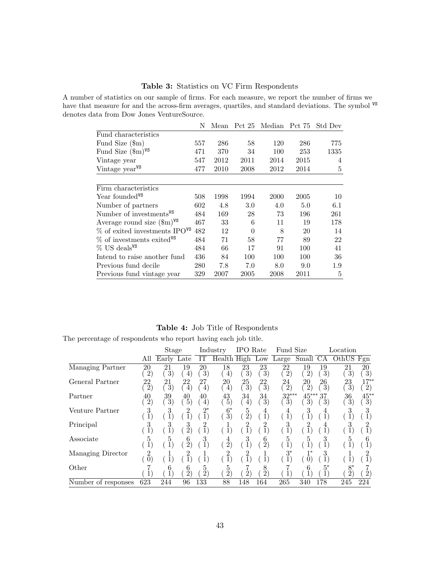## Table 3: Statistics on VC Firm Respondents

A number of statistics on our sample of firms. For each measure, we report the number of firms we have that measure for and the across-firm averages, quartiles, and standard deviations. The symbol  $^{vs}$ denotes data from Dow Jones VentureSource.

|                                              | Ν   | Mean |          | Pct 25 Median | Pct 75 | Std Dev        |
|----------------------------------------------|-----|------|----------|---------------|--------|----------------|
| Fund characteristics                         |     |      |          |               |        |                |
| Fund Size $(\text{m})$                       | 557 | 286  | 58       | 120           | 286    | 775            |
| Fund Size $(\text{m})^{\text{VS}}$           | 471 | 370  | 34       | 100           | 253    | 1335           |
| Vintage year                                 | 547 | 2012 | 2011     | 2014          | 2015   | $\overline{4}$ |
| Vintage year <sup>vs</sup>                   | 477 | 2010 | 2008     | 2012          | 2014   | 5              |
| Firm characteristics                         |     |      |          |               |        |                |
| Year founded <sup>VS</sup>                   | 508 | 1998 | 1994     | 2000          | 2005   | 10             |
| Number of partners                           | 602 | 4.8  | 3.0      | 4.0           | 5.0    | 6.1            |
| Number of investments <sup>ys</sup>          | 484 | 169  | 28       | 73            | 196    | 261            |
| Average round size $(\text{m})^{\text{VS}}$  | 467 | 33   | 6        | 11            | 19     | 178            |
| $\%$ of exited investments IPO <sup>VS</sup> | 482 | 12   | $\theta$ | 8             | 20     | 14             |
| % of investments exited <sup>vs</sup>        | 484 | 71   | 58       | 77            | 89     | 22             |
| % US deals <sup>vs</sup>                     | 484 | 66   | 17       | 91            | 100    | 41             |
| Intend to raise another fund                 | 436 | 84   | 100      | 100           | 100    | 36             |
| Previous fund decile                         | 280 | 7.8  | 7.0      | 8.0           | 9.0    | $1.9\,$        |
| Previous fund vintage year                   | 329 | 2007 | 2005     | 2008          | 2011   | 5              |

Table 4: Job Title of Respondents

The percentage of respondents who report having each job title.

|                     |                              | Stage      |                      |                        | Industry                | <b>IPO</b> Rate        |                        | Fund Size                    |                        |                      | Location                |                                  |
|---------------------|------------------------------|------------|----------------------|------------------------|-------------------------|------------------------|------------------------|------------------------------|------------------------|----------------------|-------------------------|----------------------------------|
|                     | All                          | Early Late |                      | IT                     |                         |                        |                        | Health High Low Large        | Small CA               |                      | $\overline{O}thUS$ Fgn  |                                  |
| Managing Partner    | 20<br>$\left 2\right\rangle$ | 21<br>3    | 19<br>$\overline{4}$ | 20<br>3)               | 18<br>$\vert 4 \vert$   | 23<br>$ 3\rangle$      | 23<br>$ 3\rangle$      | 22<br>$\left 2\right\rangle$ | 19<br>$\overline{2}$   | 19<br>$\mathfrak{Z}$ | 21<br>3                 | 20<br>-3)                        |
| General Partner     | 22<br>2)                     | 21<br>3    | 22<br>$\overline{4}$ | 27<br>4)               | 20<br>$\vert 4 \vert$   | 25<br>3                | 22<br>$\binom{3}{}$    | 24<br>$\left( 2\right)$      | 20<br>$\overline{2}$   | 26<br>3              | 23<br>3                 | $17**$<br>$\left 2\right\rangle$ |
| Partner             | 40<br>$ 2\rangle$            | 39<br>3    | 40<br>5)             | 40<br>4)               | 43<br>5 <sup>°</sup>    | 34<br>$\overline{4}$   | 34<br>$ 3\rangle$      | $32***$<br>3)                | $45***$<br>$ 3\rangle$ | 37<br>$3^{\circ}$    | 36<br>3                 | $45**$<br>3)                     |
| Venture Partner     | 3                            | 3          |                      |                        | $6^*$<br>$\overline{3}$ | 5<br>$\left( 2\right)$ | 4<br>$ 1\rangle$       | 4<br>$\left  \right $        | 3                      |                      | 3                       |                                  |
| Principal           | 3                            | 3          | 3<br>$\mathbf{2}$    |                        | 1)                      | 1)                     | $\overline{1}$         | 3                            |                        |                      | 3                       |                                  |
| Associate           | $\mathcal{D}$                | 5          | 6<br>$\overline{2}$  | 3                      | 4<br>$\bar{2}$          | 3<br>1)                | 6<br>$\left( 2\right)$ | G                            | G                      | O                    |                         |                                  |
| Managing Director   | 2<br>$\left( 0\right)$       |            |                      |                        | 2<br>$1^{\circ}$        | $_{1}$                 | $\left  \right $       | $3^*$                        | $\left( 0\right)$      | 3                    |                         |                                  |
| Other               |                              | b          | b<br>$\overline{2}$  | G<br>$\left( 2\right)$ | 5<br>$\left( 2\right)$  | $\overline{2}$         | 8<br>$\left( 2\right)$ |                              | O                      | $5*$                 | $8^*$<br>$\overline{2}$ | $\left 2\right\rangle$           |
| Number of responses | 623                          | 244        | 96                   | 133                    | 88                      | 148                    | 164                    | 265                          | 340                    | 178                  | 245                     | 224                              |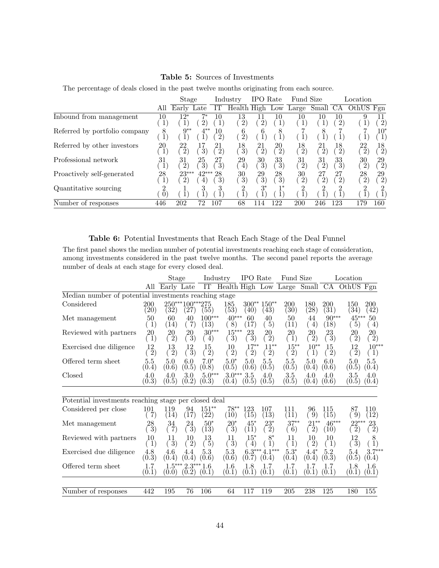|                               |                        | Stage           |                              | Industry                   |                      | <b>IPO</b> Rate      |                          | Fund Size               |                   | Location                     |                      |              |
|-------------------------------|------------------------|-----------------|------------------------------|----------------------------|----------------------|----------------------|--------------------------|-------------------------|-------------------|------------------------------|----------------------|--------------|
|                               | All                    | Early Late      |                              | ΙТ                         | Health High          |                      | Low                      | Large                   | Small CA          |                              | OthUS Fgn            |              |
| Inbound from management       | 10                     | $12^{\ast}$     | 2 <sub>1</sub>               | 10                         | 13<br>$\overline{2}$ | 11<br>$\overline{2}$ | 10                       | 10                      | 10                | 10<br>$\overline{2}$         |                      | 2            |
| Referred by portfolio company | 8<br>$1^{\circ}$       | $9^{**}$        |                              | 10<br>$\overline{2}$       | 6<br>$\overline{2}$  | 6                    | 8                        |                         |                   |                              |                      | $10^{\ast}$  |
| Referred by other investors   | 20                     | 22<br>$\bar{2}$ | 3                            | $\bar{2}$                  | 18<br>$ 3\rangle$    | 21<br>$\bar{2}$      | $20\,$<br>$\overline{2}$ | 18<br>$\left( 2\right)$ | 21<br>$\bar{2}$ ) | 18<br>$\left 2\right\rangle$ | 22<br>$\bar{2}$      | $^{18}_{2)}$ |
| Professional network          | 31                     | 31<br>$\bar{2}$ | $^{25}_{3)}$                 | 27<br>$\mathbf{3}^{\circ}$ | 29<br>$\ket{4}$      | 30<br>3              | 33<br>3                  | 31<br>$\bar{2}$         | 31<br>$\bar{2}$ , | $3^{3}_{3}$                  | 30<br>$\overline{2}$ | $^{29}_{2)}$ |
| Proactively self-generated    | 28                     | $23***$<br>2    | $42***$<br>$\left( 4\right)$ | 28<br>3                    | $\frac{30}{3}$       | 29<br>3              | 28.<br>3                 | 30<br>$\tilde{2}$       | 27<br>$\dot{2}$   | 27<br>$\overline{2}$         | 28<br>$\overline{2}$ | $^{29}_{2)}$ |
| Quantitative sourcing         | $\left 0\right\rangle$ |                 |                              |                            | ച                    | $3^*$                |                          |                         |                   |                              |                      |              |
| Number of responses           | 446                    | 202             | 72                           | 107                        | 68                   | 114                  | 122                      | 200                     | 246               | 123                          | 179                  | 160          |

Table 5: Sources of Investments

The percentage of deals closed in the past twelve months originating from each source.

### Table 6: Potential Investments that Reach Each Stage of the Deal Funnel

The first panel shows the median number of potential investments reaching each stage of consideration, among investments considered in the past twelve months. The second panel reports the average number of deals at each stage for every closed deal.

|                                                       |                                        | Stage               |                                                              |                               | Industry                                                 | <b>IPO</b> Rate    |                         | Fund Size                                       |                             |                             | Location                                 |                              |
|-------------------------------------------------------|----------------------------------------|---------------------|--------------------------------------------------------------|-------------------------------|----------------------------------------------------------|--------------------|-------------------------|-------------------------------------------------|-----------------------------|-----------------------------|------------------------------------------|------------------------------|
|                                                       | All                                    | Early Late          |                                                              | IT                            |                                                          |                    |                         |                                                 |                             |                             | Health High Low Large Small CA OthUS Fgn |                              |
| Median number of potential investments reaching stage |                                        |                     |                                                              |                               |                                                          |                    |                         |                                                 |                             |                             |                                          |                              |
| Considered                                            | 200<br>(20)                            | (32)                | $250***100***275$<br>(27)                                    | (55)                          | 185<br>$\left( 53\right)$                                | (40)               | $300**150**$<br>(43)    | 200<br>$\left( 30\right)$                       | 180<br>(28)                 | 200<br>(31)                 | 150<br>(34)                              | 200<br>(42)                  |
| Met management                                        | 50<br><sup>1</sup>                     | 60<br>(14)          | 40<br>$\left( 7\right)$                                      | $100***$<br>(13)              | $40***$<br>(8)                                           | 60<br>(17)         | 40<br>5)                | 50<br>(11)                                      | 44<br>4)                    | $90^{\ast\ast\ast}$<br>(18) | $45***$<br>5)                            | 50<br>4)                     |
| Reviewed with partners                                | $20_{\scriptscriptstyle \rm s}$<br>-1) | 20<br>$\binom{2}{}$ | 20<br>$\left(\begin{smallmatrix} 3 \end{smallmatrix}\right)$ | $30***$<br>4)                 | $15***$<br>(3)                                           | 23<br>$\bar{ }$ 3) | 20<br>$\binom{2}{}$     | 20<br>(1)                                       | 20<br>$\binom{5}{2}$        | 23<br>$\left(3\right)$      | 20<br>$\binom{2}{}$                      | 20<br>$\left( \ \ 2 \right)$ |
| Exercised due diligence                               | 12<br>$\bar{2})$                       | 13<br>2             | 12<br>$\tilde{ }3)$                                          | 15<br> 2)                     | 10<br>2)                                                 | $17***$<br>(2)     | $11***$<br>2)           | $15^{**}$<br>2)                                 | $10^{**}$<br>$\binom{1}{1}$ | 15<br>2)                    | 12<br>$\bar{2})$                         | $10***$<br>(1)               |
| Offered term sheet                                    | 5.5<br>(0.4)                           | 5.0<br>(0.6)        | 6.0<br>(0.5)                                                 | $7.0*$<br>(0.8)               | $5.0*$<br>(0.5)                                          | $5.0\,$<br>(0.6)   | $5.5\,$<br>(0.5)        | $5.5\,$<br>(0.5)                                | 5.0<br>(0.4)                | 6.0<br>(0.6)                | $5.0\,$<br>(0.5)                         | $5.5\,$<br>(0.4)             |
| Closed                                                | 4.0<br>(0.3)                           | 4.0<br>(0.5)        | $3.0\,$<br>(0.2)                                             | $5.0***$<br>(0.3)             | $3.0***$<br>(0.4)                                        | 3.5<br>(0.5)       | 4.0<br>(0.5)            | 3.5<br>(0.5)                                    | 4.0<br>(0.4)                | 4.0<br>(0.6)                | 3.5<br>(0.5)                             | 4.0<br>(0.4)                 |
| Potential investments reaching stage per closed deal  |                                        |                     |                                                              |                               |                                                          |                    |                         |                                                 |                             |                             |                                          |                              |
| Considered per close                                  | 101<br>7)                              | 119<br>(14)         | 94<br>$\left( 17\right)$                                     | $151**$<br>$\left( 22\right)$ | $78^{**}$<br>(10)                                        | 123<br>(15)        | 107<br>(13)             | 111<br>(11)                                     | 96<br>(9)                   | 115<br>(15)                 | 87<br>(9)                                | 110<br>(12)                  |
| Met management                                        | $^{28}_{3)}$                           | 34<br>7)            | 24<br>$\bar{3}$                                              | $50*$<br>$\left(13\right)$    | $20*$<br>$\left( \begin{array}{c} 3 \end{array} \right)$ | $45*$<br>(11)      | $23^{\ast}$<br>2)       | $37**$<br>(6)                                   | $21**$<br>(2)               | $46***$<br>10)              | $22^{***}$<br>2)                         | 23<br>2)                     |
| Reviewed with partners                                | 10<br><sup>1</sup>                     | 11<br>3)            | 10<br>(2)                                                    | 13<br>5)                      | 3)                                                       | $15*$<br>4         | 8*<br>1)                | $\left( \begin{array}{c} 1 \end{array} \right)$ | 10<br>$\binom{2}{}$         | 10<br><sup>1</sup>          | 12<br>$\overline{3})$                    | 8<br>$\vert$ 1)              |
| Exercised due diligence                               | 4.8<br>(0.3)                           | 4.6<br>(0.4)        | 4.4<br>(0.4)                                                 | 5.3<br>(0.6)                  | $5.3\,$<br>(0.6)                                         | (0.7)              | $6.3***4.1***$<br>(0.4) | $5.3^\ast$<br>(0.4)                             | $4.4*$<br>(0.4)             | 5.2<br>(0.3)                | 5.4<br>(0.5)                             | $3.7***$<br>(0.4)            |
| Offered term sheet                                    | 1.7<br>(0.1)                           | (0.0)               | $1.5***2.3***1.6$<br>(0.2)                                   | (0.1)                         | $1.6\,$<br>(0.1)                                         | 1.8<br>(0.1)       | 1.7<br>(0.1)            | 1.7<br>(0.1)                                    | 1.7<br>(0.1)                | 1.7<br>(0.1)                | 1.8<br>(0.1)                             | 1.6<br>(0.1)                 |
| Number of responses                                   | 442                                    | 195                 | 76                                                           | 106                           | 64                                                       | 117                | 119                     | 205                                             | 238                         | 125                         | 180                                      | 155                          |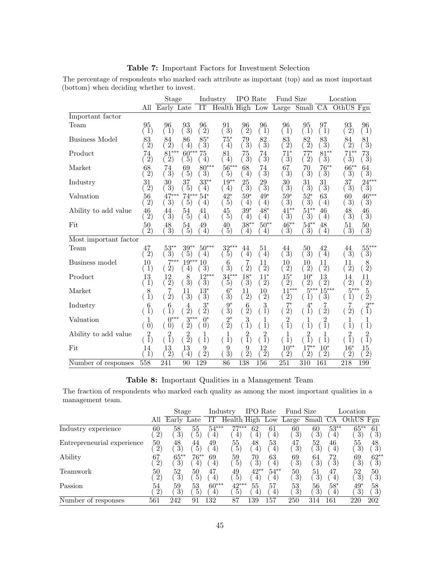| <b>Table 7:</b> Important Factors for Investment Selection                                                                                    |  |
|-----------------------------------------------------------------------------------------------------------------------------------------------|--|
| The percentage of respondents who marked each attribute as important (top) and as most important<br>(bottom) when deciding whether to invest. |  |

|                       |                                   | Stage                             |                                |                            | Industry                 | <b>IPO</b> Rate                                             |                                   | Fund Size                              |                                                        |                                                   | Location                                                 |                                                            |
|-----------------------|-----------------------------------|-----------------------------------|--------------------------------|----------------------------|--------------------------|-------------------------------------------------------------|-----------------------------------|----------------------------------------|--------------------------------------------------------|---------------------------------------------------|----------------------------------------------------------|------------------------------------------------------------|
|                       | All                               | Early Late                        |                                | IT                         | Health High Low          |                                                             |                                   | Large                                  | Small <sub>CA</sub>                                    |                                                   | OthUS Fgn                                                |                                                            |
| Important factor      |                                   |                                   |                                |                            |                          |                                                             |                                   |                                        |                                                        |                                                   |                                                          |                                                            |
| Team                  | 95<br>$\left(1\right)$            | 96<br>$\left(1\right)$            | $^{93}_{3)}$                   | $\frac{96}{2}$             | $\substack{91\3}$        | $\frac{96}{2}$                                              | $\substack{96 \ (1)}$             | $^{96}_{(1)}$                          | $\binom{95}{1}$                                        | $^{97}_{(1)}$                                     | $\binom{93}{2}$                                          | 96<br>(1)                                                  |
| <b>Business Model</b> | $\binom{83}{2}$                   | 84<br>(2)                         | 86<br>-4                       | $85^*$<br>$\hat{3}$        | $75^{\circ}$<br>4)       | $\binom{79}{3}$                                             | $\frac{82}{3}$                    | $\binom{83}{2}$                        | $\binom{82}{2}$                                        | $\binom{83}{3}$                                   | $\binom{84}{2}$                                          | $\binom{81}{3}$                                            |
| Product               | 74<br>2)                          | $81***$<br>$\left( \ \ 2\right)$  | $60^{***}$<br>$\left(5\right)$ | 75<br>(4)                  | 81<br>4                  | $\left(\begin{smallmatrix} 75 \ 3 \end{smallmatrix}\right)$ | $\binom{74}{3}$                   | $\binom{71^*}{3}$                      | $\left( \begin{array}{c} 2 \end{array} \right)$        | $81***$<br>$\left(\overline{\overline{3}}\right)$ | $71***$<br>(3)                                           | $\binom{73}{3}$                                            |
| Market                | 68<br>$\left( \frac{1}{2}\right)$ | 74<br>$\left(3\right)$            | $\binom{69}{5}$                | $80***$<br>(3)             | $56***$<br>(5)           | 68<br>4)                                                    | $\binom{74}{3}$                   | 67<br>$\binom{3}{}$                    | 70<br>$\left( \frac{3}{2} \right)$                     | $76***$<br>$\binom{3}{}$                          | $66***$<br>$\left(\begin{array}{c} 3 \end{array}\right)$ | 64<br>$\check{\text{}}(3)$                                 |
| Industry              | $\left( \bar{2} \right)$          | 30<br>$\left(3\right)$            | 37<br>5)                       | $33^{**}$<br>4)            | $19**$<br>4)             | 25<br>$\tilde{(}3)$                                         | $\frac{29}{3}$                    | 30<br>$\check{(}3)$                    | $\frac{31}{(3)}$                                       | $^{31}_{(3)}$                                     | 37<br>(3)                                                | $24***$<br>$\left( \begin{array}{c} 3 \end{array} \right)$ |
| Valuation             | 56<br>$\left( 2\right)$           | $47**$<br>(3)                     | $74***$<br>5)                  | $54^*$<br>4)               | $42*$<br>$\overline{5})$ | $59*$<br>(4)                                                | $49*$<br>(4)                      | $59*$<br>$\check{3}$                   | $\binom{52^*}{3}$                                      | 63<br>$\mathbb{Z}(4)$                             | 60<br>$\check{(-3)}$                                     | 46***<br>$\left(\ \text{3}\right)$                         |
| Ability to add value  | 46<br>2)                          | 44<br>(3)                         | 54<br>$\left(5\right)$         | 41<br>4)                   | 45<br>5)                 | $39*$<br>(4)                                                | $48*$<br>(4)                      | $41**$<br>(3)                          | $51**$<br>(3)                                          | 46<br>4)                                          | 48<br>$\left( \begin{array}{c} 3 \end{array} \right)$    | 46<br>$(\; \bar{3})$                                       |
| Fit                   | 50<br>2                           | 48<br>$\left(3\right)$            | 54<br>5 <sup>2</sup>           | 49<br>4                    | 40<br>5)                 | $38***$<br>4)                                               | $50**$<br>4)                      | $46***$<br>$\left(3\right)$            | $54**$<br>-3)                                          | 48<br>4                                           | 51<br>$\left(3\right)$                                   | 50<br>$\left(3\right)$                                     |
| Most important factor |                                   |                                   |                                |                            |                          |                                                             |                                   |                                        |                                                        |                                                   |                                                          |                                                            |
| Team                  | 47<br>$\binom{1}{2}$              | $53^{**}$<br>$\tilde{}}3)$        | $39**$<br>$\left(5\right)$     | $50***$<br>-4)             | $32***$<br>$\mathbf{5})$ | 44<br>$\left(4\right)$                                      | 51<br>(4)                         | $\binom{44}{3}$                        | 50<br>$(\v3)$                                          | 42<br>$\left( \overline{4}\right)$                | 44<br>$\left( \overline{\textbf{3}} \right)$             | 55***<br>$\check{(3)}$                                     |
| Business model        | 10<br>$ 1\rangle$                 | $7***$<br>2)                      | $19***$<br>4                   | 10<br>3)                   | 6<br>$\overline{3})$     | $\dot{2}$                                                   | $\genfrac{}{}{0pt}{}{11}{2}$      | 10<br>$\binom{5}{2}$                   | $\binom{10}{2}$                                        | $\frac{11}{2}$                                    | $\frac{11}{2}$                                           | $_{2}^{8}$                                                 |
| Product               | 13<br>$\overline{1})$             | $^{\mathbf{12}}\mathbf{\hat{2})}$ | 8<br>$\mathfrak{Z}$            | $12***$<br>$\overline{3})$ | $34***$<br>5)            | $18^{*}$<br>$\bar{(\,\,3)}$                                 | $11^*$<br>$\tilde{(-2)}$          | $15*$<br>$\binom{5}{2}$                | $10^*$<br>$\left(\begin{matrix} 2 \end{matrix}\right)$ | 13<br>$\left[ 2\right)$                           | 14<br>$\left(\overline{2}\right)$                        | 11<br>$\bar{2})$                                           |
| Market                | $^{8}_{1)}$                       | $\dot{2}$                         | $\bar{3}$                      | $13^*$<br>$\left(3\right)$ | $6^*$<br>$\check{3})$    | 11<br>$\left(\bar{2}\right)$                                | $10\,$<br>$\bar{2})$              | $11***$<br>$\left( \ 2\right)$         | $5***$<br>$ 1\rangle$                                  | $5***$<br>3)                                      | $5***$<br>(1)                                            | 5 <sub>1</sub><br>$\tilde{2})$                             |
| Industry              | 6<br>$\overline{1})$              | 6<br>$\overline{1})$              | $\overline{2})$                | $^{3*}_{2)}$               | $^{9*}_{3}$              | $\binom{6}{2}$                                              | 3<br>$\tilde{1})$                 | $\dot{2})$                             | $\left( \begin{array}{c} 1 \end{array} \right)$        | $\dot{2}$                                         | $\left( \begin{array}{c} \dot{2} \end{array} \right)$    | $2^{**}$<br>1)                                             |
| Valuation             | $\vert 0 \rangle$                 | $0***$<br>(0)                     | $3***$<br>$\left( 2\right)$    | $0^*$<br>$\left( 0\right)$ | $\frac{2^*}{2}$          | $\binom{3}{1}$                                              | $\overline{1})$                   | $(\begin{matrix} 2 \\ 1 \end{matrix})$ | $\left( \bar{1} \right)$                               | $^{2}_{1}$                                        | $\left(\begin{array}{c}\bar{1}\end{array}\right)$        | $\overline{1})$                                            |
| Ability to add value  | 2<br>$\overline{1})$              | 2<br>1)                           | 2<br>$\left(\bar{2}\right)$    | $\left(1\right)$           | 1)                       | $\begin{pmatrix} 2 \\ 1 \end{pmatrix}$                      | 2<br>$(\bar{1})$                  | 1<br>(1)                               | $\binom{2}{1}$                                         | (1)                                               | $\binom{2}{1}$                                           | $\binom{2}{1}$                                             |
| Fit                   | 14<br>$\ket{1}$                   | 13<br>2                           | 13<br>$\left(4\right)$         | 9<br>$\left( 2\right)$     | 9<br>$\overline{3})$     | 9<br>$\left( 2\right)$                                      | 12<br>$\left(\overline{2}\right)$ | $10^{**}$<br>2)                        | $17**$<br>2                                            | $10*$<br>2)                                       | $16*$<br>$\left 2\right\rangle$                          | 15<br>-2)                                                  |
| Number of responses   | 558                               | 241                               | 90                             | 129                        | 86                       | 138                                                         | 156                               | 251                                    | 310                                                    | 161                                               | 218                                                      | 199                                                        |

Table 8: Important Qualities in a Management Team

The fraction of respondents who marked each quality as among the most important qualities in a management team.

|                            |                                                       | Stage                |                         |                         | Industry               | <b>IPO</b> Rate         |                          | Fund Size         |                            | Location                |                                   |                |
|----------------------------|-------------------------------------------------------|----------------------|-------------------------|-------------------------|------------------------|-------------------------|--------------------------|-------------------|----------------------------|-------------------------|-----------------------------------|----------------|
|                            | All                                                   | Early Late           |                         |                         | Health High            |                         | Low                      | Large             | Small CA                   |                         | OthUS Fgn                         |                |
| Industry experience        | $^{60}_{2)}$                                          | $\frac{58}{3}$       | 55<br>$\overline{5}$    | $54***$                 | 1717***                | 62,                     | 61<br>$\overline{4}$     | 60<br>3           | 60<br>$\mathbf{3}^{\circ}$ | $53^{**}$               | $65^{**}$<br>$\mathbf{3}^{\circ}$ | 61<br>3        |
| Entrepreneurial experience | $50_{\scriptscriptstyle \rm \odot}$<br>$\overline{2}$ | $\frac{48}{3}$       | 44<br>$5^{\circ}$       | 49<br>$\left( 4\right)$ | $\frac{55}{5}$         | 48<br>$\left( 4\right)$ | 53<br>$\overline{4}$     | 47<br>$3^{\circ}$ | 52<br>$3^{\circ}$          | 46<br>$\ket{4}$         | $\frac{55}{3}$                    | 48<br>-3       |
| Ability                    | 67<br>$\overline{2}$                                  | $\binom{65^{**}}{3}$ | $76***$<br>4            | 69<br>$4^{\circ}$       | $\frac{59}{5}$         | $^{70}_{3)}$            | 63<br>$\overline{4}$     | 69<br>$3^{\circ}$ | 64<br>$\overline{3}$       | $^{72}_{3)}$            | 69<br>$\mathbf{3}^{\prime}$       | $62^{**}$<br>3 |
| Teamwork                   | $^{50}_{2}$                                           | $^{52}_{3)}$         | $^{50}_{\phantom{00}5}$ | 47<br>$\left( 4\right)$ | 49<br>$5^{\circ}$      | $42**$<br>4             | $54^{**}$<br>$4^{\circ}$ | $^{50}_{31}$      | 51<br>$\mathfrak{Z}$       | 47<br>$\left( 4\right)$ | 52<br>3                           | 50<br>3        |
| Passion                    | $\frac{54}{2}$                                        | $\frac{59}{3}$       | 53.<br>$\overline{5}$   | $60***$<br>4            | $42***$<br>$5^{\circ}$ | 55<br>4                 | 57<br>4                  | $^{53}_{3}$       | 56<br>3                    | $58*$<br>4              | $49*$<br>3                        | 58<br>3        |
| Number of responses        | 561                                                   | 242                  | 91                      | 132                     | 87                     | 139                     | 157                      | 250               | 314                        | 161                     | 220                               | 202            |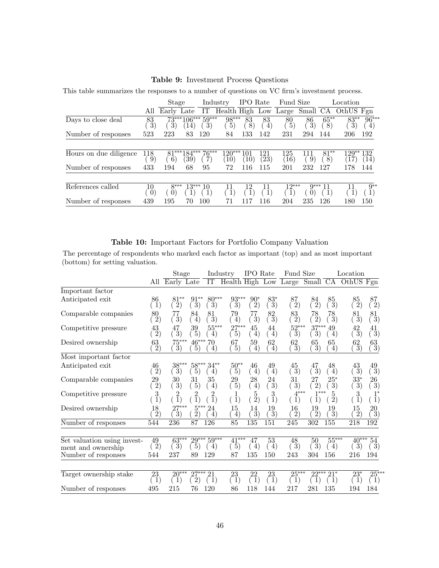|                        | Stage                               |                             |                    |                              | Industry            | <b>IPO</b> Rate |                           | Fund Size            |                         | Location     |                                |                        |  |
|------------------------|-------------------------------------|-----------------------------|--------------------|------------------------------|---------------------|-----------------|---------------------------|----------------------|-------------------------|--------------|--------------------------------|------------------------|--|
|                        | All                                 | Early Late                  |                    | IT                           | Health High Low     |                 |                           | Large                | Small CA                |              | OthUS Fgn                      |                        |  |
| Days to close deal     | 83,<br>$\left( \frac{1}{2} \right)$ | $\left 3\right\rangle$      | 73***106***<br>14) | $59***$<br>3)                | 98***<br>5)         | 83<br>8         | 83<br>$\overline{4}$      | 80<br>5 <sup>°</sup> | 86<br>-3)               | $65***$<br>8 | $83**$<br>$\mathbf{3}^{\circ}$ | $96***$<br>$ 4\rangle$ |  |
| Number of responses    | 523                                 | 223                         | 83                 | 120                          | 84                  | 133             | 142                       | 231                  | 294                     | 144          | 206                            | 192                    |  |
| Hours on due diligence | 118<br>$\left 9\right\rangle$       | $81***1$<br>6)              | $184***$<br>(39)   | $76***$<br>$\left( 7\right)$ | $120^{***}$<br>(10) | 101<br>10)      | 121<br>$(\bar{2}\bar{3})$ | 125<br>(16)          | 111<br>$\left(9\right)$ | $81***$<br>8 | $129^{**}$<br>$^{\prime}17$    | 132<br>(14)            |  |
| Number of responses    | 433                                 | 194                         | 68                 | 95                           | 72                  | 116             | 115                       | 201                  | 232                     | 127          | 178                            | 144                    |  |
| References called      | 10<br>$\left 0\right\rangle$        | $8***$<br>$\left( 0\right)$ | $13***$            | 10                           |                     | 12              | 11<br>$\mathbf{1}$        | $12***$              | $9***$<br>$\theta$      |              | 11                             | $9^{**}$               |  |
| Number of responses    | 439                                 | 195                         | 70                 | 100                          | 71                  |                 | 116                       | 204                  | 235                     | 126          | 180                            | 150                    |  |

Table 9: Investment Process Questions

This table summarizes the responses to a number of questions on VC firm's investment process.

Table 10: Important Factors for Portfolio Company Valuation

The percentage of respondents who marked each factor as important (top) and as most important (bottom) for setting valuation.

|                                                   |                                                                               | <b>Stage</b>                                                      |                                                        | Industry                  | <b>IPO</b> Rate        |                                     | <b>Fund Size</b>                   |                              | Location                  |                        |                           |  |
|---------------------------------------------------|-------------------------------------------------------------------------------|-------------------------------------------------------------------|--------------------------------------------------------|---------------------------|------------------------|-------------------------------------|------------------------------------|------------------------------|---------------------------|------------------------|---------------------------|--|
|                                                   | All                                                                           | Early Late                                                        | IT                                                     |                           |                        |                                     | Health High Low Large              | Small <sub>CA</sub>          |                           | OthUS Fgn              |                           |  |
| Important factor                                  |                                                                               |                                                                   |                                                        |                           |                        |                                     |                                    |                              |                           |                        |                           |  |
| Anticipated exit                                  | 86<br>$\left( \begin{smallmatrix} 1 \end{smallmatrix} \right)$                | $81^{**}$<br>2)                                                   | $80***$<br>$91***$<br>$\lceil \bar{3} \rceil$<br>3)    | 93***<br>$\left(3\right)$ | $90^*$<br>$\tilde{2})$ | $83*$<br>$\left( \bar{3}\right)$    | 87<br>$\tilde{2})$                 | $\frac{84}{2}$               | 85<br>$\tilde{3}$         | $\frac{85}{2}$         | 87<br>$\binom{2}{}$       |  |
| Comparable companies                              | 80 <sub>1</sub><br>$\tilde{2})$                                               | 84<br>$\binom{3}{}$                                               | 81<br>$\tilde{3})$<br>4                                | 79<br>4)                  | $\left 3\right\rangle$ | $\frac{82}{3}$                      | $\binom{83}{2}$                    | $^{78}_{2)}$                 | $^{78}_{3)}$              | 81<br>$\tilde{ }3)$    | 81<br>(3)                 |  |
| Competitive pressure                              | 43<br>2)                                                                      | 39<br>47<br>$\left( \;3\right)$                                   | $55***$<br>$\left(5\right)$<br>4)                      | $27***$<br>(5)            | 45<br>-4)              | 44<br>4)                            | $52***$<br>(3)                     | $37***$<br>(3)               | 49<br>4)                  | 42<br>(3)              | 41<br>$\left( \;3\right)$ |  |
| Desired ownership                                 | 63<br>$\left( 2\right)$                                                       | $75***$<br>3)                                                     | $46***$<br>70<br>5)<br>4)                              | 67<br>5)                  | 59<br>4)               | 62<br>4)                            | 62<br>$\bar{3}$                    | 65<br>3                      | 65<br>4)                  | 62<br>$\left(3\right)$ | 63<br>3)                  |  |
| Most important factor                             |                                                                               |                                                                   |                                                        |                           |                        |                                     |                                    |                              |                           |                        |                           |  |
| Anticipated exit                                  | 46.<br>$\left( 2\right)$                                                      | $38***$<br>$\binom{3}{}$                                          | $58***$<br>$34**$<br>5)<br>4)                          | $50^{**}$<br>(5)          | 46<br>-4               | 49<br>-4)                           | $\binom{45}{3}$                    | 47<br>-3)                    | 48<br>4)                  | 43<br>$\left(3\right)$ | 49<br>(3)                 |  |
| Comparable companies                              | $^{29}_{(2)}$                                                                 | 30<br>31<br>$\left(3\right)$                                      | 35<br>$\mathbf{5}$<br>$\vert 4 \rangle$                | $\binom{29}{5}$           | 28<br>$\overline{4}$   | $^{24}_{3)}$                        | $\frac{31}{(3)}$                   | 27<br>$\binom{7}{2}$         | $25^*$<br>$\overline{3})$ | $33^*$<br>$\tilde{3})$ | 26,<br>$\left(3\right)$   |  |
| Competitive pressure                              | $\frac{3}{1}$                                                                 | 2<br>1)                                                           | 1)<br>$\left  \right $                                 | (1)                       | $\frac{5}{2}$          | 3<br>$\overline{1})$                | $4***$<br>(1)                      | $ 1\rangle$                  | $\left( 2\right)$         | 3<br>$ 1\rangle$       | 1)                        |  |
| Desired ownership                                 | $^{18}_{2)}$                                                                  | $27***$<br>3)                                                     | $5***$<br>24<br>$\left( 2\right)$<br>$\vert 4 \rangle$ | 15<br>4)                  | 14<br>$\overline{3}$   | 19<br>3)                            | 16<br>$\left( \frac{2}{2} \right)$ | 19<br>$\left 2\right\rangle$ | 19<br>3)                  | 15<br>2                | 20<br>$\left(3\right)$    |  |
| Number of responses                               | 544                                                                           | 236<br>87                                                         | $\overline{126}$                                       | 85                        | $\overline{135}$       | 151                                 | 245                                | 302                          | 155                       | 218                    | 192                       |  |
|                                                   |                                                                               |                                                                   |                                                        |                           |                        |                                     |                                    |                              |                           |                        |                           |  |
| Set valuation using invest-<br>ment and ownership | 49<br>$\left( \ 2\right)$                                                     | $63***$<br>$\left( \begin{array}{c} 3 \end{array} \right)$<br>(5) | $29***59***$<br>-4)                                    | $41$ ***<br>(5)           | 47<br>(4)              | 53<br>4)                            | 48<br>(3)                          | 50<br>(3)                    | $55^{***}$<br>4)          | $40***$<br>(3)         | 54<br>(3)                 |  |
| Number of responses                               | 544                                                                           | 237<br>89                                                         | 129                                                    | 87                        | 135                    | 150                                 | 243                                | 304                          | 156                       | 216                    | 194                       |  |
|                                                   |                                                                               |                                                                   |                                                        |                           |                        |                                     |                                    |                              |                           |                        |                           |  |
| Target ownership stake                            | 23 <sub>1</sub><br>$\left(\begin{smallmatrix} 1 \ 1 \end{smallmatrix}\right)$ | $20^{***}$<br>(1)                                                 | $27***21$<br>$\overline{2}$<br>$\binom{1}{1}$          | 23<br>(1)                 | 22<br>(1)              | 23 <sub>1</sub><br>$\left(1\right)$ | $25***$<br>$\overline{(1)}$        | $22^{***}$<br>(1)            | $21*$<br>$ 1\rangle$      | $23^{*}$<br>(1)        | $25***$<br>(1)            |  |
| Number of responses                               | 495                                                                           | 215<br>76                                                         | 120                                                    | 86                        | 118                    | 144                                 | 217                                | 281                          | 135                       | 194                    | 184                       |  |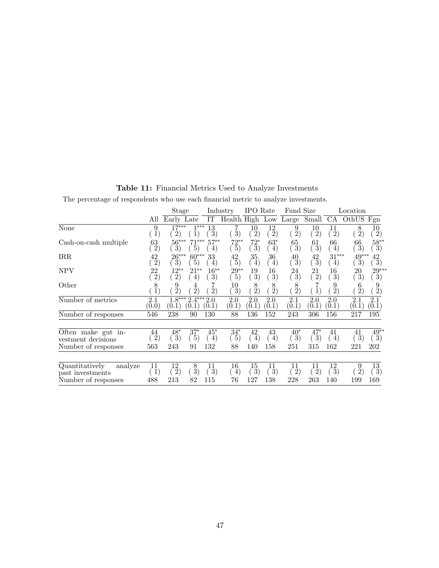|  |  |  |  |  |  | <b>Table 11:</b> Financial Metrics Used to Analyze Investments |
|--|--|--|--|--|--|----------------------------------------------------------------|
|--|--|--|--|--|--|----------------------------------------------------------------|

The percentage of respondents who use each financial metric to analyze investments.

|                                               |                             | Stage                                  |                                   |                                  | Industry                  | <b>IPO</b> Rate             |                      | Fund Size                         |                                       |                           | Location               |                                   |
|-----------------------------------------------|-----------------------------|----------------------------------------|-----------------------------------|----------------------------------|---------------------------|-----------------------------|----------------------|-----------------------------------|---------------------------------------|---------------------------|------------------------|-----------------------------------|
|                                               | All                         | Early Late                             |                                   | IT                               | Health High               |                             | $_{\text{Low}}$      | Large                             | Small                                 | CA                        | OthUS Fgn              |                                   |
| None                                          | 9<br>$\overline{1})$        | $17***$<br>$\overline{2}$              | $1***$                            | 13<br>$ 3\rangle$                | $\left(3\right)$          | 10<br>$\overline{2}$        | 12<br>2              | 9<br>$\left( \frac{5}{2} \right)$ | 10<br>$\overline{2}$                  | 11<br>$\overline{2}$      | 8<br> 2)               | 10<br>$\left( 2\right)$           |
| Cash-on-cash multiple                         | 63<br>$\left(2\right)$      | $56***$<br>3                           | $71***$<br>5)                     | $57**$<br>$ 4\rangle$            | $72**$<br>$\overline{5})$ | $72^*$<br>$\overline{3}$    | $63*$<br>$ 4\rangle$ | 65<br>$\left(3\right)$            | 61<br>3                               | 66<br>$ 4\rangle$         | 66<br>3)               | $58**$<br>3)                      |
| IRR                                           | 42<br>$\overline{2})$       | $26***$<br>3                           | $60***$<br>5)                     | 33<br>4)                         | 42<br>5)                  | 35<br>$\overline{4}$        | 36<br>4)             | 40<br>3                           | 42<br>3                               | $31^{\ast\ast\ast}$<br>4) | $49***$<br>3)          | 42<br>3)                          |
| NPV                                           | 22<br>2)                    | $12**$<br>$\left( \frac{2}{2} \right)$ | $21***$<br>4                      | $16***$<br>3)                    | $29**$<br>5)              | 19<br>3                     | 16<br>3)             | 24<br>3)                          | 21<br>$\overline{2}$                  | 16<br>3)                  | 20<br>3)               | $29***$<br>3)                     |
| Other                                         | 8<br>$\left  \right $       | 9<br>$\bar{2}$                         | $\left( 2\right)$                 | $\left 2\right\rangle$           | 10<br>$\overline{3})$     | 8<br>$\overline{2}$         | 8<br>$\tilde{2}$     | 8<br>$\left( 2\right)$            |                                       | 9<br>$\left( 2\right)$    | 6<br>$\left( 2\right)$ | 9<br>$\left( 2\right)$            |
| Number of metrics                             | 2.1<br>(0.0)                | $1.8***$<br>(0.1)                      | $2.4***2.0$<br>$\left(0.1\right)$ | $\left(0.1\right)$               | 2.0<br>(0.1)              | 2.0<br>(0.1)                | 2.0<br>(0.1)         | 2.1<br>(0.1)                      | 2.0<br>(0.1)                          | 2.0<br>$\left(0.1\right)$ | 2.1<br>(0.1)           | 2.1<br>(0.1)                      |
| Number of responses                           | 546                         | 238                                    | 90                                | 130                              | 88                        | 136                         | 152                  | 243                               | 306                                   | 156                       | 217                    | 195                               |
| Often make gut in-<br>vestment decisions      | 44<br>$\overline{2}$<br>563 | $48^*$<br>$\overline{3})$<br>243       | $37^{*}$<br>-5)<br>91             | $45*$<br>$\left(4\right)$<br>132 | $34*$<br>5)<br>88         | 42<br>$\overline{4}$<br>140 | 43<br>4)<br>158      | $40^*$<br>$\left(3\right)$<br>251 | $47^*$<br>$\mathbf{3}^{\circ}$<br>315 | 41<br>4<br>162            | 41<br>3)<br>221        | $\overline{49}^{**}$<br>3)<br>202 |
| Number of responses                           |                             |                                        |                                   |                                  |                           |                             |                      |                                   |                                       |                           |                        |                                   |
| Quantitatively<br>analyze<br>past investments | 11<br>$\vert$ 1             | 12<br>$\overline{2}$                   | 8<br>$\check{3}$                  | 11<br>$\vert 3 \rangle$          | 16<br>$\left(4\right)$    | 15<br>3                     | 11<br>3              | 11<br>2                           | 11<br>$\overline{2}$                  | 12<br>$ 3\rangle$         | 9<br>2)                | 13<br>3)                          |
| Number of responses                           | 488                         | 213                                    | 82                                | 115                              | 76                        | 127                         | 138                  | 228                               | 263                                   | 140                       | 199                    | 169                               |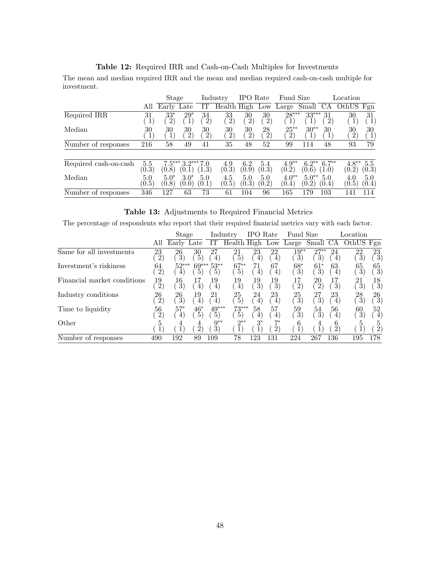|                       |                                    | Stage                |                      |                              | Industry              | IPO Rate                  |                              | Fund Size                 |                  | Location          |                     |                        |
|-----------------------|------------------------------------|----------------------|----------------------|------------------------------|-----------------------|---------------------------|------------------------------|---------------------------|------------------|-------------------|---------------------|------------------------|
|                       | All                                | Early Late           |                      | IT                           | Health High Low Large |                           |                              |                           | Small CA         |                   | OthUS Fgn           |                        |
| Required IRR          | 31<br>$\left\lceil 1 \right\rceil$ | $33*$<br>$2^{\circ}$ | $29*$<br>$\ket{1}$   | 34<br>$\bar{2}$              | 33<br>2)              | 30<br>$\tilde{[2]}$       | 30<br>$\left 2\right\rangle$ | $28***$                   | $33***$          | 31<br>2           | 30                  | 31<br>$\left(1\right)$ |
| Median                | 30                                 | 30                   | 30<br>$\overline{2}$ | 30<br>$\left 2\right\rangle$ | 30<br>$ 2\rangle$     | 30<br>$\left(2\right)$    | 28<br>$2^{\circ}$            | $25***$<br>$\overline{2}$ | $30**$           | 30                | 30<br>2)            | 30                     |
| Number of responses   | 216                                | 58                   | 49                   | 41                           | 35                    | 48                        | 52                           | 99                        | 114              | 48                | 93                  | 79                     |
| Required cash-on-cash | 5.5<br>(0.3)                       | $7.5***$<br>(0.8)    |                      | $3.2***7.0$<br>1.3)          | 4.9<br>(0.3)          | 6.2<br>$(0.\overline{9})$ | 5.4<br>(0.3)                 | $4.9**$<br>(0.2)          | $6.2**$<br>(0.6) | $6.7***$<br>(1.0) | $4.8^{**}$<br>(0.2) | 5.5<br>(0.3)           |
| Median                | $5.0\,$<br>(0.5)                   | $5.0*$<br>(0.8)      | $3.0*$<br>(0.0)      | 5.0<br>(0.1)                 | 4.5<br>(0.5)          | 5.0<br>(0.3)              | 5.0<br>(0.2)                 | $4.0**$<br>(0.4)          | $5.0**$<br>(0.2) | 5.0<br>(0.4)      | 4.0<br>(0.5)        | 5.0<br>(0.4)           |
| Number of responses   | 346                                | 127                  | 63                   | 73                           | 61                    | 104                       | 96                           | 165                       | 179              | 103               | 141                 | 114                    |

Table 12: Required IRR and Cash-on-Cash Multiples for Investments

The mean and median required IRR and the mean and median required cash-on-cash multiple for investment.

# Table 13: Adjustments to Required Financial Metrics

The percentage of respondents who report that their required financial metrics vary with each factor.

|                             |                      | Stage                        |                                                     |                          | Industry                | <b>IPO</b> Rate      |                                    | <b>Fund Size</b> |                              |                         | Location              |                                          |
|-----------------------------|----------------------|------------------------------|-----------------------------------------------------|--------------------------|-------------------------|----------------------|------------------------------------|------------------|------------------------------|-------------------------|-----------------------|------------------------------------------|
|                             | All                  | Early Late                   |                                                     | IΤ                       | Health High             |                      |                                    | Low Large        | Small CA                     |                         | OthUS Fgn             |                                          |
| Same for all investments    | $^{23}$              | 26<br>$\left(3\right)$       | $30_{\scriptscriptstyle \rm \odot}$<br>$\mathbf{5}$ | 27<br>4                  | 21<br>5 <sup>2</sup>    | 23<br>4              | 22<br>$\overline{4}$               | $19**$<br>3)     | $27**$<br>3'                 | 24<br>$\overline{4}$    | 22<br>$ 3\rangle$     | 23<br>$\left\lceil \v3 \right\rceil$     |
| Investment's riskiness      | 64<br>$\bar{2}$      | $52***$<br>$\left( 4\right)$ | $69***$<br>$5^{\circ}$                              | $53^{**}$<br>$5^{\circ}$ | $67^{**}$<br>5)         | $ 4\rangle$          | 67<br>$ 4\rangle$                  | $68*$<br>3)      | $61^*$<br>$\bar{3}$          | 63<br>$ 4\rangle$       | 65<br>$ 3\rangle$     | $\binom{65}{3}$                          |
| Financial market conditions | 19<br>$\tilde{2}$    | 16<br>$\left(3\right)$       | 17<br>$\vert 4 \rangle$                             | 19<br>$\overline{4}$     | 19<br>$\left( 4\right)$ | 19<br>$\mathfrak{Z}$ | 19<br>$\left\lceil 3 \right\rceil$ | $\overline{2}$   | 20<br>$\tilde{2}$            | $ 3\rangle$             | 21<br>$ 3\rangle$     | 18<br>$\left\lceil \bar{3} \right\rceil$ |
| Industry conditions         | 26<br>$\overline{2}$ | 26<br>$\left(3\right)$       | 19<br>$\left( 4\right)$                             | 21<br>$\overline{4}$     | 25<br>5)                | 24<br>$\overline{4}$ | 23<br>$\overline{4}$               | 25<br>3)         | 27<br>$\mathbf{3}^{\circ}$   | 23<br>$\vert 4 \rangle$ | 28<br>$\overline{3})$ | 26<br>$\overline{3}$                     |
| Time to liquidity           | 56<br>$\overline{2}$ | $57*$<br> 4                  | $46*$<br>5 <sup>2</sup>                             | $49***$<br>$5^{\circ}$   | $73***$<br>5)           | 58<br>4              | 57<br>$\overline{4}$               | 59<br>3)         | 54<br>$\left 3\right\rangle$ | 56<br>$ 4\rangle$       | 60<br>$ 3\rangle$     | 52<br>$ 4\rangle$                        |
| Other                       |                      |                              | $\bar{2}$                                           | $9^{**}$<br>$3^{\circ}$  | $2**$                   | $3^*$                | $\overline{2}$                     |                  |                              | 2)                      |                       | 2)                                       |
| Number of responses         | 490                  | 192                          | 89                                                  | 109                      | 78                      | 123                  | 131                                | 224              | 267                          | 136                     | 195                   | 178                                      |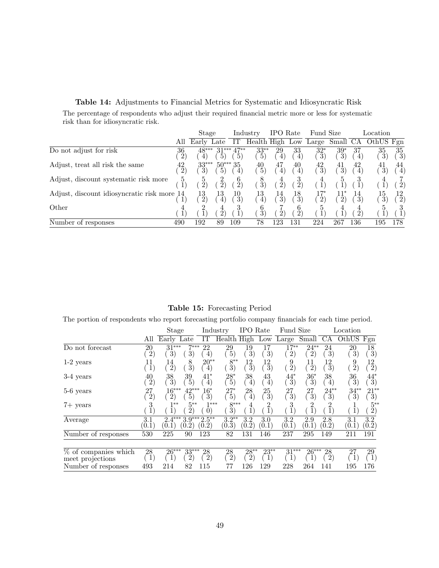|                                             | Stage               |                           |                              | IPO Rate<br>Industry  |                      |                         | Fund Size      |                     |                    | Location    |                |                                    |
|---------------------------------------------|---------------------|---------------------------|------------------------------|-----------------------|----------------------|-------------------------|----------------|---------------------|--------------------|-------------|----------------|------------------------------------|
|                                             | All                 | Early                     | Late                         |                       | Health               | High                    | Low            | Large               | Small CA           |             | OthUS Fgn      |                                    |
| Do not adjust for risk                      | $^{36}_{2)}$        | $48***$<br>$\overline{4}$ | $31***$<br>$\overline{5}$    | $47**$<br>$5^{\circ}$ | $\sqrt{33}^{**}$     | 29<br>$\overline{4}$    | $^{33}_{4}$    | $^{32^{\ast}}_{3)}$ | $\substack{39 \3}$ | 37          | $\frac{35}{3}$ | $3^{5}_{3)}$                       |
| Adjust, treat all risk the same             | $\frac{42}{2}$      | $33***$<br>(3)            | $50^{***}$<br>$\overline{5}$ | 35<br>$\overline{4}$  | $\frac{40}{5}$       | 47<br>$\left( 4\right)$ | $^{40}_{4}$    | $\frac{42}{3}$      | $\frac{41}{3}$     | 42          | 3              | 44<br>$\left( \overline{4}\right)$ |
| Adjust, discount systematic risk more       | 5<br>$\overline{1}$ | $\overline{2}$            | $\left( 2\right)$            | $\frac{6}{2}$         | 8<br>$\overline{3}$  | 2)                      | $\overline{2}$ |                     |                    |             |                | $\dot{2}$                          |
| Adjust, discount idiosyncratic risk more 14 |                     | $^{13}$                   | $\perp 3$<br>$\overline{4}$  | $^{10}_{3)}$          | 13<br>$\overline{4}$ | $^{14}_{3}$             | $^{18}_{3}$    | $2^{\circ}$         | $\overline{2}$     | 14<br>3     | $\frac{15}{3}$ | $\frac{12}{2}$                     |
| Other                                       |                     | $\mathbf{1}$              | $2^{\circ}$                  |                       | $3^{\circ}$          | 2)                      | $\overline{2}$ |                     |                    | $ 2\rangle$ |                |                                    |
| Number of responses                         | 490                 | 192                       | 89                           | 109                   | 78                   | 123                     | 131            | 224                 | 267                | 136         | 195            | 178                                |

Table 14: Adjustments to Financial Metrics for Systematic and Idiosyncratic Risk

The percentage of respondents who adjust their required financial metric more or less for systematic risk than for idiosyncratic risk.

Table 15: Forecasting Period

The portion of respondents who report forecasting portfolio company financials for each time period.

|                                            |                              | <b>Stage</b>            |                             |                              | Industry                 | <b>IPO</b> Rate             |                         | Fund Size              |                          |                              | Location         |                                          |
|--------------------------------------------|------------------------------|-------------------------|-----------------------------|------------------------------|--------------------------|-----------------------------|-------------------------|------------------------|--------------------------|------------------------------|------------------|------------------------------------------|
|                                            | All                          | Early Late              |                             | IT                           | Health High              |                             |                         | Low Large              | Small                    | CА                           | OthUS Fgn        |                                          |
| Do not forecast                            | 20<br>-2,                    | $31***$<br>$ 3\rangle$  | $7***$<br>3)                | 22<br>$\left(4\right)$       | 29<br>5 <sup>°</sup>     | 19<br>$\overline{3}$        | 17<br>3                 | $17^{**}$<br>2         | $24**$<br>$\overline{2}$ | 24<br>3                      | 20<br>3)         | 18<br>3)                                 |
| $1-2$ years                                | 11<br>$\mathbf{1}$           | 14<br>$\left( 2\right)$ | 8<br>3)                     | $20**$<br>4                  | $8^{**}$<br>3            | 12<br>3)                    | 12<br>3)                | 9<br>$\left( 2\right)$ | 11<br>$\overline{2}$     | 12<br>$\left 3\right\rangle$ | 9<br>2)          | 12<br>-2)                                |
| 3-4 years                                  | 40<br>$\overline{2}$         | 38<br>3)                | 39<br>5 <sup>2</sup>        | $41*$<br>$\overline{4}$      | $28^*$<br>5 <sup>°</sup> | 38<br>$\vert 4 \rangle$     | 43<br>$\left( 4\right)$ | 44*<br>-3)             | $36^*$<br>3              | 38<br>$\left( 4\right)$      | 36<br>3          | $44*$<br>3                               |
| 5-6 years                                  | 27<br>$\left 2\right\rangle$ | $16***$<br>$ 2\rangle$  | $42***$<br>5 <sup>2</sup>   | $16^\ast$<br>$ 3\rangle$     | $27^{\ast}$<br>5)        | 28<br>$\overline{4}$        | 25 <sub>1</sub><br>3    | 27<br>-3)              | 27<br>3                  | $24**$<br>3)                 | $34**$<br>3      | $21**$<br>3)                             |
| $7+$ years                                 | 3<br>$\left  \right $        | $1**$                   | $5***$<br>$\left( 2\right)$ | $1***$<br>$\vert 0 \vert$    | $8***$<br>3)             | 4<br>$1^{\circ}$            | 2<br>$\left  \right $   | 3<br>1)                | $1^{\circ}$              | 2<br>1)                      |                  | $5^{**}$<br>$\left( \frac{1}{2} \right)$ |
| Average                                    | $3.1\,$<br>(0.1)             | $2.4***$<br>(0.1)       | $3.9***2.5**$<br>(0.2)      | (0.2)                        | $3.2**$<br>(0.3)         | $3.2\,$<br>(0.2)            | 3.0<br>(0.1)            | $3.2\,$<br>(0.1)       | 2.9<br>(0.1)             | 2.8<br>$(0.\bar{2})$         | $3.1\,$<br>(0.1) | 3.2<br>(0.2)                             |
| Number of responses                        | 530                          | 225                     | 90                          | 123                          | 82                       | 131                         | 146                     | 237                    | 295                      | 149                          | 211              | 191                                      |
| $%$ of companies which<br>meet projections | 28<br>$\mathbf{1}$           | $26***$                 | $33***$<br>$ 2\rangle$      | 28<br>$\left 2\right\rangle$ | 28<br>$\overline{2}$     | $28^{**}$<br>$\overline{2}$ | $23**$                  | $31***$                | $26***$                  | 28<br>$\left 2\right\rangle$ | 27               | 29                                       |
| Number of responses                        | 493                          | 214                     | 82                          | 115                          | 77                       | 126                         | 129                     | 228                    | 264                      | 141                          | 195              | 176                                      |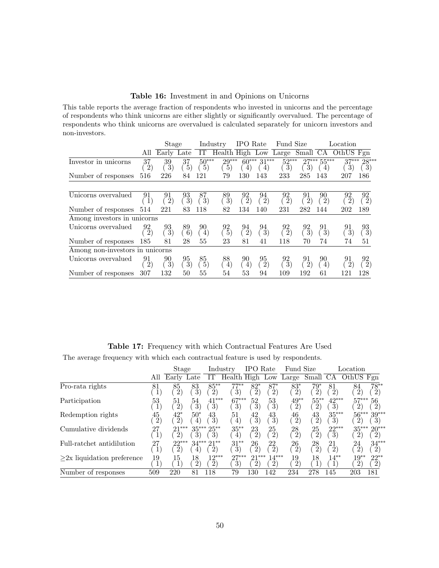This table reports the average fraction of respondents who invested in unicorns and the percentage of respondents who think unicorns are either slightly or significantly overvalued. The percentage of respondents who think unicorns are overvalued is calculated separately for unicorn investors and non-investors.

|                                 |                        | <b>Stage</b>                       |                                |                        | Industry             | <b>IPO</b> Rate |                                | Fund Size             |                      |                                                                 | Location             |                        |
|---------------------------------|------------------------|------------------------------------|--------------------------------|------------------------|----------------------|-----------------|--------------------------------|-----------------------|----------------------|-----------------------------------------------------------------|----------------------|------------------------|
|                                 | All                    | Early Late                         |                                | IT                     |                      |                 |                                | Health High Low Large | Small                | CA                                                              | OthUS Fgn            |                        |
| Investor in unicorns            | 37<br>2)               | 39<br>$ 3\rangle$                  | 37<br>-5)                      | $50***$<br>-5)         | $29***$<br>-5)       | $60***$<br>4    | $31***$<br>4)                  | $52***$<br>3)         | $27***$<br>-3)       | $55***$<br>$\left( 4\right)$                                    | 3)                   | $37***$ $28***$<br>-3) |
| Number of responses             | 516                    | 226                                | 84                             | 121                    | 79                   | 130             | 143                            | 233                   | 285                  | 143                                                             | 207                  | 186                    |
| Unicorns overvalued             | 91<br>$\left(1\right)$ | 91<br>$\tilde{2}$                  | 93<br>$\left(3\right)$         | 87<br>3)               | 89<br>3              | 92<br>$\bar{2}$ | 94<br>$\left( \bar{2} \right)$ | $\frac{92}{2}$        | 91<br>$\bar{2}$      | $90_{\scriptscriptstyle \rm s}$<br>$\left\lceil 2 \right\rceil$ | 92<br>$\overline{2}$ | $^{92}_{2)}$           |
| Number of responses             | 514                    | 221                                | 83                             | 118                    | 82                   | 134             | 140                            | 231                   | 282                  | 144                                                             | 202                  | 189                    |
| Among investors in unicorns     |                        |                                    |                                |                        |                      |                 |                                |                       |                      |                                                                 |                      |                        |
| Unicorns overvalued             | $^{92}_{2)}$           | $^{93}_{3)}$                       | 89<br>$\tilde{6}$              | 90<br>$\ket{4}$        | 92<br>5)             | 94<br>$\bar{2}$ | 94<br>$\left(3\right)$         | $^{92}_{2)}$          | $^{92}_{3)}$         | $\frac{91}{3}$                                                  | $\bar{3}$            | $\frac{93}{3}$         |
| Number of responses             | 185                    | 81                                 | 28                             | 55                     | 23                   | 81              | 41                             | 118                   | 70                   | 74                                                              | 74                   | 51                     |
| Among non-investors in unicorns |                        |                                    |                                |                        |                      |                 |                                |                       |                      |                                                                 |                      |                        |
| Unicorns overvalued             | 91<br>2)               | 90<br>$\left( \frac{3}{3} \right)$ | 95 <sub>1</sub><br>$\tilde{3}$ | 85<br>$\left(5\right)$ | 88<br>$\overline{4}$ | 90              | 95<br>$\overline{2}$           | 92<br>3               | 91<br>$\overline{2}$ | 90<br>$\vert 4 \rangle$                                         | $\overline{2}$       | -2)                    |
| Number of responses             | 307                    | 132                                | 50                             | 55                     | 54                   | 53              | 94                             | 109                   | 192                  | 61                                                              | 121                  | 128                    |

Table 17: Frequency with which Contractual Features Are Used The average frequency with which each contractual feature is used by respondents.

|                                  |                   | Stage                     |                              |                                   | Industry                    | <b>IPO</b> Rate       |                            | Fund Size                           |                        |                   | Location                    |                                   |
|----------------------------------|-------------------|---------------------------|------------------------------|-----------------------------------|-----------------------------|-----------------------|----------------------------|-------------------------------------|------------------------|-------------------|-----------------------------|-----------------------------------|
|                                  | All               | Early Late                |                              |                                   | Health                      | High                  | $_{\text{Low}}$            | Large                               | Small CA               |                   | OthUS Fgn                   |                                   |
| Pro-rata rights                  | 81                | 85<br>$\tilde{2}$         | 83<br>$\left 3\right\rangle$ | $85^{**}$<br>$ 2\rangle$          | $77***$<br>3)               | $82^*$<br>$2^{\circ}$ | $87*$<br>$\left( 2\right)$ | $83^\ast$<br>$\left 2\right\rangle$ | $79^*$<br>$ 2\rangle$  | 81<br>$2^{\circ}$ | 84<br>$\overline{2}$        | $78**$<br>$2^{\circ}$             |
| Participation                    | 53                | 51<br>$\overline{2}$      | 54<br>3                      | $41***$<br>$\left 3\right\rangle$ | $67***$<br>$ 3\rangle$      | 52<br>3)              | 53<br>$3^{\circ}$          | 49**<br>$\overline{2}$              | $55***$<br>$ 2\rangle$ | $42***$<br>3)     | $57***$<br>$\overline{2}$   | 56<br>$2^{\circ}$                 |
| Redemption rights                | 45<br>$ 2\rangle$ | $42*$<br>2 <sub>1</sub>   | $50*$<br>4)                  | 43<br>$\left(3\right)$            | 51<br>$\overline{4}$        | 42<br>3)              | 43<br>3                    | 46<br>$\overline{2}$                | 43<br>$\overline{2}$   | $35***$<br>3      | $56***$<br>$\overline{2}$   | $39***$<br>$\left 3\right\rangle$ |
| Cumulative dividends             |                   | $21***$<br>$\overline{2}$ | $35***$<br>3                 | $25***$<br>$\mathcal{S}$          | $35^{**}$<br>$\overline{4}$ | 23<br>$\overline{2}$  | 25<br>$\overline{2}$       | 28<br>$\bar{2}$                     | 25<br>$\overline{2}$   | $22***$<br>3)     | $35***$<br>$\overline{2}$   | $20***$<br>$\overline{2}$         |
| Full-ratchet antidilution        | 27<br>$\ket{1}$   | $22***$<br>$\overline{2}$ | $34***$                      | $21***$<br>$\overline{2}$         | $31**$<br>$3^{\circ}$       | 26<br>$\overline{2}$  | 22<br>$\left( 2\right)$    | 26<br>$\tilde{2}$                   | 28<br>$2^{\circ}$      | 21<br>$2^{\circ}$ | 24<br>$2^{\circ}$           | $34***$<br>$2^{\circ}$            |
| $\geq$ 2x liquidation preference | 19                | 15                        | 18<br>2                      | $12***$<br>2 <sub>1</sub>         | $27***$<br>3                | $21***$<br>2          | $14***$<br>$\overline{2}$  | 19<br>$\overline{2}$                | 18                     | $14**$            | $19^{**}$<br>$\overline{2}$ | $22**$<br>$\overline{2}$          |
| Number of responses              | 509               | 220                       | 81                           | 118                               | 79                          | 130                   | 142                        | 234                                 | 278                    | 145               | 203                         | 181                               |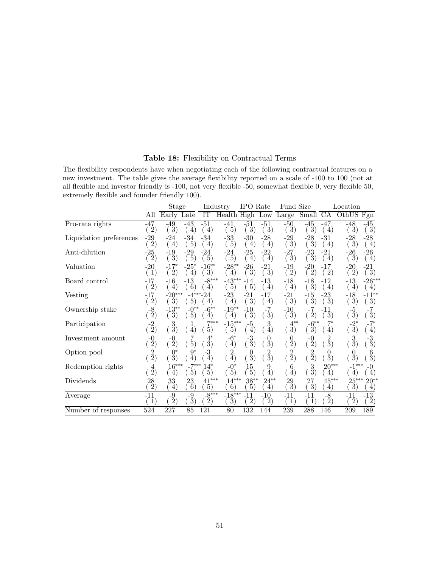|                         |                               | <b>Stage</b>                       |                                     |                                         | Industry                  | <b>IPO</b> Rate                    |                        | Fund Size                   |                                    |                      | Location                                                        |                  |
|-------------------------|-------------------------------|------------------------------------|-------------------------------------|-----------------------------------------|---------------------------|------------------------------------|------------------------|-----------------------------|------------------------------------|----------------------|-----------------------------------------------------------------|------------------|
|                         | All                           | Early                              | Late                                | IT                                      | Health                    | <b>High</b>                        | Low                    | Large                       | Small                              | CA                   | OthUS Fgn                                                       |                  |
| Pro-rata rights         | -47<br>2)                     | $-49$<br>$\left(\ \text{3}\right)$ | $-43$<br>$\tilde{4}$                | $-51$<br>$^{\circ}$ 4)                  | $-41$<br>(5)              | -51<br>$\tilde{c}(3)$              | $-51$<br>$\tilde{ }3)$ | $-50$<br>3)                 | $-45$<br>$\left(\ \text{3}\right)$ | $-47$<br>4)          | $-48$<br>$\left(\ \text{3}\right)$                              | -45<br>(3)       |
| Liquidation preferences | $\frac{-29}{(2)}$             | -24<br>$\left( 4\right)$           | -34<br>$\mathfrak{F}(\mathfrak{h})$ | -34<br>$\vert 4 \rangle$                | $\binom{-33}{5}$          | $-30$<br>-4)                       | $-28$<br>4)            | -29<br>-3)                  | $\binom{-28}{3}$                   | -31<br>4)            | $-28$<br>$\tilde{c}(3)$                                         | $-28$<br>-4)     |
| Anti-dilution           | -25<br>$\left 2\right\rangle$ | $-19$<br>$\bar{3}$                 | -29<br>(5)                          | -24<br>5 <sup>°</sup>                   | -24<br>(5)                | $-25$<br>(4)                       | -22<br>4)              | -27<br>(3)                  | $-23$<br>$\tilde{(}3)$             | -21<br>4)            | $-26$<br>(3)                                                    | -26<br>-4)       |
| Valuation               | $-20$<br>$\left  \right $     | $\binom{2}{}$                      | $-25*$<br>-4)                       | $-16**$<br>3)                           | $-28**$<br>4)             | -26<br>-3)                         | -21<br>(3)             | -19<br>$\left( 2\right)$    | $-20$<br>$\left( 2\right)$         | -17<br>2)            | $-20$<br>$\left( \ 2\right)$                                    | -21<br>(3)       |
| Board control           | $\left( 2\right)$             | $-16$<br>$ 4\rangle$               | $-13$<br>6)                         | $-8***$<br>4)                           | $-43***$<br>5)            | -14<br>$5^{\circ}$                 | $-13$<br>4)            | -18<br>$\vert 4 \rangle$    | $-18$<br>3)                        | 12<br>4)             | -13<br>$\vert 4 \vert$                                          | $-26***$<br>4)   |
| Vesting                 | $\left( 2\right)$             | $-20***$<br>(3)                    | 5)                                  | $-4***-24$<br>4)                        | $-23$<br>(4)              | -21<br>(3)                         | -17<br>4)              | -21<br>(3)                  | -15<br>$ 3\rangle$                 | $-23$<br>3)          | $-18$<br>$\left(\begin{smallmatrix} 3 \end{smallmatrix}\right)$ | $-11**$<br>(3)   |
| Ownership stake         | $^{-8}$ <sub>2</sub> )        | $-13^{**}$<br>$\overline{3})$      | $-0^{**}$<br>5)                     | $\text{--}6^{\ast\ast}$<br>4)           | $-19**$<br>4)             | -10<br>-3)                         | 3)                     | -10<br>3)                   | $\left 2\right\rangle$             | 3)                   | $\binom{-5}{3}$                                                 | 3)               |
| Participation           | $^{-2}$ <sub>2</sub> )        | $\frac{3}{3}$                      | 4)                                  | $7***$<br>5)                            | $-15***$<br>5)            | -5<br>(4)                          | 3<br>$\overline{4})$   | $4^{**}$<br>$\overline{3})$ | $-6^{**}$<br>$\overline{3})$       | 4)                   | $\binom{-2^*}{3}$                                               | -7<br>4)         |
| Investment amount       | $\binom{-0}{2}$               | $-0$<br>$\tilde{2})$               | $\binom{7}{5}$                      | $\frac{4}{3}$                           | $-6*$<br>4)               | $\binom{-3}{3}$                    | $\frac{0}{3}$          | U<br>$\tilde{2})$           | $-Q$<br>$\tilde{2}$                | $\frac{2}{3}$        | $\frac{3}{3}$                                                   | $\binom{-3}{3}$  |
| Option pool             | $^{2}_{2)}$                   | $0^*$<br>$\check{3})$              | $9^*$<br>$\overline{4})$            | $-3$<br>4                               | $\frac{2}{4}$             | $\theta$<br>$\left(3\right)$       | $\frac{2}{3}$          | $\frac{2}{2}$               | $\frac{2}{2}$                      | 0<br>$\overline{3})$ | $\theta$<br>$\check{3})$                                        | 6<br>$\tilde{3}$ |
| Redemption rights       | $\frac{4}{2}$                 | $16***$<br>4)                      | 5)                                  | $\mathfrak{t}^*$<br>$\overline{5}$      | $-0^*$<br>$\overline{5})$ | 15<br>$\left\lceil 5 \right\rceil$ | 9<br>4)                | 6<br>$\overline{4})$        | $\frac{3}{3}$                      | $20***$<br>4)        | $-1***$<br>$ 4\rangle$                                          | -0<br>4)         |
| Dividends               | 28<br>$\overline{2}$          | 33<br>$ 4\rangle$                  | 23<br>6)                            | $41***$<br>5)                           | $14***$<br>6)             | $38**$<br>5)                       | $24**$<br>4)           | 29<br>3)                    | 27<br>3)                           | $45***$<br>4)        | $25***$<br>3)                                                   | $20**$<br>4)     |
| Average                 | $-11$<br>$\mathbf{1}$         | $-9$<br>$\left( 2\right)$          | -9<br>$\overline{3})$               | $-8***$<br>$\left( \frac{1}{2} \right)$ | $-18***$<br>$ 3\rangle$   | -11<br>$\overline{2}$              | $-10$<br>2)            | -11<br>$\mathbf{1}$         | $-11$<br>-1                        | $-8$<br>$ 2\rangle$  | $-11$<br>$\left 2\right\rangle$                                 | $-13$<br>2)      |
| Number of responses     | 524                           | 227                                | 85                                  | 121                                     | 80                        | 132                                | 144                    | 239                         | 288                                | 146                  | 209                                                             | 189              |

# Table 18: Flexibility on Contractual Terms The flexibility respondents have when negotiating each of the following contractual features on a

new investment. The table gives the average flexibility reported on a scale of -100 to 100 (not at all flexible and investor friendly is -100, not very flexible -50, somewhat flexible 0, very flexible 50,

extremely flexible and founder friendly 100).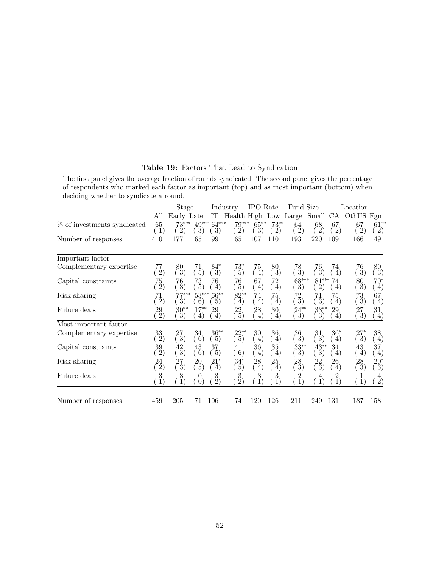|                             |                         | <b>Stage</b>                                        |                 |                               | Industry                | <b>IPO</b> Rate            |                            | Fund Size                          |                                    |                                    | Location                            |                      |
|-----------------------------|-------------------------|-----------------------------------------------------|-----------------|-------------------------------|-------------------------|----------------------------|----------------------------|------------------------------------|------------------------------------|------------------------------------|-------------------------------------|----------------------|
|                             | All                     | Early                                               | Late            | IT                            | Health High             |                            | Low                        | Large                              | Small                              | CA                                 | OthUS Fgn                           |                      |
| % of investments syndicated | 65<br><sup>1</sup>      | $73***$<br>$\left(2\right)$                         | $49***$<br>3)   | $64***$<br>$\left(3\right)$   | $79***$<br>-2)          | $65^{**}$<br>$\binom{3}{}$ | $73**$<br>$\left(2\right)$ | 64<br>$\left( \frac{1}{2} \right)$ | 68<br>$\left 2\right\rangle$       | 67<br>$\left( \frac{2}{2} \right)$ | 67<br>2                             | $61***$<br>$^{(2)}$  |
| Number of responses         | 410                     | 177                                                 | 65              | 99                            | 65                      | 107                        | 110                        | 193                                | 220                                | 109                                | 166                                 | 149                  |
| Important factor            |                         |                                                     |                 |                               |                         |                            |                            |                                    |                                    |                                    |                                     |                      |
| Complementary expertise     | $\binom{77}{2}$         | $\frac{80}{3}$                                      | $^{71}_{-5)}$   | $84^*$<br>$\bar{3}$           | $\binom{73^*}{5}$       | 75<br>$\left(4\right)$     | 80<br>$\check{3})$         | $^{78}_{3)}$                       | 76<br>3                            | 74<br>$\left( 4\right)$            | 76,<br>$\left( \frac{3}{3} \right)$ | 80<br>$\tilde{(-3)}$ |
| Capital constraints         | $^{75}_{2)}$            | 76<br>$\mathfrak{z}_3$                              | $^{73}_{5)}$    | 76.<br>$\left(4\right)$       | 76.<br>$\left(5\right)$ | 67<br>4                    | $\binom{72}{4}$            | 68***<br>$\left(3\right)$          | $81***$<br>$\left 2\right\rangle$  | 74<br>4                            | 80<br>$\tilde{.}(3)$                | $70^{*}$<br>(4)      |
| Risk sharing                | 71<br>$\overline{2}$    | $\left(3\right)$                                    | $53***$<br>6)   | $66^{**}$<br>5 <sup>2</sup>   | $82^{**}$<br>4)         | 74<br>$\vert 4 \rangle$    | 75<br>$\vert 4\rangle$     | $^{72}_{3)}$                       | 71<br>$\overline{3}$               | 75<br>$\vert 4 \rangle$            | $^{73}_{(3)}$                       | 67<br>(4)            |
| Future deals                | 29<br> 2)               | $30**$<br>$\left(3\right)$                          | $17^{**}$<br>4) | 29<br>4)                      | $^{22}_{\ 5)}$          | 28<br>4)                   | 30<br>4)                   | $24**$<br>3)                       | $33**$<br>3)                       | 29<br>4)                           | 27<br>-3)                           | 31<br>(4)            |
| Most important factor       |                         |                                                     |                 |                               |                         |                            |                            |                                    |                                    |                                    |                                     |                      |
| Complementary expertise     | 33<br>$\left( 2\right)$ | 27<br>$\left(\begin{array}{c} 3 \end{array}\right)$ | 34<br>6)        | $36**$<br>$\left(5\right)$    | $22**$<br>5)            | 30<br>4                    | 36<br>4)                   | 36<br>$\left(3\right)$             | 31<br>$\left\lceil 3 \right\rceil$ | $36*$<br>$\vert 4 \vert$           | $27^*$<br>$\left(3\right)$          | 38<br>(4)            |
| Capital constraints         | 39<br>2)                | 42<br>$\left(\overline{\cdot 3}\right)$             | 43<br>(6)       | 37<br>$\left(5\right)$        | 41<br>6)                | 36<br>$\left(4\right)$     | 35<br>4)                   | $33**$<br>3)                       | $43**$<br>3                        | 34<br>4                            | 43<br>4)                            | 37<br>(4)            |
| Risk sharing                | 24<br>$\bar{2}$         | 27<br>$\bar{3}$                                     | $^{20}_{5)}$    | $21^{*}$<br>$\vert 4 \rangle$ | $34^*$<br>5)            | 28<br>$\vert 4 \rangle$    | 25<br>4)                   | $^{28}_{3)}$                       | $^{22}_{3)}$                       | 26,<br>$\vert 4 \rangle$           | $^{28}_{-3}$                        | $20^*$<br>$\bar{3})$ |
| Future deals                | 3<br>1)                 | 3<br>$\ket{1}$                                      | 0<br>$\ddot{0}$ | $\frac{3}{2}$                 | $\frac{3}{2}$           | 3<br>1)                    | $\frac{3}{1}$              | $\frac{2}{1}$                      | 1)                                 | $\frac{2}{1}$                      | $\lceil$                            | $\overline{2})$      |
| Number of responses         | 459                     | 205                                                 | 71              | 106                           | 74                      | 120                        | 126                        | 211                                | 249                                | 131                                | 187                                 | 158                  |

## Table 19: Factors That Lead to Syndication

The first panel gives the average fraction of rounds syndicated. The second panel gives the percentage of respondents who marked each factor as important (top) and as most important (bottom) when deciding whether to syndicate a round.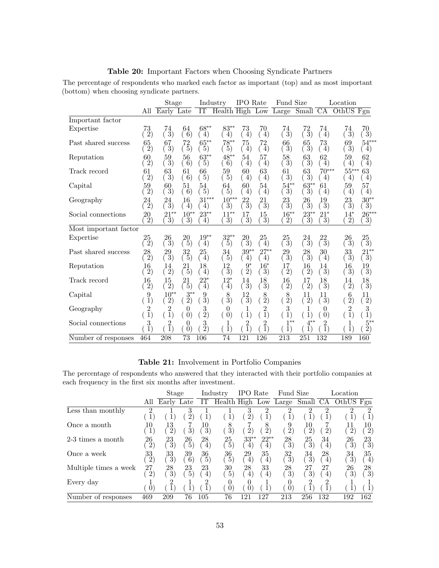|  | Table 20: Important Factors when Choosing Syndicate Partners |  |  |  |  |  |
|--|--------------------------------------------------------------|--|--|--|--|--|
|--|--------------------------------------------------------------|--|--|--|--|--|

The percentage of respondents who marked each factor as important (top) and as most important (bottom) when choosing syndicate partners.

|                       |                                   | Stage                                     |                                          |                        | Industry                      | <b>IPO</b> Rate                                        |                                    | <b>Fund Size</b>                                  |                                                           |                                         | Location                                                     |                                   |
|-----------------------|-----------------------------------|-------------------------------------------|------------------------------------------|------------------------|-------------------------------|--------------------------------------------------------|------------------------------------|---------------------------------------------------|-----------------------------------------------------------|-----------------------------------------|--------------------------------------------------------------|-----------------------------------|
|                       | All                               | Early Late                                |                                          | IT                     | Health High Low Large         |                                                        |                                    |                                                   | Small CA                                                  |                                         | OthUS Fgn                                                    |                                   |
| Important factor      |                                   |                                           |                                          |                        |                               |                                                        |                                    |                                                   |                                                           |                                         |                                                              |                                   |
| Expertise             | $\stackrel{73}{2})$               | $\binom{74}{3}$                           | 64<br>6 <sup>°</sup>                     | $68^{**}$<br>(4)       | $83^{**}$<br>4)               | 73<br>4)                                               | 70<br>4)                           | 74<br>$\left(\begin{array}{c}3\end{array}\right)$ | $\frac{72}{3}$                                            | 74<br>$\overline{4})$                   | 74<br>$\hat{3}$                                              | 70<br>$\ddot{3})$                 |
| Past shared success   | 65<br>$\left( \frac{1}{2}\right)$ | 67<br>$^{\circ}3)$                        | $^{72}_{(5)}$                            | $65^{**}$<br>(5)       | $78^{**}$<br>$\left(5\right)$ | 75<br>(4)                                              | 72<br>$\left( \overline{4}\right)$ | 66<br>$\tilde{(-3)}$                              | $\binom{65}{3}$                                           | 73<br>(4)                               | 69<br>$\check{(\,\,3)}$                                      | $54***$<br>(4)                    |
| Reputation            | 60<br>$\left( 2\right)$           | $\frac{59}{3}$                            | 56<br>$\hat{6}$                          | $\binom{63^{**}}{5}$   | $48^{**}$<br>$\overline{6})$  | 54<br>(4)                                              | 57<br>$\left(4\right)$             | $\frac{58}{3}$                                    | $\binom{63}{3}$                                           | 62<br>(4)                               | 59<br>(4)                                                    | 62<br>4                           |
| Track record          | 61<br>$\left( \bar{2}\right)$     | 63<br>$\tilde{3}$                         | 61<br>$\left\lceil \bar{6} \right\rceil$ | $\frac{66}{5}$         | $\frac{59}{5}$                | 60<br>4)                                               | 63<br>$\left( \frac{1}{4} \right)$ | 61<br>$\tilde{3})$                                | 63<br>$\check{\;}$ 3)                                     | $70***$<br>4)                           | $55***$<br>(4)                                               | 63<br>4)                          |
| Capital               | 59<br>2)                          | 60<br>$\left 3\right\rangle$              | 51<br>$\left(6\right)$                   | 54<br>(5)              | 64<br>(5)                     | 60<br>(4)                                              | 54<br>(4)                          | $54**$<br>(3)                                     | $63**$<br>$\left( \begin{array}{c} 3 \end{array} \right)$ | 61<br>(4)                               | 59<br>(4)                                                    | 57<br>(4)                         |
| Geography             | 24<br>$\left( \bar{2}\right)$     | 24<br>$\bar{3})$                          | 16<br>$\left(4\right)$                   | $31***$<br>(4)         | $10***$<br>3)                 | 22<br>$\bar{3})$                                       | 21<br>$\bar{3})$                   | 23<br>$\left(\overline{3}\right)$                 | 26<br>$\left(\begin{array}{c} 3 \end{array}\right)$       | 19<br>$\left(3\right)$                  | 23<br>$\left(\begin{array}{c}3\end{array}\right)$            | $30**$<br>(3)                     |
| Social connections    | 20<br>$\left( 2\right)$           | $21**$<br>-3)                             | $10^{**}$<br>-3)                         | $23^{**}$<br>4)        | $11***$<br>3)                 | 17<br>3)                                               | 15<br>$\left(3\right)$             | $16***$<br>(2)                                    | $23**$<br>(3)                                             | $21*$<br>$\lceil \bar{3} \rceil$        | $14*$<br>$\left( 2\right)$                                   | $26***$<br>$\left(3\right)$       |
| Most important factor |                                   |                                           |                                          |                        |                               |                                                        |                                    |                                                   |                                                           |                                         |                                                              |                                   |
| Expertise             | 25<br>$\bar{2})$                  | 26<br>$\binom{5}{3}$                      | 20<br>(5)                                | $19^{**}$<br>(4)       | $32**$<br>$\mathbf{5})$       | 20<br>$\left(\bar{3}\right)$                           | 25<br>(4)                          | 25<br>$\tilde{(-3)}$                              | $^{24}_{(3)}$                                             | $^{22}_{(3)}$                           | 26<br>$\tilde{(}3)$                                          | 25<br>$\binom{5}{3}$              |
| Past shared success   | $\substack{28\\-2)}$              | $^{29}_{(3)}$                             | $\substack{32 \ 5}$                      | 25<br>4)               | $3^{4}_{5)}$                  | $39**$<br>4)                                           | $27^{**}$<br>-4)                   | $^{29}_{(3)}$                                     | $^{28}_{(3)}$                                             | 30<br>(4)                               | 33<br>$\tilde{(-3)}$                                         | $21***$<br>(3)                    |
| Reputation            | 16<br>$\left( 2\right)$           | 14<br>$\bar{2})$                          | $^{21}_{5)}$                             | 18<br>4)               | $\frac{2}{3}$                 | $9^*$<br>$\tilde{2})$                                  | $16*$<br>$\lceil \v3 \rceil$       | 17<br>$\binom{5}{2}$                              | 16<br>$(\v2)$                                             | 14<br>$\bar{3})$                        | 16<br>$\left(\begin{smallmatrix} 3 \end{smallmatrix}\right)$ | 19<br>$\tilde{(-3)}$              |
| Track record          | 16<br>$\left(2\right)$            | 15<br>$\bar{2}$                           | $^{21}_{(5)}$                            | $22^{*}$<br>$\bar{4})$ | $12^{*}$<br>$(\bar{4})$       | 14<br>$\bar{3}$                                        | $\binom{18}{3}$                    | 16<br>$\rm(\v2)$                                  | 17<br>$\binom{6}{2}$                                      | $\binom{18}{3}$                         | 14<br>$\bar{(-2)}$                                           | 18,<br>$\bar{(\,3)}$              |
| Capital               | 9<br>1)                           | $10^{**}$<br>$\left( \frac{2}{2} \right)$ | $3^{**}$<br>2)                           | $\frac{9}{3}$          | $_{3}^{8}$                    | $\frac{12}{3}$                                         | $\frac{8}{2}$                      | $_{2}^{8}$                                        | 11<br>$\bar{(-2)}$                                        | 11<br>$\left(\overline{\cdot 3}\right)$ | 6<br>$\left(\begin{array}{c}\v{2}\end{array}\right)$         | 11<br>$\left(\overline{2}\right)$ |
| Geography             | $\frac{2}{1}$                     | $^{2}_{1}$                                | 0<br>$\overline{0}$ )                    | 3<br>$\tilde{2}$ )     | $\theta$<br>$\overline{0}$ )  | $\left(\begin{array}{c}\overline{1}\end{array}\right)$ | $\frac{2}{1}$                      | 3<br>$(\tilde{1})$                                | 1<br>(1)                                                  | $\theta$<br>$\left( 0\right)$           | $\binom{2}{1}$                                               | 3<br>$\overline{1})$              |
| Social connections    | 3<br>$1^{\circ}$                  | 2<br>$\left  \right $                     | 0<br>$\left( 0\right)$                   | 3<br>$\overline{2})$   | 1)                            | $\overline{1}$                                         | 1)                                 | $1***$<br>1)                                      | $4^{**}$<br>$ 1\rangle$                                   | 2<br>$\left( \frac{1}{2} \right)$       | $\ket{1}$                                                    | $5***$<br>2)                      |
| Number of responses   | 464                               | 208                                       | 73                                       | 106                    | 74                            | 121                                                    | 126                                | 213                                               | 251                                                       | 132                                     | 189                                                          | 160                               |

Table 21: Involvement in Portfolio Companies

The percentage of respondents who answered that they interacted with their portfolio companies at each frequency in the first six months after investment.

|                       |                              | Stage             |                        |                              | Industry               | <b>IPO</b> Rate             |                      | <b>Fund Size</b> |                      |                         | Location  |                                            |
|-----------------------|------------------------------|-------------------|------------------------|------------------------------|------------------------|-----------------------------|----------------------|------------------|----------------------|-------------------------|-----------|--------------------------------------------|
|                       | All                          | Early Late        |                        | ΙТ                           | Health High Low Large  |                             |                      |                  | Small CA             |                         | OthUS Fgn |                                            |
| Less than monthly     | 2<br>$1^{\circ}$             |                   | 3<br>$\left( 2\right)$ |                              | $1^{\circ}$            | 3<br>$\left 2\right\rangle$ | 1)                   | 1)               |                      |                         |           |                                            |
| Once a month          | 10                           | 13<br>$ 2\rangle$ | 3)                     | 10<br>$\left 3\right\rangle$ | 8<br>$\overline{3})$   | 2)                          | $2^{\circ}$          | 9<br>2)          | 10<br>$\overline{2}$ | 2                       | 2)        | 10<br>(2)                                  |
| 2-3 times a month     | 26<br>2                      | 23<br>3)          | 26<br>5)               | 28<br>$\vert 4 \vert$        | 25<br>5)               | $33**$<br>$\overline{4}$    | $22**$<br>4          | 28<br>3)         | 25<br>3)             | 34<br>$ 4\rangle$       | 26<br>3)  | 23<br>$\overline{3})$                      |
| Once a week           | 33<br>$\left( 2\right)$      | 33<br>3           | 39<br>6)               | 36<br>$5^{\circ}$            | 36<br>$5^{\circ}$      | 29<br>$\overline{4}$        | 35<br>$\overline{4}$ | 32<br>$\bar{3}$  | 34<br>3              | 28<br>4)                | 34<br>3)  | 35<br>$\vert 4 \rangle$                    |
| Multiple times a week | 27<br>$\left 2\right\rangle$ | 28<br>3)          | 23<br>5 <sup>2</sup>   | 23<br>$\overline{4}$         | 30<br>5 <sup>°</sup>   | 28<br>$\overline{4}$        | 33<br>4              | 28<br>3)         | 27<br>3              | 27<br>$\left( 4\right)$ | 26<br>3)  | 28<br>$\left\lceil \tilde{3} \right\rceil$ |
| Every day             | $\left 0\right\rangle$       |                   |                        | $\mathbf{1}$                 | 0<br>$\left( 0\right)$ | 0<br>$\left( 0\right)$      |                      | U<br>$\vert$ 0)  |                      |                         |           |                                            |
| Number of responses   | 469                          | 209               | 76                     | 105                          | 76                     | 121                         | 127                  | 213              | 256                  | 132                     | 192       | 162                                        |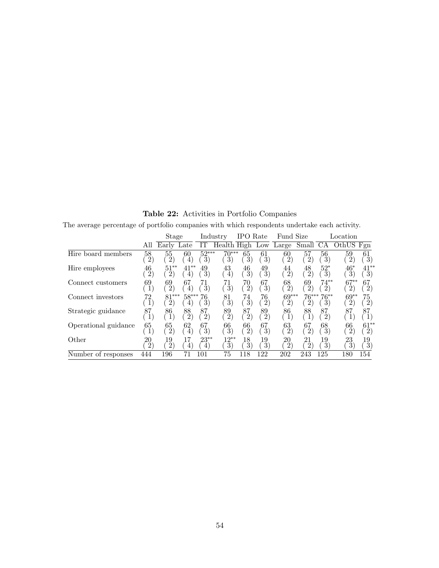Table 22: Activities in Portfolio Companies

The average percentage of portfolio companies with which respondents undertake each activity.

|                                         |                        |                              | Stage                |                              | Industry              | <b>IPO</b> Rate                      |                        | Fund Size         |                      |                       | Location       |                        |
|-----------------------------------------|------------------------|------------------------------|----------------------|------------------------------|-----------------------|--------------------------------------|------------------------|-------------------|----------------------|-----------------------|----------------|------------------------|
|                                         | All                    | Early Late                   |                      |                              | Health High Low Large |                                      |                        |                   | Small CA             |                       | OthUS Fgn      |                        |
| Hire board members                      | 58                     | 55                           | 60                   | $52***$                      | $70***$               | 65                                   | 61                     | 60                | 57                   | 56                    | 59             | 61                     |
|                                         | $\left 2\right\rangle$ | $\overline{2}$               | $\overline{4}$       | 3)                           | 3)                    | 3                                    | $\left 3\right\rangle$ | $\left( 2\right)$ | 2                    | 3)                    | $\overline{2}$ | $\mathbf{3}^{\circ}$   |
| Hire employees                          | 46                     | $51**$                       | $41**$               | 49                           | 43                    | 46                                   | 49                     | 44                | 48                   | $52*$                 | 46*            | $41**$                 |
|                                         | $\overline{2}$         | $\overline{2}$               | 4                    | 3                            | $\overline{4}$        | $\left\lceil \tilde{3} \right\rceil$ | $\mathbf{3}^{\circ}$   | $\overline{2}$    | $\overline{2}$       | $\mathcal{S}$         | 3              | $\left 3\right\rangle$ |
| Connect customers                       | 69<br>$\mathbf{1}$     | 69<br>$\left 2\right\rangle$ | 67<br>$\overline{4}$ | 71<br>$3^{\circ}$            | 71<br>3)              | 70<br>$\overline{2}$                 | 67<br>3                | 68<br>$ 2\rangle$ | 69<br>$\overline{2}$ | $74**$<br>$2^{\circ}$ | $67**$         | 67<br>2)               |
| Connect investors                       | 72                     | $81***$                      | $58***$              | 76                           | 81                    | 74                                   | 76                     | $69***$           | $76***$              | $76***$               | $69**$         | 75                     |
|                                         | $\mathbf{1}$           | 2                            | 4                    | 3                            | 3)                    | $\vert 3 \rangle$                    | $\overline{2}$         | $ 2\rangle$       | $\overline{2}$       | 3 <sup>1</sup>        | 2 <sub>1</sub> | $\left 2\right\rangle$ |
| Strategic guidance                      | 87<br>$\mathbf{1}$     | 86                           | 88<br>2              | 87<br>$\left 2\right\rangle$ | 89<br>2               | 87<br>$\left( 2\right)$              | 89<br>$\overline{2}$   | 86                | 88                   | 87<br>$\overline{2}$  | 87             | 87                     |
| Operational guidance                    | 65                     | 65                           | 62                   | 67                           | 66                    | 66                                   | 67                     | 63                | 67                   | 68                    | 66             | $61***$                |
|                                         | 1                      | $\overline{2}$               | $\overline{4}$       | 3                            | 3                     | $\left 2\right\rangle$               | 3                      | 2 <sub>1</sub>    | $\overline{2}$       | 3                     | $\overline{2}$ | $\left 2\right\rangle$ |
| Other                                   | 20                     | 19                           | 17                   | $23**$                       | $12***$               | 18                                   | 19                     | 20                | 21                   | 19                    | 23             | 19                     |
|                                         | $\left 2\right\rangle$ | $\overline{2}$               | 4                    | 4                            | 3)                    | 3                                    | 3                      | 2 <sub>1</sub>    | 2                    | $3^{\circ}$           | 3              | 3                      |
| $\overline{\text{Number of responses}}$ | 444                    | 196                          | 71                   | 101                          | 75                    | 118                                  | 122                    | 202               | 243                  | 125                   | 180            | 154                    |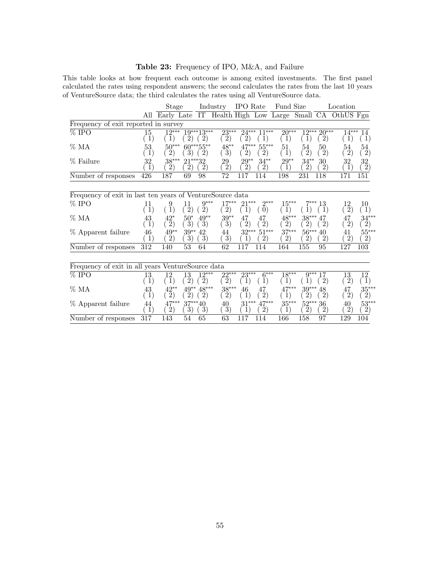|  | Table 23: Frequency of IPO, M&A, and Failure |  |  |  |  |
|--|----------------------------------------------|--|--|--|--|
|--|----------------------------------------------|--|--|--|--|

This table looks at how frequent each outcome is among exited investments. The first panel calculated the rates using respondent answers; the second calculates the rates from the last 10 years of VentureSource data; the third calculates the rates using all VentureSource data.

|                                                           |                    | <b>Stage</b><br>Industry               |                               |                    | <b>IPO</b> Rate                                            |                         | Fund Size              |                         |                          | Location           |                              |                              |
|-----------------------------------------------------------|--------------------|----------------------------------------|-------------------------------|--------------------|------------------------------------------------------------|-------------------------|------------------------|-------------------------|--------------------------|--------------------|------------------------------|------------------------------|
|                                                           |                    | All Early Late IT                      |                               |                    | Health High Low Large Small CA                             |                         |                        |                         |                          |                    | OthUS Fgn                    |                              |
| Frequency of exit reported in survey                      |                    |                                        |                               |                    |                                                            |                         |                        |                         |                          |                    |                              |                              |
| $\%$ IPO                                                  | 15<br>$ 1\rangle$  | $12***$<br>(1)                         | 2)                            | $19***13***$<br>2) | 23***<br>(2)                                               | $24***$<br>2)           | $11***$<br>1)          | $20***$<br><sup>1</sup> | (1)                      | $12***20***$<br>2) | $14***$<br>(1)               | 14<br>1)                     |
| $\%$ MA                                                   | 53<br>$\mathbf{1}$ | $50***$<br>$\left 2\right\rangle$      | 3)                            | 60***55**<br>2)    | $48^{**}$<br>$\overline{3})$                               | $47***$<br>(2)          | $55***$<br>2)          | 51<br>$ 1\rangle$       | 54<br>$\left(2\right)$   | 50<br>2)           | 54<br>$\left 2\right\rangle$ | 54<br>2)                     |
| % Failure                                                 | 32<br>$\ket{1}$    | $38***$<br>2)                          | -2)                           | $21***32$<br>2)    | 29<br>$\left( \frac{1}{2} \right)$                         | $29^{**}$<br>2)         | $34**$<br>2)           | $29^{**}$<br>$\vert$ 1) | $34**$<br>2)             | 30<br>2)           | 32<br><sup>1</sup>           | 32<br>$\bar{2})$             |
| Number of responses                                       | 426                | 187                                    | 69                            | 98                 | 72                                                         | 117                     | 114                    | 198                     | 231                      | 118                | 171                          | 151                          |
|                                                           |                    |                                        |                               |                    |                                                            |                         |                        |                         |                          |                    |                              |                              |
| Frequency of exit in last ten years of VentureSource data |                    |                                        |                               |                    |                                                            |                         |                        |                         |                          |                    |                              |                              |
| % IPO                                                     | 11<br>$\perp$      | 9<br>1)                                | 11<br>$^{\prime}$ 2)          | $9***$<br>2)       | $17***$<br>$\left( \begin{array}{c} 2 \end{array} \right)$ | $21***$<br>(1)          | $2***$<br>(0)          | $15***$<br><sup>1</sup> | 1)                       | 13                 | 12<br>$^{\prime}$ 2)         | 10<br>(1)                    |
| $\%$ MA                                                   | 43<br>$\ket{1}$    | 42*<br>2)                              | $50*$<br>(3)                  | $49^{**}$<br>3)    | $39***$<br>3)                                              | 47<br>(2)               | 47<br>2)               | $48***$<br>-2)          | $38***$<br>2)            | 47<br>2)           | 47<br>$\left( 2\right)$      | $34***$<br>(2)               |
| % Apparent failure                                        | 46<br>$ 1\rangle$  | $49^{**}$<br>2)                        | $39^{**}$<br>$\left(3\right)$ | 42<br>3)           | 44<br>$\overline{3})$                                      | $32***$<br><sup>1</sup> | $51***$<br>2)          | $37***$<br>2)           | $56***$<br>2)            | 40<br>2)           | 41<br>2)                     | $55***$<br>2)                |
| Number of responses                                       | 312                | 140                                    | 53                            | 64                 | 62                                                         | 117                     | 114                    | 164                     | 155                      | 95                 | 127                          | 103                          |
|                                                           |                    |                                        |                               |                    |                                                            |                         |                        |                         |                          |                    |                              |                              |
| Frequency of exit in all years VentureSource data         |                    |                                        |                               |                    |                                                            |                         |                        |                         |                          |                    |                              |                              |
| $\overline{\%$ IPO                                        | 13<br>$ 1\rangle$  | 12<br>(1)                              | 13<br>(2)                     | $12***$<br>2)      | $22***$<br>(2)                                             | $23***$<br>(1)          | $6***$<br><sup>1</sup> | $18***$<br><sup>1</sup> | $9***$<br><sup>1</sup>   | 17<br><sup>2</sup> | 13<br>(2)                    | 12<br>(1)                    |
| $\%$ MA                                                   | 43<br>$\Box$       | $42**$<br>$\left( \frac{2}{2} \right)$ | $49**$<br>(2)                 | $48***$<br>2)      | $38***$<br>(2)                                             | 46<br>$\left(1\right)$  | 47<br>(2)              | $47***$<br><sup>1</sup> | $39***$<br>$\binom{2}{}$ | 48<br>-2)          | 47<br>$\left( \ \ 2 \right)$ | $35***$<br>$\left( 2\right)$ |
| % Apparent failure                                        | 44<br>$\perp$      | $47**$<br>2)                           | $37**$<br>3)                  | *40<br>3)          | 40<br>$ 3\rangle$                                          | $31***$<br>$\mathbf{1}$ | $47***$<br>2)          | $35***$<br>$\perp$      | $52***$<br>2)            | 36<br>-2)          | 40<br>2)                     | $53***$<br>2)                |
| Number of responses                                       | 317                | 143                                    | 54                            | 65                 | 63                                                         | 117                     | 114                    | 166                     | 158                      | 97                 | 129                          | 104                          |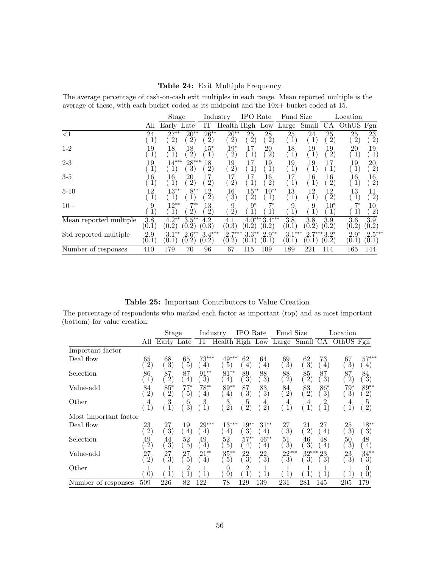|                        |                         | Stage            |                            | Industry                          |                          | <b>IPO</b> Rate             |                         | Fund Size         |                            |                              | Location                          |                                    |
|------------------------|-------------------------|------------------|----------------------------|-----------------------------------|--------------------------|-----------------------------|-------------------------|-------------------|----------------------------|------------------------------|-----------------------------------|------------------------------------|
|                        | All                     | Early Late       |                            | IT                                | Health High Low Large    |                             |                         |                   | Small                      | CA                           | OthUS Fgn                         |                                    |
| $\leq$ 1               | 24<br>$\lceil$          | $27**$<br>2      | $20**$<br>$\tilde{2}$      | $26***$<br>$\left 2\right\rangle$ | $20**$<br>$ 2\rangle$    | 25<br>$\bar{2}$             | 28<br>(2)               | 25<br>1           | 24<br>$ 1\rangle$          | 25<br>2                      | 25<br>$\left( \frac{1}{2}\right)$ | 23<br>$\left( \frac{2}{2} \right)$ |
| $1-2$                  | 19<br>$\lceil 1 \rceil$ | 18               | 18<br>$\bar{2}$            | $15^*$                            | $19^*$<br>$\overline{2}$ | 17<br>$\lceil$              | 20<br>2                 | 18,               | $19\,$<br>$\left  \right $ | 19<br>$\left(2\right)$       | 20<br>$\mathbf{1}$                | 19<br><sup>1</sup>                 |
| $2 - 3$                | 19<br>$\mathbf{1}$      | $14***$          | $28***$<br>$ 3\rangle$     | 18<br>$\overline{2}$              | 19<br>$\overline{2}$     | 17<br>1                     | 19                      | 19<br>$\ket{1}$   | 19<br>$\ket{1}$            |                              | 19                                | 20<br>$\langle 2 \rangle$          |
| $3-5$                  | 16<br>$\lceil$          | 16               | 20<br>$\tilde{2}$          | 17<br>$\left 2\right\rangle$      | 17<br>$\overline{2}$     | 17                          | 16<br>2,                | 17                | 16                         | 16<br>$\left 2\right\rangle$ | 16                                | 16<br>2                            |
| $5 - 10$               | 12<br>$\ket{1}$         | $13**$           | $8^{**}$                   | 12<br>$\overline{2}$              | 16<br>3                  | $15^{**}$<br>2 <sub>1</sub> | $10^{**}$               | 13                | 12<br>$ 1\rangle$          | 12<br>2                      | 13                                | 11<br>$^{\circ}2,$                 |
| $10+$                  | 9                       | $12**$           | $7^{**}$<br>$\overline{2}$ | 13<br>$\overline{2}$              | 9<br>$2^{\circ}$         | $9*$                        |                         | 9                 | 9                          | $10^*$                       |                                   | 10<br>$\overline{2}$               |
| Mean reported multiple | 3.8<br>(0.1)            | $4.2**$<br>(0.2) | $3.5***$<br>(0.2)          | 4.2<br>(0.3)                      | 4.1<br>(0.3)             | (0.2)                       | $4.0***3.4***$<br>(0.2) | $3.8\,$<br>(0.1)  | 3.8<br>(0.2)               | 3.9<br>(0.2)                 | $3.6\,$<br>(0.2)                  | 3.9<br>$(\bar{0}.\bar{2})$         |
| Std reported multiple  | $2.9\,$<br>(0.1)        | $3.1**$<br>(0.1) | $2.6***$<br>(0.2)          | $3.4***$<br>(0.2)                 | $2.7***$<br>(0.2)        | $3.3**$<br>(0.1             | $2.9**$<br>(0.1)        | $3.1***$<br>(0.1) | $2.7***$<br>(0.1)          | $3.2^*$<br>(0.2)             | $2.9*$<br>(0.1)                   | $2.5***$<br>(0.1)                  |
| Number of responses    | 410                     | 179              | 70                         | 96                                | 67                       | 115                         | 109                     | 189               | 221                        | 114                          | 165                               | 144                                |

### Table 24: Exit Multiple Frequency

The average percentage of cash-on-cash exit multiples in each range. Mean reported multiple is the average of these, with each bucket coded as its midpoint and the 10x+ bucket coded at 15.

## Table 25: Important Contributors to Value Creation

The percentage of respondents who marked each factor as important (top) and as most important (bottom) for value creation.

|                       |                         | <b>Stage</b>            |                         |                              | Industry                              | IPO Rate               |               | Fund Size                    |                              |                                 | Location                      |                             |
|-----------------------|-------------------------|-------------------------|-------------------------|------------------------------|---------------------------------------|------------------------|---------------|------------------------------|------------------------------|---------------------------------|-------------------------------|-----------------------------|
|                       | All                     | Early Late              |                         | IT                           | Health High Low Large                 |                        |               |                              | Small CA                     |                                 | OthUS Fgn                     |                             |
| Important factor      |                         |                         |                         |                              |                                       |                        |               |                              |                              |                                 |                               |                             |
| Deal flow             | 65<br>2)                | 68<br>$ 3\rangle$       | 65<br>$5^{\circ}$       | $73***$<br>$\vert 4 \rangle$ | $49***$<br>-5)                        | 62<br>$ 4\rangle$      | 64<br>4)      | 69<br>$\left(3\right)$       | 62<br>$\left(3\right)$       | $73_\circ$<br>$\vert 4 \rangle$ | 67<br>3                       | $57***$<br>4)               |
| Selection             | 86<br><sup>1</sup>      | 87<br>$\left( 2\right)$ | 87<br>$ 4\rangle$       | $91**$<br>3)                 | $81**$<br>$ 4\rangle$                 | 89<br>3)               | 88<br>3)      | 88<br>$\zeta_2$              | 85<br>$\left 2\right\rangle$ | 87<br>3                         | 87<br>$\left 2\right\rangle$  | 84<br>$\left(3\right)$      |
| Value-add             | 84<br>$\left( 2\right)$ | $85*$<br>2)             | $77^{\ast}$<br>-5)      | $78**$<br>4)                 | 89**<br>$ 4\rangle$                   | 87<br>3)               | 83<br>3)      | 84<br>$\left 2\right\rangle$ | 83<br>2                      | $86*$<br>3                      | $79*$<br>3)                   | 89**<br>2)                  |
| Other                 | 1)                      | 3<br>1)                 | 6<br>$\overline{3})$    | 3                            | 3<br>$\overline{2})$                  | 5<br>$\left( 2\right)$ | 4<br>2)       | 4<br>$\mathbf{1}$            | 4<br>$1^{\circ}$             | 2<br>$\left  \right $           | 4<br>$1^{\circ}$              | 5<br>$\left( 2\right)$      |
| Most important factor |                         |                         |                         |                              |                                       |                        |               |                              |                              |                                 |                               |                             |
| Deal flow             | 23<br>2)                | 27<br>3)                | 19<br>$\left( 4\right)$ | $29***$<br>-4)               | $13***$<br>4                          | $19***$<br>3)          | $31***$<br>4) | 27<br>-3)                    | 21<br>$\bar{2})$             | 27<br>4                         | 25<br>$\bar{3})$              | $18***$<br>$\left(3\right)$ |
| Selection             | 49<br>$\overline{2})$   | 44<br>$\bar{3}$         | 52<br>-5)               | 49<br>4                      | 52<br>5 <sup>°</sup>                  | $57^{\ast\ast}$<br>4)  | $46**$<br>4)  | 51<br>3)                     | 46<br>$\binom{3}{}$          | 48<br>$\vert 4 \rangle$         | 50<br>$\left(3\right)$        | 48<br>4                     |
| Value-add             | 27<br>2)                | 27<br>3)                | 27<br>-5)               | $21***$<br>$\vert 4 \rangle$ | $35^{**}$<br>5)                       | 22<br>3)               | 22<br>-3)     | $22***$<br>$\binom{3}{}$     | $32***$<br>3)                | 23<br>-3)                       | $23_{\circ}$<br>$\binom{3}{}$ | $34**$<br>-3)               |
| Other                 | (0)                     | $ 1\rangle$             | 1)                      | 1)                           | $\left( \right)$<br>$\left( 0\right)$ | 1)                     |               | $\mathbf{1}$                 | $1^{\circ}$                  | 1                               | 1                             | $\cup$<br>$\left( 0\right)$ |
| Number of responses   | 509                     | 226                     | 82                      | 122                          | 78                                    | 129                    | 139           | 231                          | 281                          | 145                             | 205                           | 179                         |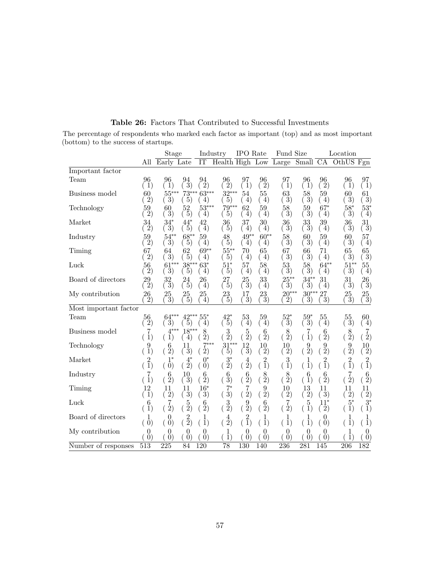|                       |                                                   | Stage                                                                      |                                                                  | Industry                                                           | <b>IPO</b> Rate                                              |                                                                  | <b>Fund Size</b>                                    |                                                       |                               | Location                    |                                        |
|-----------------------|---------------------------------------------------|----------------------------------------------------------------------------|------------------------------------------------------------------|--------------------------------------------------------------------|--------------------------------------------------------------|------------------------------------------------------------------|-----------------------------------------------------|-------------------------------------------------------|-------------------------------|-----------------------------|----------------------------------------|
|                       | All                                               | Early Late                                                                 | IT                                                               | Health High Low Large                                              |                                                              |                                                                  |                                                     | Small CA                                              |                               | OthUS Fgn                   |                                        |
| Important factor      |                                                   |                                                                            |                                                                  |                                                                    |                                                              |                                                                  |                                                     |                                                       |                               |                             |                                        |
| Team                  | 96<br>1)                                          | 96<br>$\left(3\right)$<br><sup>1</sup>                                     | $\binom{94}{2}$                                                  | $\frac{96}{2}$                                                     | $\begin{smallmatrix} 97 \ 1) \end{smallmatrix}$              | $\binom{96}{2}$                                                  | ${97 \choose 1}$                                    | $\frac{96}{1}$                                        | $\binom{96}{2}$               | 96<br>$\vert$ 1)            | $\binom{97}{1}$                        |
| Business model        | 60<br>2)                                          | $55***$<br>73***<br>$\left( \begin{array}{c} 3 \end{array} \right)$<br>(5) | 63***<br>-4)                                                     | $32***$<br>(5)                                                     | $54\,$<br>(4)                                                | 55<br>(4)                                                        | 63<br>$\left(\begin{array}{c} 3 \end{array}\right)$ | $\frac{58}{3}$                                        | 59<br>(4)                     | 60<br>$\binom{3}{}$         | 61<br>$\tilde{(-3)}$                   |
| Technology            | $\stackrel{59}{_{2})}$                            | $\binom{52}{5}$<br>60<br>$\left(\begin{array}{c} 3 \end{array}\right)$     | $53***$<br>(4)                                                   | 79***<br>(5)                                                       | 62<br>(4)                                                    | 59<br>(4)                                                        | $\binom{58}{3}$                                     | 59<br>$\left( \begin{array}{c} 3 \end{array} \right)$ | $67*$<br>(4)                  | ${58^* \choose 3}$          | $53*$<br>(4)                           |
| Market                | $\frac{34}{2}$                                    | $34*$<br>$44*$<br>$\check{(-3)}$<br>(5)                                    | 42<br>(4)                                                        | 36<br>$\tilde{(-5)}$                                               | 37<br>(4)                                                    | 30<br>(4)                                                        | 36<br>$\check{\text{}}(3)$                          | 33<br>$\binom{5}{3}$                                  | 39<br>(4)                     | 36<br>$\tilde{c}(\v3)$      | $\binom{31}{3}$                        |
| Industry              | $\frac{59}{2}$                                    | $68^{**}$<br>$54***$<br>$\check{(-3)}$<br>(5)                              | 59<br>(4)                                                        | $\binom{48}{5}$                                                    | $49**$<br>(4)                                                | $60**$<br>(4)                                                    | $\binom{58}{3}$                                     | 60<br>$\left(3\right)$                                | 59<br>(4)                     | 60<br>$^{\circ}3)$          | 57<br>(4)                              |
| Timing                | 67<br>$\left( \frac{2}{2} \right)$                | $\binom{62}{5}$<br>64<br>(3)                                               | $69**$<br>-4)                                                    | $55^{**}$<br>$\binom{5}{5}$                                        | 70<br>(4)                                                    | 65<br>(4)                                                        | 67<br>(3)                                           | 66<br>$\left(\begin{array}{c}3\end{array}\right)$     | 71<br>(4)                     | 65<br>$^{\small (3)}$       | $\binom{65}{3}$                        |
| Luck                  | $\frac{56}{2}$                                    | $61***$<br>$38^{**}$<br>$(5)$<br>$(\bar{3})$                               | $63^{*}$<br>4)                                                   | $\left( \begin{smallmatrix} 51^\ast \ 5 \end{smallmatrix} \right)$ | $\binom{57}{4}$                                              | $\stackrel{58}{4})$                                              | $\binom{53}{3}$                                     | $\frac{58}{3}$                                        | $64^{**}$<br>(4)              | $51^{**}$<br>$\tilde{ }3)$  | 55<br>(4)                              |
| Board of directors    | $^{29}_{(2)}$                                     | $\frac{32}{(3)}$<br>$\frac{24}{5}$                                         | 26<br>4                                                          | $^{27}_{\ 5)}$                                                     | $^{25}_{(3)}$                                                | $\binom{33}{4}$                                                  | $25***$<br>$\bar{3}$                                | $34***$<br>$\left(3\right)$                           | 4                             | $\overset{31}{\rightarrow}$ | $\binom{26}{3}$                        |
| My contribution       | $\frac{26}{2}$                                    | 25<br>25<br>$\left( \frac{3}{3} \right)$<br>$\left\lceil 5 \right\rceil$   | 25<br>4)                                                         | 23<br>$\tilde{5}$                                                  | 17<br>$\left(\begin{smallmatrix} 3 \end{smallmatrix}\right)$ | 23<br>$\bar{ }^{2}\bar{3})$                                      | $20***$<br>2                                        | $30***$<br>-3)                                        | 27<br>3)                      | 25<br>$\lceil \v3 \rceil$   | $^{25}_{(3)}$                          |
| Most important factor |                                                   |                                                                            |                                                                  |                                                                    |                                                              |                                                                  |                                                     |                                                       |                               |                             |                                        |
| Team                  | 56<br>2)                                          | $64***$<br>$42***$<br>(3)<br>5)                                            | $55^{\ast}$<br>-4)                                               | $\binom{42^*}{5}$                                                  | 53<br>(4)                                                    | 59<br>(4)                                                        | $\binom{52^*}{3}$                                   | $59*$<br>$\check{(}3)$                                | 55<br>(4)                     | 55<br>$\tilde{(-3)}$        | 60<br>(4)                              |
| Business model        | 7<br>$\left(1\right)$                             | $4***$<br>$18***$<br>(1)<br>(4)                                            | 8<br>2)                                                          | 3<br>$(\; \bar{2})$                                                | 5<br>$\binom{5}{2}$                                          | 6<br>(2)                                                         | $_{2}^{8}$                                          | $\left  \right $                                      | 6<br>(2)                      | $\overline{2})$             | $\binom{2}{}$                          |
| Technology            | $\begin{smallmatrix} 9 \\ 1 \end{smallmatrix}$    | 11<br>6<br>$\check{2})$<br>$\bar{3}$                                       | $7***$<br>$\dot{2})$                                             | $31***$<br>$\left(\bar{5}\right)$                                  | $\binom{12}{3}$                                              | 10<br>$\left(\begin{smallmatrix} 2 \ 2 \end{smallmatrix}\right)$ | $\binom{10}{2}$                                     | $\frac{9}{2}$                                         | $\frac{9}{2}$                 | $\check{2})$                | 10<br>$\rm(\bar{2})$                   |
| Market                | $\frac{2}{1}$                                     | $\begin{pmatrix} 1 \\ 0 \end{pmatrix}$<br>$\binom{4^*}{2}$                 | $0^*$<br>$\left( \begin{array}{c} \tilde{0} \end{array} \right)$ | $\binom{3^*}{2}$                                                   | $\begin{pmatrix} 4 \\ 2 \end{pmatrix}$                       | $(\begin{matrix} 2 \\ 1 \end{matrix})$                           | $\begin{smallmatrix} 3 \\ 1 \end{smallmatrix}$      | (1)                                                   | $\frac{2}{1}$                 | $\frac{2}{1}$               | $\begin{pmatrix} 2 \\ 1 \end{pmatrix}$ |
| Industry              | $\binom{7}{1}$                                    | 10<br>$\binom{6}{2}$<br>$\binom{5}{3}$                                     | 6<br>$\check{2})$                                                | 6<br>$\left(\ \frac{3}{2}\right)$                                  | $(\frac{6}{2})$                                              | $^{8}_{2)}$                                                      | $(\frac{8}{2})$                                     | $\binom{6}{1}$                                        | 6<br>$\check{2}$              | $\binom{1}{2}$              | $\binom{6}{2}$                         |
| Timing                | $^{12}_{1)}$                                      | 11<br>$\bar{2}$<br>$\overline{3}$                                          | $^{16^*}_{(3)}$                                                  | $\dot{3})$                                                         | $\dot{2}$                                                    | $\breve{2}$                                                      | $\binom{10}{2}$                                     | $\begin{smallmatrix} 13 \\ 2 \end{smallmatrix}$       | 11<br>$\overline{3})$         | 11<br>$\bar{2}$             | $\binom{11}{2}$                        |
| Luck                  | 6<br>$\overline{1})$                              | $\begin{pmatrix} 5 \\ 2 \end{pmatrix}$<br>$^{7}_{2)}$                      | $^{6}_{2)}$                                                      | $\binom{3}{2}$                                                     | $\frac{9}{2}$                                                | 6<br>$\tilde{2})$                                                | $\begin{pmatrix} 7 \\ 2 \end{pmatrix}$              | (1)                                                   | $11^*$<br>$\bar{(\,\bar{2})}$ | $\left(1\right)$            | $(\mathbf{1})$                         |
| Board of directors    | $\left(\begin{array}{c}\bar{0}\end{array}\right)$ | $\frac{2}{2}$<br>0<br>$\check{0}$ )                                        | $\frac{1}{1}$                                                    | $\begin{pmatrix} 4 \\ 2 \end{pmatrix}$                             | $\frac{2}{1}$                                                | $(\bar{1})$                                                      | $(\bar{1})$                                         | $(\bar{1})$                                           | 0<br>$\tilde{0}$ )            | $\overline{1}$              | $(\bar{1})$                            |
| My contribution       | 0<br>$\left( 0\right)$                            | 0<br>$\theta$<br>$\left( 0\right)$<br>$\left( 0\right)$                    | $\theta$<br>$\left( 0\right)$                                    | 1)                                                                 | 0<br>$\left 0\right\rangle$                                  | 0<br>$\left( 0\right)$                                           | 0<br>$\left( 0\right)$                              | 0<br>$\left 0\right\rangle$                           | $\theta$<br>$\left( 0\right)$ | 1<br>$1^{\circ}$            | $\left( 0\right)$                      |
| Number of responses   | 513                                               | $\overline{84}$<br>225                                                     | $\overline{120}$                                                 | 78                                                                 | $\overline{130}$                                             | 140                                                              | 236                                                 | 281                                                   | 145                           | 206                         | 182                                    |

Table 26: Factors That Contributed to Successful Investments

The percentage of respondents who marked each factor as important (top) and as most important (bottom) to the success of startups.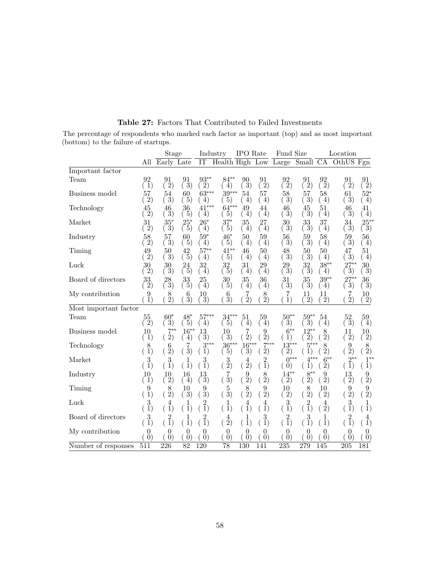|                       |                                    | Stage                                                    |                                                       |                                                | Industry                                        | <b>IPO</b> Rate                                            |                                   | Fund Size                                                            |                                                             |                               | Location                                       |                                                              |
|-----------------------|------------------------------------|----------------------------------------------------------|-------------------------------------------------------|------------------------------------------------|-------------------------------------------------|------------------------------------------------------------|-----------------------------------|----------------------------------------------------------------------|-------------------------------------------------------------|-------------------------------|------------------------------------------------|--------------------------------------------------------------|
|                       | All                                | Early Late                                               |                                                       | IT                                             | Health High Low Large                           |                                                            |                                   |                                                                      | $\overline{\text{Small }}$ CA                               |                               | OthUS Fgn                                      |                                                              |
| Important factor      |                                    |                                                          |                                                       |                                                |                                                 |                                                            |                                   |                                                                      |                                                             |                               |                                                |                                                              |
| Team                  | $\binom{92}{1}$                    | $\binom{91}{2}$                                          | $^{91}_{(3)}$                                         | $\binom{93^{**}}{2}$                           | $84**$<br>4)                                    | 90<br>$\tilde{3})$                                         | $\stackrel{91}{_{2}})$            | $\stackrel{92}{_{2}})$                                               | $\binom{91}{2}$                                             | $\stackrel{92}{_{2}})$        | $91\over 2)$                                   | $\overset{91}{2})$                                           |
| Business model        | 57<br>$\left( \frac{2}{2} \right)$ | 54<br>$\left(3\right)$                                   | 60<br>$\tilde{5}$                                     | $63***$<br>(4)                                 | $39***$<br>(5)                                  | 54<br>(4)                                                  | 57<br>(4)                         | $\binom{58}{3}$                                                      | $\binom{57}{3}$                                             | $\binom{58}{4}$               | 61<br>$\tilde{3}$                              | $52*$<br>(4)                                                 |
| Technology            | $\frac{45}{2}$                     | 46<br>$\left(\ \bar{3}\right)$                           | 36<br>(5)                                             | $41***$<br>(4)                                 | $64***$<br>$\left(5\right)$                     | 49<br>(4)                                                  | $\binom{44}{4}$                   | $\frac{46}{(3)}$                                                     | $\binom{45}{3}$                                             | $\binom{51}{4}$               | $\binom{46}{3}$                                | 41<br>(4)                                                    |
| Market                | $\overset{31}{_{2})}$              | $35^*$<br>$\check{(}3)$                                  | $25^{*}$<br>(5)                                       | $26*$<br>(4)                                   | $37^*$<br>(5)                                   | 35<br>(4)                                                  | 27<br>(4)                         | 30<br>$\check{(}3)$                                                  | $\binom{33}{3}$                                             | 37<br>(4)                     | 34<br>$\left(\overline{3}\right)$              | $25^{**}$<br>$\left( \begin{array}{c} 3 \end{array} \right)$ |
| Industry              | $\stackrel{58}{\substack{2}})$     | $\tilde{}}3)$                                            | 60<br>$\tilde{5}$                                     | $59*$<br>(4)                                   | $46^*$<br>(5)                                   | 50<br>(4)                                                  | 59<br>(4)                         | 56<br>$\check{(\;\;3)}$                                              | $\binom{59}{3}$                                             | 58<br>(4)                     | $\frac{59}{(3)}$                               | 56<br>(4)                                                    |
| Timing                | 49<br> 2)                          | 50<br>$\H(3)$                                            | $\binom{42}{5}$                                       | $57***$<br>(4)                                 | $41**$<br>(5)                                   | 46<br>(4)                                                  | 50<br>(4)                         | $\binom{48}{3}$                                                      | $\left(\begin{smallmatrix} 50 \ 3 \end{smallmatrix}\right)$ | 50<br>(4)                     | 47<br>$\binom{3}{}$                            | 51<br>(4)                                                    |
| Luck                  | 30 <sub>1</sub><br>$\tilde{2})$    | $\binom{30}{3}$                                          | $^{24}_{(5)}$                                         | $\binom{32}{4}$                                | $3^{2}_{5)}$                                    | 31<br>(4)                                                  | $\binom{29}{4}$                   | $^{29}_{(3)}$                                                        | $\binom{32}{3}$                                             | $38^{**}$<br>(4)              | $27**$<br>$\binom{3}{}$                        | $\frac{30}{3}$                                               |
| Board of directors    | $\overset{33}{_{2}})$              | $^{28}_{(3)}$                                            | $\binom{33}{5}$                                       | 25<br>$\binom{7}{4}$                           | $\begin{smallmatrix} 30 \\ 5 \end{smallmatrix}$ | 35<br>(4)                                                  | 36<br>(4)                         | $^{31}_{(3)}$                                                        | $\binom{35}{3}$                                             | $39**$<br>(4)                 | $27**$<br>(3)                                  | 36<br>$\left(\begin{array}{c}3\end{array}\right)$            |
| My contribution       | 9<br>1)                            | 8<br>$\tilde{2}$                                         | 6<br>$\overline{3})$                                  | 10<br>$\binom{3}{}$                            | 6<br>$\overline{3})$                            | 7<br>$\left( 2\right)$                                     | 8<br>$\left( \frac{1}{2} \right)$ | T<br>1)                                                              | 11<br>$\left( 2\right)$                                     | 11<br>2                       | 7<br>$\left( 2\right)$                         | 10<br>$\left( 2\right)$                                      |
| Most important factor |                                    |                                                          |                                                       |                                                |                                                 |                                                            |                                   |                                                                      |                                                             |                               |                                                |                                                              |
| Team                  | $55\,$<br>2)                       | $60*$<br>$\left( \begin{array}{c} 3 \end{array} \right)$ | $48*$<br>(5)                                          | $57***$<br>(4)                                 | $34***$<br>(5)                                  | 51<br>(4)                                                  | 59<br>(4)                         | $50**$<br>$\left( \frac{3}{2} \right)$                               | $59**$<br>$\left( \frac{1}{3} \right)$                      | 54<br>(4)                     | 52<br>$\left(\overline{3}\right)$              | 59<br>(4)                                                    |
| Business model        | 10<br>(1)                          | $7^{**}$<br>2)                                           | $16***$<br>(4)                                        | 13<br>(3)                                      | 10<br>(3)                                       | (2)                                                        | 9<br>$\left( 2\right)$            | $6***$<br>(1)                                                        | $12**$<br>(2)                                               | 8<br>2)                       | 11<br>$\bar{(-2)}$                             | 10<br>(2)                                                    |
| Technology            | $\{8}{1}$                          | $^{6}_{2}$                                               | $\binom{3}{}$                                         | $3^{***}$<br>$\tilde{1})$                      | $36***$<br>(5)                                  | $16***$<br>$\left( \begin{array}{c} 3 \end{array} \right)$ | $7***$<br>$\left( 2\right)$       | $13***$<br>$\left( \begin{array}{c} \tilde{2} \end{array} \right)$   | $5^{***}$<br>(1)                                            | $^{8}_{2)}$                   | $^{9}_{2)}$                                    | $_{2}^{8}$                                                   |
| Market                | $\frac{3}{1}$                      | $\frac{3}{1}$                                            | $\hat{1}$                                             | $\begin{smallmatrix} 3 \\ 1 \end{smallmatrix}$ | $^{3}_{2)}$                                     | $\begin{pmatrix} 4 \\ 2 \end{pmatrix}$                     | $\frac{2}{1}$                     | $0***$<br>(0)                                                        | $4***$<br>$(\bar{1})$                                       | $6^{**}$<br>$\tilde{2})$      | $2^{**}$<br>$(\bar{1})$                        | $\overline{1})$                                              |
| Industry              | 10<br>$\vert 1 \rangle$            | $^{10}_{(2)}$                                            | 16<br>$\left(4\right)$                                | $^{13}_{-3)}$                                  | $rac{7}{3}$                                     | $\frac{9}{2}$                                              | $^{8}_{2)}$                       | $14^{**}$<br>$\left(\begin{smallmatrix} -2 \end{smallmatrix}\right)$ | $\binom{8^{**}}{2}$                                         | $\frac{9}{2}$                 | $\binom{13}{2}$                                | $\frac{9}{2}$                                                |
| Timing                | $\check{1}$                        | $\frac{8}{2}$                                            | $^{10}_{-3)}$                                         | $\frac{9}{3}$                                  | $\frac{5}{3}$                                   | $\frac{8}{2}$                                              | $^{9}_{2)}$                       | 10<br>$\mathbf{z}^2$                                                 | $(\frac{8}{2})$                                             | $^{\rm 10}_{\rm 2)}$          | $\begin{pmatrix} 9 \\ 2 \end{pmatrix}$         | $\frac{9}{2}$                                                |
| Luck                  | $\frac{3}{1}$                      | $\frac{4}{1}$                                            | $\left( \begin{array}{c} \bar{1} \end{array} \right)$ | $\frac{2}{1}$                                  | $\frac{1}{1}$                                   | $\begin{pmatrix} 4 \\ 1 \end{pmatrix}$                     | $\frac{4}{1}$                     | $\binom{3}{1}$                                                       | $(\begin{matrix} 2 \\ 1 \end{matrix})$                      | $rac{4}{2}$                   | $\begin{smallmatrix} 3 \\ 1 \end{smallmatrix}$ | 1)                                                           |
| Board of directors    | $\frac{3}{1}$                      | $\binom{2}{1}$                                           | $\binom{1}{1}$                                        | $\frac{2}{1}$                                  | $rac{4}{2}$                                     | $\begin{pmatrix} 1 \\ 1 \end{pmatrix}$                     | 3<br>$\overline{1})$              | $\begin{pmatrix} 2 \\ 1 \end{pmatrix}$                               | $\begin{smallmatrix} 3 \\ 1 \end{smallmatrix}$              | $\overline{1})$               | $\binom{2}{1}$                                 | (1)                                                          |
| My contribution       | $\theta$<br>$\left( 0\right)$      | 0<br>$\left( 0\right)$                                   | $\theta$<br>$\vert 0 \rangle$                         | 0<br>$\vert 0 \rangle$                         | $\theta$<br>$\left( 0\right)$                   | 0<br>$\left( 0\right)$                                     | 0<br>$\vert 0\rangle$             | $\theta$<br>$\vert 0\rangle$                                         | $\theta$<br>$\vert 0 \rangle$                               | $\theta$<br>$\left( 0\right)$ | $\theta$<br>$\vert 0 \rangle$                  | $\theta$<br>$\left( 0\right)$                                |
| Number of responses   | 511                                | $\overline{226}$                                         | $\overline{82}$                                       | $\overline{120}$                               | 78                                              | $\overline{130}$                                           | 141                               | 235                                                                  | 279                                                         | 145                           | 205                                            | 181                                                          |

Table 27: Factors That Contributed to Failed Investments

The percentage of respondents who marked each factor as important (top) and as most important (bottom) to the failure of startups.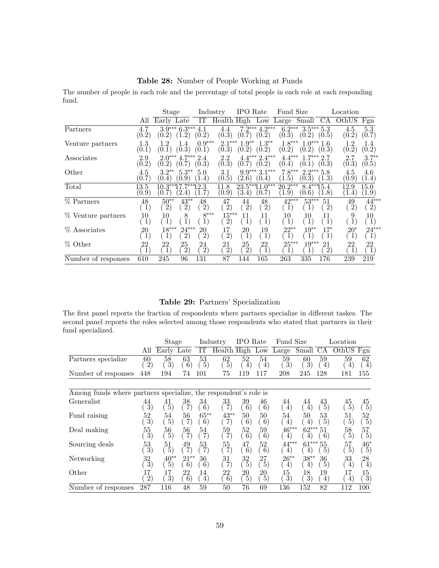## Table 28: Number of People Working at Funds

The number of people in each role and the percentage of total people in each role at each responding fund.

|                     |                           | Stage                   | Industry                            |                   |                                   | <b>IPO</b> Rate         |                          | Fund Size               |                                 |                        | Location           |                        |
|---------------------|---------------------------|-------------------------|-------------------------------------|-------------------|-----------------------------------|-------------------------|--------------------------|-------------------------|---------------------------------|------------------------|--------------------|------------------------|
|                     | All                       | Early Late              |                                     | IТ                | Health High Low Large Small       |                         |                          |                         |                                 | CA.                    | OthUS              | Fgn                    |
| Partners            | 4.7<br>(0.2)              | $3.9***$<br>(0.2)       | $6.3***$<br>(1.2)                   | 4.1<br>(0.2)      | 4.4<br>(0.3)                      | $7.2***$<br>(0.7)       | $4.2***$<br>(0.2)        | $6.2***$<br>(0.3)       | $3.\overline{5***5.3}$<br>(0.2) | (0.5)                  | 4.5<br>(0.2)       | 5.3<br>(0.7)           |
| Venture partners    | $1.3\,$<br>(0.1)          | (0.1)                   | 1.4<br>(0.3)                        | $0.9***$<br>(0.1) | $2.1***$<br>(0.3)                 | $1.9**$<br>(0.2)        | $1.3***$<br>(0.2)        | $1.8***$<br>(0.2)       | $1.0***$<br>(0.2)               | -1.6<br>(0.3)          | 1.2<br>(0.2)       | 1.4<br>(0.2)           |
| Associates          | 2.9<br>$(0.\overline{2})$ | $2.0***$<br>(0.2)       | $4.7***$<br>(0.7)                   | 2.4<br>(0.3)      | 2.2<br>(0.3)                      | 4.4***<br>(0.7)         | $2.4***$<br>(0.2)        | $4.4***$<br>(0.4)       | (0.1)                           | 2.7<br>(0.3)           | 2.7<br>(0.3)       | $3.7**$<br>(0.5)       |
| Other               | 4.5<br>(0.7)              | $3.2**$<br>(0.4)        | $5.3**$<br>(0.9)                    | 5.0<br>[1.4]      | $3.1\,$<br>(0.5)                  | (2.6)                   | $9.9***3.1***$<br>(0.4)  | $7.8***$<br>(1.5)       | $2.2***$<br>(0.3)               | 5.8<br>(1.3)           | 4.5<br>(0.9)       | 4.6<br>(1.4)           |
| Total               | $13.5\,$<br>(0.9)         | (0.7)                   | $10.3***17.7***12.3$<br>$2.4^\circ$ |                   | 11.8<br>(0.9)                     | (3.4)                   | $23.5***1.0***$<br>(0.7) | $20.2***$<br>(1.9)      | $8.4***15.4$<br>(0.6)           | 1.8                    | 12.9<br>(1.4)      | 15.0<br>(1.9)          |
| % Partners          | 48<br>$\binom{1}{1}$      | $50**$<br>2)            | $43**$<br>$\left( 2\right)$         | 48<br>-2)         | 47<br>2                           | 44<br>2                 | 48<br>2)                 | $42***$<br><sup>1</sup> | $53***$<br>$\mathbf{1}$         | 51<br>2                | 49<br>-2)          | $44^{***}$<br>-2)      |
| % Venture partners  | 10<br>$\ket{1}$           | 10<br><sup>1</sup>      | 8                                   | $8***$            | $15***$<br>$\left 2\right\rangle$ | 11<br>$\vert$ 1)        | 11<br>$\lceil 1 \rceil$  | 10<br>$\lceil 1 \rceil$ | 10<br><sup>1</sup>              | $\lceil 1 \rceil$      | 9<br>$\ket{1}$     | 10<br>$\left(1\right)$ |
| % Associates        | 20<br>$\ket{1}$           | $18***$<br><sup>1</sup> | $24***$<br>$2^{\circ}$              | 20<br>2           | 17<br>$\left 2\right\rangle$      | 20<br>$\vert 1 \rangle$ | 19<br>$\vert 1 \rangle$  | $22**$<br><sup>1</sup>  | $19**$<br><sup>1</sup>          | $17^*$<br>$\mathbf{1}$ | $20*$              | $24***$<br>-1)         |
| % Other             | 22<br>$\ket{1}$           | 22<br><sup>1</sup>      | 25<br>$\left( 2\right)$             | 24<br>2           | 21<br>2                           | 25<br>$\overline{2}$    | 22<br><sup>1</sup>       | $25***$<br><sup>1</sup> | $19***$<br>1)                   | 21<br>2 <sub>1</sub>   | 22<br><sup>1</sup> | 22<br><sup>1</sup>     |
| Number of responses | 610                       | 245                     | 96                                  | 131               | 87                                | 144                     | 165                      | 263                     | 335                             | 176                    | 239                | 219                    |

## Table 29: Partners' Specialization

The first panel reports the fraction of respondents where partners specialize in different taskes. The second panel reports the roles selected among those respondents who stated that partners in their fund specialized.

|                                                                 |                   | Stage            |                          |                         | Industry              | <b>IPO</b> Rate |                | Fund Size                |                           |                   | Location          |                  |
|-----------------------------------------------------------------|-------------------|------------------|--------------------------|-------------------------|-----------------------|-----------------|----------------|--------------------------|---------------------------|-------------------|-------------------|------------------|
|                                                                 | All               | Early Late       |                          | IТ                      | Health High Low Large |                 |                |                          | Small CA                  |                   | OthUS Fgn         |                  |
| Partners specialize                                             | 60                | 58               | 63                       | 53                      | 62                    | 52              | 54             | 59                       | 60                        | 59                | 59                | 62               |
|                                                                 | 2)                | -3)              | 6)                       | -5)                     | 5)                    | $ 4\rangle$     | 4)             | -3)                      | -3)                       | -4)               | 4                 | 4)               |
| Number of responses                                             | 448               | 194              | 74                       | 101                     | 75                    | 119             | 117            | 208                      | 245                       | 128               | 181               | 155              |
| Among funds where partners specialize, the respondent's role is |                   |                  |                          |                         |                       |                 |                |                          |                           |                   |                   |                  |
| Generalist                                                      | 44                | 41               | 38                       | 34                      | 33                    | 39              | 46             | 44                       | 44                        | 43                | 45                | 45               |
|                                                                 | $\left(3\right)$  | -5)              | $\left( 7\right)$        | 6 <sup>°</sup>          | -7)                   | (6)             | 6)             | 4)                       | $\overline{4}$            | -5)               | -5)               | $\left(5\right)$ |
| Fund raising                                                    | 52                | 54               | 56                       | $65***$                 | $43**$                | 50              | 50             | 54                       | 50                        | 53                | 51                | 52               |
|                                                                 | 3)                | $\left(5\right)$ | $\left  7 \right\rangle$ | $6^{\circ}$             | -7)                   | (6)             | 6)             | 4)                       | $\left( 4\right)$         | -5)               | 5)                | 5)               |
| Deal making                                                     | 55                | 56               | 56                       | 54                      | 59                    | 52              | 59             | $46***$                  | $62***$                   | 51                | 58                | 57               |
|                                                                 | 3)                | -5)              | $\left( 7\right)$        | $\mathbf{7}$            | -7)                   | (6)             | 6)             | $\overline{4}$           | 4                         | -6)               | 5)                | -5)              |
| Sourcing deals                                                  | 53<br>3)          | 51<br>5)         | 49                       | 53<br>$\left( 7\right)$ | 55<br>-7)             | 47<br>(6)       | 52<br>6)       | 44***<br>$\vert 4 \vert$ | $61***$<br>$\overline{4}$ | 55<br>-5)         | 57<br>5)          | $46*$<br>5)      |
| Networking                                                      | 32                | $40**$           | $21**$                   | 36                      | 31                    | 32              | 27             | $26***$                  | $38**$                    | 36                | 33                | 28               |
|                                                                 | 3)                | -5)              | 6 <sup>°</sup>           | 6)                      | (7)                   | $\mathbf{5})$   | 5)             | 4)                       | $\overline{4}$            | $\binom{5}{2}$    | $\left( 4\right)$ | 4                |
| Other                                                           | 17                | 17               | 22                       | 14                      | 22                    | 20              | 20             | 15                       | 18                        | 19                | 17                | 15               |
|                                                                 | $\left( 2\right)$ | 3                | 6 <sup>°</sup>           | $ 4\rangle$             | 6)                    | $5^{\circ}$     | 5 <sup>2</sup> | 3)                       | $3^{\circ}$               | $\left( 4\right)$ | $\left( 4\right)$ | -3)              |
| Number of responses                                             | 287               | 116              | 48                       | 59                      | 50                    | 76              | 69             | 136                      | 152                       | 82                | 112               | 100              |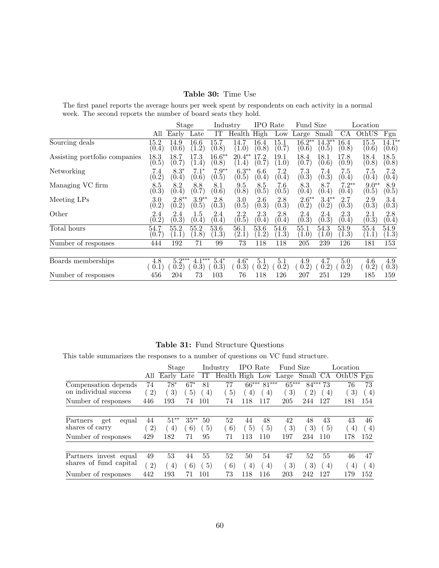## Table 30: Time Use

The first panel reports the average hours per week spent by respondents on each activity in a normal week. The second reports the number of board seats they hold.

|                               | <b>Stage</b>  |          | Industry      |                   | <b>IPO</b> Rate |       | Fund Size |               |          | Location |           |           |
|-------------------------------|---------------|----------|---------------|-------------------|-----------------|-------|-----------|---------------|----------|----------|-----------|-----------|
|                               | All           | Early    | Late          | IT                | Health High     |       | Low       | Large         | Small    | CА       | OthUS     | Fgn       |
| Sourcing deals                | 15.2          | 14.9     | $16.6\,$      | 15.7              | 14.7            | 16.4  | 15.1      | $16.2**$      | $14.3**$ | 16.4     | $15.5\,$  | $14.1***$ |
|                               | (0.4)         | (0.6)    | (1.2)         | (0.8)             | (1.0)           | (0.8) | (0.7)     | (0.6)         | (0.5)    | (0.8)    | (0.6)     | (0.6)     |
| Assisting portfolio companies | $18.3\,$      | 18.7     | 17.3          | $16.6^{\ast\ast}$ | $20.4**$        | 17.2  | 19.1      | 18.4          | 18.1     | 17.8     | 18.4      | 18.5      |
|                               | $(\bar{0}.5)$ | (0.7)    | (1.4)         | (0.8)             | (1.4)           | (0.7) | (1.0)     | (0.7)         | (0.6)    | (0.9)    | (0.8)     | (0.8)     |
| Networking                    | 7.4           | $8.3*$   | $7.1^*$       | $7.9**$           | $6.3**$         | 6.6   | 7.2       | 7.3           | 7.4      | 7.5      | 7.5       | 7.2       |
|                               | (0.2)         | (0.4)    | (0.6)         | (0.5)             | (0.5)           | (0.4) | (0.4)     | (0.3)         | (0.3)    | (0.4)    | (0.4)     | (0.4)     |
| Managing VC firm              | 8.5           | 8.2      | 8.8           | 8.1               | 9.5             | 8.5   | 7.6       | 8.3           | 8.7      | $7.2**$  | $9.0**$   | 8.9       |
|                               | $(\bar{0}.3)$ | (0.4)    | $(0.\bar{7})$ | (0.6)             | (0.8)           | (0.5) | (0.5)     | (0.4)         | (0.4)    | (0.4)    | (0.5)     | (0.5)     |
| Meeting LPs                   | 3.0           | $2.8**$  | $3.9**$       | 2.8               | 3.0             | 2.6   | 2.8       | $2.6**$       | $3.4**$  | 2.7      | 2.9       | 3.4       |
|                               | (0.2)         | (0.2)    | (0.5)         | (0.3)             | (0.5)           | (0.3) | (0.3)     | (0.2)         | (0.2)    | (0.3)    | (0.3)     | (0.3)     |
| Other                         | 2.4           | 2.4      | 1.5           | 2.4               | 2.2             | 2.3   | 2.8       | 2.4           | 2.4      | 2.3      | $\rm 2.1$ | 2.8       |
|                               | (0.2)         | (0.3)    | (0.4)         | (0.4)             | (0.5)           | (0.4) | (0.4)     | (0.3)         | (0.3)    | (0.4)    | (0.3)     | (0.4)     |
| Total hours                   | 54.7          | 55.2     | 55.2          | 53.6              | 56.1            | 53.6  | 54.6      | 55.1          | 54.3     | 53.9     | 55.4      | 54.9      |
|                               | (0.7)         | (1.1)    | (1.8)         | (1.3)             | $(\v2.1)$       | (1.2) | (1.3)     | (1.0)         | (1.0)    | (1.3)    | $\v(1.1)$ | (1.3)     |
| Number of responses           | 444           | 192      | 71            | 99                | 73              | 118   | 118       | 205           | 239      | 126      | 181       | 153       |
| Boards memberships            | 4.8           | $5.2***$ | $4.1***$      | $5.4*$            | $4.6*$          | 5.1   | 5.1       | 4.9           | 4.7      | 5.0      | 4.6       | 4.9       |
|                               | 0.1           | (0.2)    | (0.3)         | (0.3)             | (0.3)           | (0.2) | (0.2)     | $0.2^{\circ}$ | 0.2      | (0.2)    | 0.2       | (0.3)     |
| Number of responses           | 456           | 204      | 73            | 103               | 76              | 118   | 126       | 207           | 251      | 129      | 185       | 159       |

Table 31: Fund Structure Questions

This table summarizes the responses to a number of questions on VC fund structure.

|                                                 | Stage     |               |                             | Industry |                        | <b>IPO</b> Rate      |                              | Fund Size     |          | Location        |           |          |  |
|-------------------------------------------------|-----------|---------------|-----------------------------|----------|------------------------|----------------------|------------------------------|---------------|----------|-----------------|-----------|----------|--|
|                                                 | All       | Early Late    |                             | IT       | Health High Low Large  |                      |                              |               | Small CA |                 | OthUS Fgn |          |  |
| Compensation depends<br>on individual success   | 74<br>-2) | $78*$<br>3)   | $67*$<br>5)                 | 81<br>4) | 77<br>$\left(5\right)$ | $66***$<br>4)        | $81***$<br>$\left( 4\right)$ | $65***$<br>3) | 2)       | $84***73$<br>4) | 76<br>3)  | 73<br>4) |  |
| Number of responses                             | 446       | 193           | 74                          | 101      | 74                     | 118                  | 117                          | 205           | 244      | 127             | 181       | 154      |  |
| Partners<br>equal<br>get<br>shares of carry     | 44<br>2)  | $51***$<br>4) | $35***$<br>$\left(6\right)$ | 50<br>5) | 52<br>(6)              | 44<br>5 <sup>2</sup> | 48<br>5)                     | 42<br>3)      | 48<br>3) | 43<br>-5)       | 43<br>4)  | 46<br>4) |  |
| Number of responses                             | 429       | 182           | 71                          | 95       | 71                     | 113                  | 110                          | 197           | 234      | 110             | 178       | 152      |  |
| Partners invest equal<br>shares of fund capital | 49<br>2)  | 53<br>4)      | 44<br>6)                    | 55<br>5) | 52<br>(6)              | 50<br>$ 4\rangle$    | 54<br>$\left( 4\right)$      | 47<br>-3)     | 52<br>3) | 55<br>4)        | 46<br>4)  | 47<br>4  |  |
| Number of responses                             | 442       | 193           | 71                          | 101      | 73                     | 118                  | 116                          | 203           | 242      | 127             | 179       | 152      |  |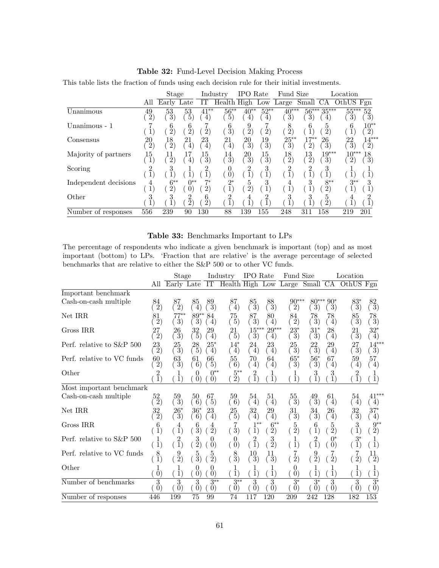|                       |                              |                            | Stage                          |                         | Industry                   |              | <b>IPO</b> Rate              |                       | Fund Size                      |                         | Location             |                             |
|-----------------------|------------------------------|----------------------------|--------------------------------|-------------------------|----------------------------|--------------|------------------------------|-----------------------|--------------------------------|-------------------------|----------------------|-----------------------------|
|                       | All                          | Early Late                 |                                | IT                      | Health High Low Large      |              |                              |                       | Small CA                       |                         | OthUS Fgn            |                             |
| Unanimous             | 49<br>$\left 2\right\rangle$ | 53<br>$\mathfrak{Z}$ )     | 53<br>$5^{\circ}$              | $41***$<br>4)           | $56***$<br>$5^{\circ}$     | $40**$<br>4  | $52**$<br>$\overline{4}$     | $40***$<br>3)         | $56***$<br>3)                  | $35***$                 | $55***$<br>3         | 52<br>$ 3\rangle$           |
| Unanimous - 1         | 1                            | 6<br>$\left( 2\right)$     | $\left( 2\right)$              | $\left( 2\right)$       | 6<br>$ 3\rangle$           | $\tilde{2})$ | $\left( 2\right)$            | 8<br>$\tilde{2}$      | 6                              | $\overline{2}$          | 6                    | $10^{**}$<br>$\overline{2}$ |
| Consensus             | 20<br>$\tilde{2}$            | 18<br>$\overline{2}$       | 21<br>$\overline{4}$           | 23<br>$\left( 4\right)$ | 21<br>$\overline{4}$       | 20<br>3)     | 19<br>3                      | $25^{**}$<br>3        | $17^{\ast\ast}$<br>$2^{\circ}$ | 26<br>3                 | 22<br>$\overline{3}$ | $14***$<br>2                |
| Majority of partners  | 15<br>$1^{\circ}$            | 11<br>$\bar{2}$            | $\overline{4}$                 | 15<br>3                 | 14<br>$\mathbf{3}^{\circ}$ | 20<br>3)     | 15<br>$\left 3\right\rangle$ | 18<br>$\overline{2})$ | 13<br>$\tilde{2}$              | $19***$<br>3            | $10***$<br>2         | 18<br>3                     |
| Scoring               | $1^{\circ}$                  | 3                          |                                |                         | 0<br>$\vert 0 \rangle$     | 2            | 3                            | 2                     | 2                              | 3                       |                      |                             |
| Independent decisions | 4<br>$1^{\degree}$           | $6^{**}$<br>$\overline{2}$ | $0^{**}$<br>$\left( 0 \right)$ | $\left( 2\right)$       | $2^*$<br>$1^{\circ}$       | 5<br>2)      | 3                            |                       | 3                              | $8^{**}$<br>$2^{\circ}$ | $3^{**}$             |                             |
| Other                 | ٠Ď                           | 3                          | $2^{\circ}$                    | b<br>$2^{\circ}$        |                            |              |                              | Ő                     |                                | $\overline{2}$          |                      |                             |
| Number of responses   | 556                          | 239                        | 90                             | 130                     | 88                         | 139          | 155                          | 248                   | 311                            | 158                     | 219                  | 201                         |

Table 32: Fund-Level Decision Making Process

This table lists the fraction of funds using each decision rule for their initial investments.

## Table 33: Benchmarks Important to LPs

The percentage of respondents who indicate a given benchmark is important (top) and as most important (bottom) to LPs. 'Fraction that are relative' is the average percentage of selected benchmarks that are relative to either the S&P 500 or to other VC funds.

|                            |                                                             | Stage                |                               | Industry                      |                                                                     | <b>IPO</b> Rate              |                                     | Fund Size                             |                                       | Location                 |                                                |                                       |
|----------------------------|-------------------------------------------------------------|----------------------|-------------------------------|-------------------------------|---------------------------------------------------------------------|------------------------------|-------------------------------------|---------------------------------------|---------------------------------------|--------------------------|------------------------------------------------|---------------------------------------|
|                            | All                                                         | Early Late           |                               | IT                            | Health High Low Large                                               |                              |                                     |                                       | Small CA                              |                          | OthUS Fgn                                      |                                       |
| Important benchmark        |                                                             |                      |                               |                               |                                                                     |                              |                                     |                                       |                                       |                          |                                                |                                       |
| Cash-on-cash multiple      | 84<br>-2)                                                   | 87<br>(2)            | 85<br>(4)                     | 89<br>$\overline{3})$         | 87<br>(4)                                                           | 85<br>$\left(3\right)$       | 88<br>3)                            | $90***$<br>$\left( \ 2\right)$        | $80***$<br>3)                         | $90*$<br>3)              | 83*<br>(3)                                     | 82<br>(3)                             |
| Net IRR                    | $\overset{81}{2})$                                          | $\left(3\right)$     | $89^{**}$<br>$\left(3\right)$ | 84<br>4)                      | $\binom{75}{5}$                                                     | 87<br>$\left 3\right\rangle$ | 80<br>$ 4\rangle$                   | $\binom{84}{2}$                       | $^{78}_{3}$                           | 78<br>$\left( 4\right)$  | $\binom{85}{3}$                                | $\binom{78}{3}$                       |
| Gross IRR                  | 27<br>$\binom{5}{2}$                                        | $^{26}_{3)}$         | $3^{2}_{5}$                   | 29<br>4)                      | 21<br>$\left(\bar{5}\right)$                                        | $15***$<br>3)                | $29***$<br>4)                       | $23^{*}$<br>$\tilde{3})$              | $\frac{31}{3}$                        | 28.<br>$\vert 4 \rangle$ | 21<br>$\left(\bar{3}\right)$                   | $32^{*}$<br>4)                        |
| Perf. relative to S&P 500  | $\binom{23}{2}$                                             | $\substack{25 \ 3)}$ | $^{28}_{(5)}$                 | $25^*$<br>4)                  | $14^*$<br>(4)                                                       | 24<br>$\vert 4 \rangle$      | 23<br>$\vert 4 \rangle$             | $^{25}_{(3)}$                         | $^{22}_{3)}$                          | 29<br>4)                 | 27<br>$\left(\bar{3}\right)$                   | $14***$<br>(3)                        |
| Perf. relative to VC funds | $\binom{60}{2}$                                             | $^{63}_{(3)}$        | 61<br>$\binom{6}{ }$          | 66<br>$\check{5})$            | $\frac{55}{6}$                                                      | 70<br>4                      | 64<br>$\left( \overline{4}\right)$  | $\binom{65^*}{3}$                     | $\binom{56^*}{3}$                     | 67<br>$\left(4\right)$   | 59<br>4)                                       | 57<br>4)                              |
| Other                      | $\overline{2}$<br>1)                                        | $\mathbf{1}$         | 0<br>$\left( 0\right)$        | $0^{**}$<br>$\left( 0\right)$ | $5^{**}$<br>$\left( 2\right)$                                       | $\frac{2}{1}$                | 1)                                  | $\overline{1}$                        | $\left  \right $                      | 3<br>$\overline{1})$     | $\overline{1}$                                 | (1)                                   |
| Most important benchmark   |                                                             |                      |                               |                               |                                                                     |                              |                                     |                                       |                                       |                          |                                                |                                       |
| Cash-on-cash multiple      | $\!\!\!{\begin{array}{c} 52\\[-1.2mm] 2 \end{array}}\!\!\!$ | $\frac{59}{3}$       | 50<br>6 <sup>°</sup>          | 67<br>5)                      | $\frac{59}{6}$                                                      | $\ket{4}$                    | 51<br>$\overline{4})$               | $\frac{55}{3}$                        | 49<br>$\left[3\right]$                | 61<br>$\left( 4\right)$  | 54<br>4)                                       | $41***$<br>4)                         |
| Net IRR                    | $^{32}_{2)}$                                                | $^{26}_{(3)}$        | $36^*$<br>6)                  | 23<br>4)                      | $\frac{25}{(5)}$                                                    | 32<br>4)                     | 29<br>4)                            | $\overset{31}{\mathbf{3}})$           | 34<br>$\left 3\right\rangle$          | 26<br>4)                 | $\frac{32}{3}$                                 | $37*$<br>4)                           |
| Gross IRR                  | $\binom{6}{1}$                                              | 4<br>$ 1\rangle$     | 6<br>3)                       | $\overline{2})$               | (3)                                                                 | $1**$<br>1)                  | $6^{**}$<br>$\left( 2\right)$       | $\frac{5}{2}$                         | 6<br>$\overline{1}$                   | 5<br>$\left( 2\right)$   | $\begin{smallmatrix} 3 \\ 1 \end{smallmatrix}$ | $9**$<br>(2)                          |
| Perf. relative to S&P 500  | $\begin{pmatrix} 1 \\ 1 \end{pmatrix}$                      | $\frac{2}{1}$        | $\frac{3}{2}$                 | U<br>(0)                      | $\theta$<br>$\left( \begin{array}{c} \tilde{0} \end{array} \right)$ | $^{2}_{1}$                   | $^{3}_{2)}$                         | $\frac{1}{1}$                         | $^{2}_{1}$                            | $0^*$<br>$\check{0}$ )   | $3^*$<br>$\tilde{1}$                           | $\bar{1})$                            |
| Perf. relative to VC funds | $\frac{8}{1}$                                               | $\frac{9}{2}$        | $\frac{5}{3}$                 | $^{5}_{2)}$                   | $\binom{8}{3}$                                                      | 10<br>$\check{3}$            | 11<br>$\bar{3}$                     | $\dot{2}$                             | $\frac{9}{2}$                         | $\dot{2}$                | $ 2\rangle$                                    | 11<br>$\bar{2})$                      |
| Other                      | $\overline{0}$ )                                            | $1^{\circ}$          | $\left( 0\right)$             | $\check{0}$ )                 | $\overline{1}$                                                      | $\left  \right $             | $\overline{1}$                      | U<br>$\dot{0}$                        | $\left  \right $                      | $1^{\circ}$              | $\mathbf{1}$                                   | $\left  \right $                      |
| Number of benchmarks       | 3<br>$\left( 0\right)$                                      | 3<br>$\overline{0}$  | 3<br>$\overline{0})$          | $3^{**}$<br>$\left( 0\right)$ | $\overline{3^{**}}$<br>$\left( 0\right)$                            | 3<br>$\left( 0\right)$       | $\overline{3}$<br>$\left( 0\right)$ | $\overline{3^*}$<br>$\left( 0\right)$ | $\overline{3^*}$<br>$\left( 0\right)$ | 3<br>$\left( 0\right)$   | 3<br>$\tilde{0}$                               | $\overline{3^*}$<br>$\left( 0\right)$ |
| Number of responses        | 446                                                         | 199                  | 75                            | 99                            | 74                                                                  | 117                          | 120                                 | 209                                   | 242                                   | 128                      | 182                                            | $\overline{153}$                      |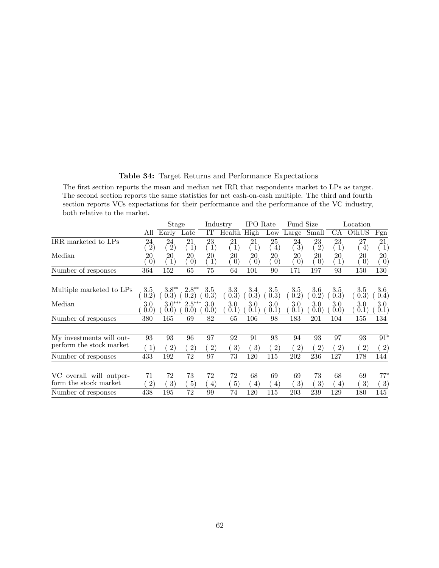## Table 34: Target Returns and Performance Expectations

The first section reports the mean and median net IRR that respondents market to LPs as target. The second section reports the same statistics for net cash-on-cash multiple. The third and fourth section reports VCs expectations for their performance and the performance of the VC industry, both relative to the market.

|                                                      |                         | <b>Stage</b>      |                         | Industry                |                        | <b>IPO</b> Rate         |                 | Fund Size               |                              | Location                |                              |                               |
|------------------------------------------------------|-------------------------|-------------------|-------------------------|-------------------------|------------------------|-------------------------|-----------------|-------------------------|------------------------------|-------------------------|------------------------------|-------------------------------|
|                                                      | All                     | Early             | Late                    | IT                      | Health High            |                         | $_{\text{Low}}$ | Large                   | Small                        | СA                      | OthUS                        | $\bar{\mathrm{F}}\mathrm{gn}$ |
| IRR marketed to LPs                                  | 24<br>$\bar{2})$        | 24<br>$\bar{2}$   | 21<br> 1)               | 23<br>$\lceil 1 \rceil$ | 21<br>$\left  \right $ | 21<br>$\vert 1 \vert$   | 25<br>4)        | 24<br>$\bar{3}$         | 23<br>$\left 2\right\rangle$ | 23<br>$\left(1\right)$  | 27<br>4)                     | 21<br>(1)                     |
| Median                                               | 20<br>$\left( 0\right)$ | 20<br>$\ket{1}$   | 20<br>$\vert 0 \rangle$ | 20<br>$ 1\rangle$       | 20<br>$\vert$ 0)       | 20<br>$\vert 0 \rangle$ | 20<br>(0)       | 20<br>$\vert 0 \rangle$ | 20<br>$\vert 0 \rangle$      | 20<br>$\lceil 1 \rceil$ | 20<br>$\left 0\right\rangle$ | 20<br>( 0)                    |
| Number of responses                                  | 364                     | 152               | 65                      | 75                      | 64                     | 101                     | 90              | 171                     | 197                          | 93                      | 150                          | 130                           |
| Multiple marketed to LPs                             | 3.5<br>(0.2)            | $3.8**$<br>(0.3)  | $2.8**$<br>(0.2)        | 3.5<br>(0.3)            | 3.3<br>(0.3)           | 3.4<br>(0.3)            | 3.5<br>(0.3)    | 3.5<br>(0.2)            | 3.6<br>$0.2^{\circ}$         | 3.5<br>(0.3)            | 3.5<br>(0.3)                 | 3.6<br>(0.4)                  |
| Median                                               | 3.0<br>(0.0)            | $3.0***$<br>(0.0) | $2.5***$<br>(0.0)       | 3.0<br>(0.0)            | 3.0<br>0.1             | 3.0<br>0.1              | 3.0<br>(0.1)    | 3.0<br>0.1              | 3.0<br>0.0                   | 3.0<br>(0.0)            | 3.0<br>0.1                   | 3.0<br>(0.1)                  |
| Number of responses                                  | 380                     | 165               | 69                      | 82                      | 65                     | 106                     | 98              | 183                     | 201                          | 104                     | 155                          | 134                           |
| My investments will out-<br>perform the stock market | 93<br>$\left(1\right)$  | 93<br>2           | 96<br>2)                | 97<br>2)                | 92<br>3)               | 91<br>3)                | 93<br>2         | 94<br>2                 | 93<br>2)                     | 97<br>2)                | 93<br>2)                     | $91*$<br>$\left(2\right)$     |
| Number of responses                                  | 433                     | 192               | 72                      | 97                      | 73                     | 120                     | 115             | 202                     | 236                          | 127                     | 178                          | 144                           |
| overall will outper-<br>VC-<br>form the stock market | 71<br>2)                | 72<br>3)          | 73<br>5)                | 72<br>4)                | 72<br>5)               | 68<br>4)                | 69<br>4)        | 69<br>3)                | 73<br>3)                     | 68<br>4)                | 69<br>3)                     | $77*$<br>-3)                  |
| Number of responses                                  | 438                     | 195               | 72                      | 99                      | 74                     | 120                     | 115             | 203                     | 239                          | 129                     | 180                          | 145                           |